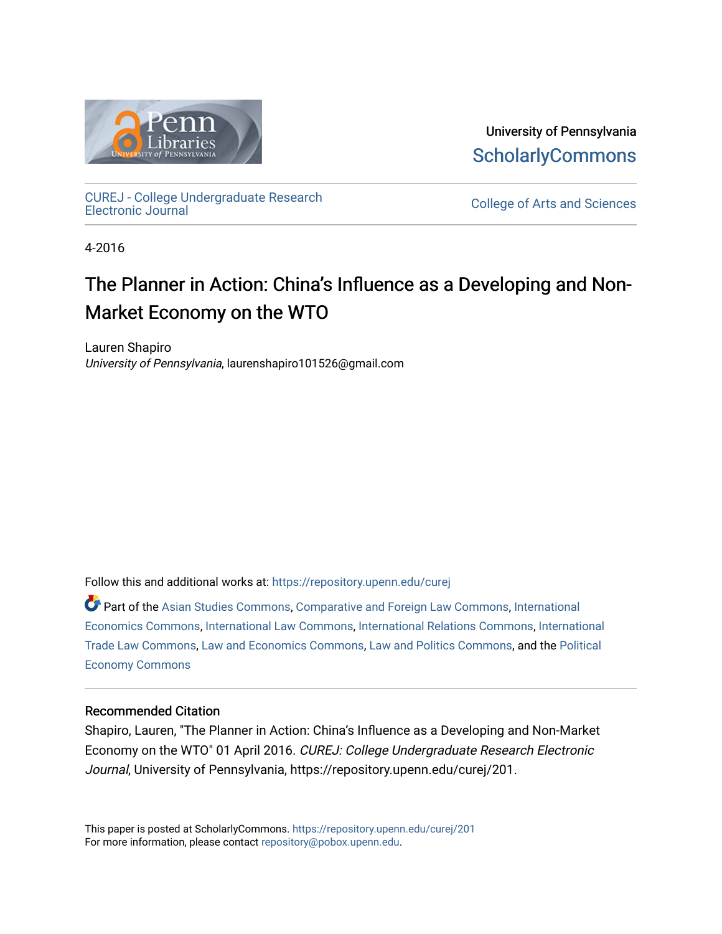

University of Pennsylvania **ScholarlyCommons** 

[CUREJ - College Undergraduate Research](https://repository.upenn.edu/curej) 

College of Arts and Sciences

4-2016

# The Planner in Action: China's Influence as a Developing and Non-Market Economy on the WTO

Lauren Shapiro University of Pennsylvania, laurenshapiro101526@gmail.com

Follow this and additional works at: [https://repository.upenn.edu/curej](https://repository.upenn.edu/curej?utm_source=repository.upenn.edu%2Fcurej%2F201&utm_medium=PDF&utm_campaign=PDFCoverPages)

Part of the [Asian Studies Commons,](http://network.bepress.com/hgg/discipline/361?utm_source=repository.upenn.edu%2Fcurej%2F201&utm_medium=PDF&utm_campaign=PDFCoverPages) [Comparative and Foreign Law Commons,](http://network.bepress.com/hgg/discipline/836?utm_source=repository.upenn.edu%2Fcurej%2F201&utm_medium=PDF&utm_campaign=PDFCoverPages) [International](http://network.bepress.com/hgg/discipline/348?utm_source=repository.upenn.edu%2Fcurej%2F201&utm_medium=PDF&utm_campaign=PDFCoverPages)  [Economics Commons,](http://network.bepress.com/hgg/discipline/348?utm_source=repository.upenn.edu%2Fcurej%2F201&utm_medium=PDF&utm_campaign=PDFCoverPages) [International Law Commons,](http://network.bepress.com/hgg/discipline/609?utm_source=repository.upenn.edu%2Fcurej%2F201&utm_medium=PDF&utm_campaign=PDFCoverPages) [International Relations Commons,](http://network.bepress.com/hgg/discipline/389?utm_source=repository.upenn.edu%2Fcurej%2F201&utm_medium=PDF&utm_campaign=PDFCoverPages) [International](http://network.bepress.com/hgg/discipline/848?utm_source=repository.upenn.edu%2Fcurej%2F201&utm_medium=PDF&utm_campaign=PDFCoverPages)  [Trade Law Commons,](http://network.bepress.com/hgg/discipline/848?utm_source=repository.upenn.edu%2Fcurej%2F201&utm_medium=PDF&utm_campaign=PDFCoverPages) [Law and Economics Commons,](http://network.bepress.com/hgg/discipline/612?utm_source=repository.upenn.edu%2Fcurej%2F201&utm_medium=PDF&utm_campaign=PDFCoverPages) [Law and Politics Commons,](http://network.bepress.com/hgg/discipline/867?utm_source=repository.upenn.edu%2Fcurej%2F201&utm_medium=PDF&utm_campaign=PDFCoverPages) and the [Political](http://network.bepress.com/hgg/discipline/352?utm_source=repository.upenn.edu%2Fcurej%2F201&utm_medium=PDF&utm_campaign=PDFCoverPages) [Economy Commons](http://network.bepress.com/hgg/discipline/352?utm_source=repository.upenn.edu%2Fcurej%2F201&utm_medium=PDF&utm_campaign=PDFCoverPages) 

#### Recommended Citation

Shapiro, Lauren, "The Planner in Action: China's Influence as a Developing and Non-Market Economy on the WTO" 01 April 2016. CUREJ: College Undergraduate Research Electronic Journal, University of Pennsylvania, https://repository.upenn.edu/curej/201.

This paper is posted at ScholarlyCommons.<https://repository.upenn.edu/curej/201> For more information, please contact [repository@pobox.upenn.edu.](mailto:repository@pobox.upenn.edu)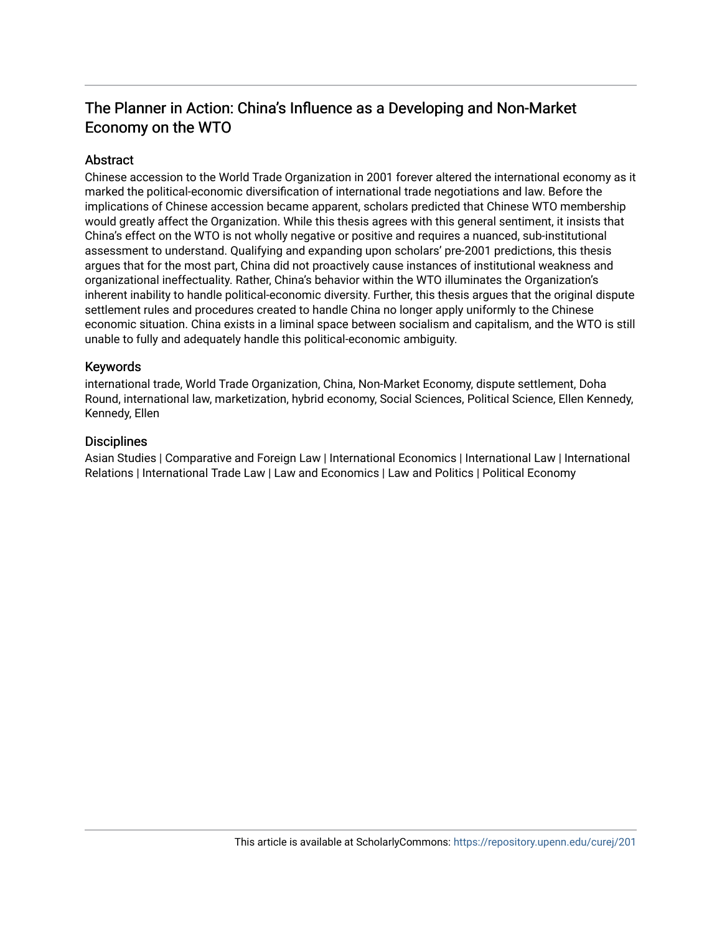### The Planner in Action: China's Influence as a Developing and Non-Market Economy on the WTO

#### **Abstract**

Chinese accession to the World Trade Organization in 2001 forever altered the international economy as it marked the political-economic diversification of international trade negotiations and law. Before the implications of Chinese accession became apparent, scholars predicted that Chinese WTO membership would greatly affect the Organization. While this thesis agrees with this general sentiment, it insists that China's effect on the WTO is not wholly negative or positive and requires a nuanced, sub-institutional assessment to understand. Qualifying and expanding upon scholars' pre-2001 predictions, this thesis argues that for the most part, China did not proactively cause instances of institutional weakness and organizational ineffectuality. Rather, China's behavior within the WTO illuminates the Organization's inherent inability to handle political-economic diversity. Further, this thesis argues that the original dispute settlement rules and procedures created to handle China no longer apply uniformly to the Chinese economic situation. China exists in a liminal space between socialism and capitalism, and the WTO is still unable to fully and adequately handle this political-economic ambiguity.

#### Keywords

international trade, World Trade Organization, China, Non-Market Economy, dispute settlement, Doha Round, international law, marketization, hybrid economy, Social Sciences, Political Science, Ellen Kennedy, Kennedy, Ellen

#### **Disciplines**

Asian Studies | Comparative and Foreign Law | International Economics | International Law | International Relations | International Trade Law | Law and Economics | Law and Politics | Political Economy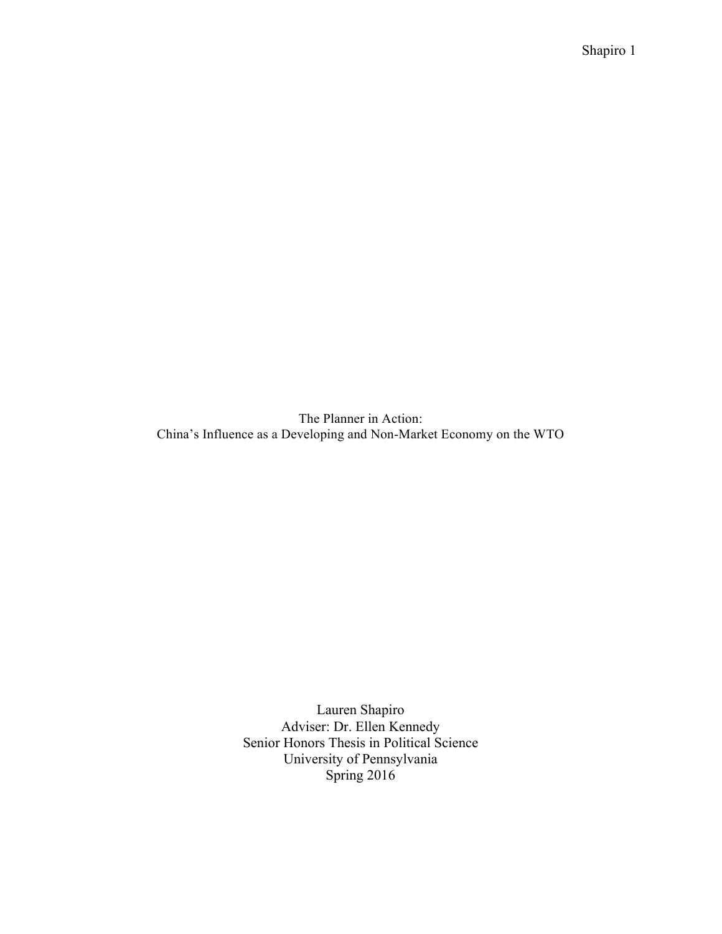Shapiro 1

The Planner in Action: China's Influence as a Developing and Non-Market Economy on the WTO

> Lauren Shapiro Adviser: Dr. Ellen Kennedy Senior Honors Thesis in Political Science University of Pennsylvania Spring 2016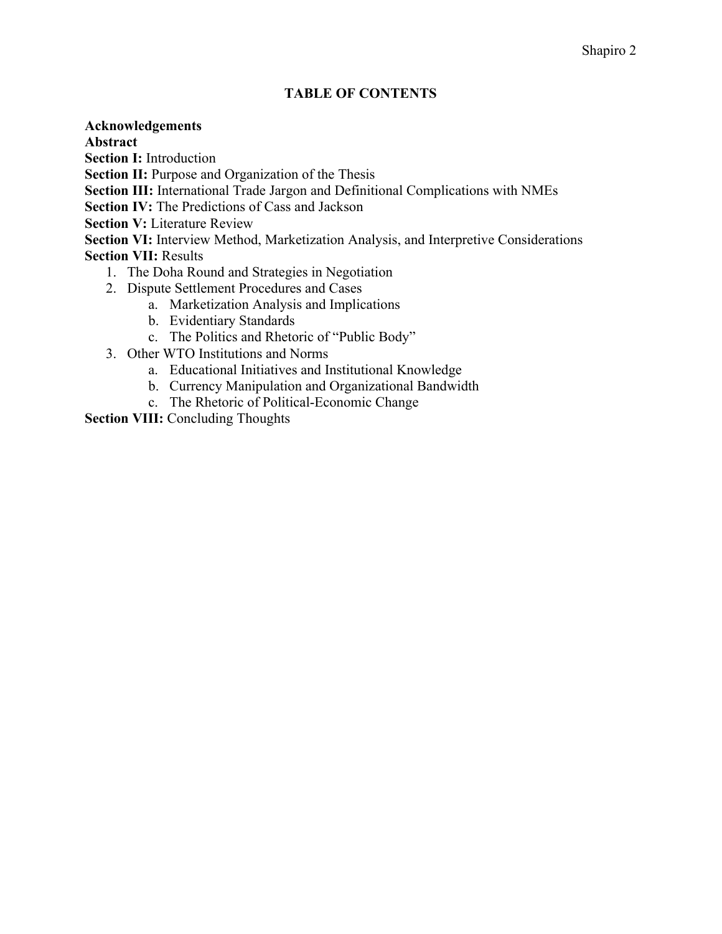### **TABLE OF CONTENTS**

**Acknowledgements** 

**Abstract** 

**Section I:** Introduction

**Section II:** Purpose and Organization of the Thesis

**Section III:** International Trade Jargon and Definitional Complications with NMEs

**Section IV:** The Predictions of Cass and Jackson

**Section V:** Literature Review

**Section VI:** Interview Method, Marketization Analysis, and Interpretive Considerations **Section VII:** Results

- 1. The Doha Round and Strategies in Negotiation
- 2. Dispute Settlement Procedures and Cases
	- a. Marketization Analysis and Implications
	- b. Evidentiary Standards
	- c. The Politics and Rhetoric of "Public Body"
- 3. Other WTO Institutions and Norms
	- a. Educational Initiatives and Institutional Knowledge
	- b. Currency Manipulation and Organizational Bandwidth
	- c. The Rhetoric of Political-Economic Change

**Section VIII:** Concluding Thoughts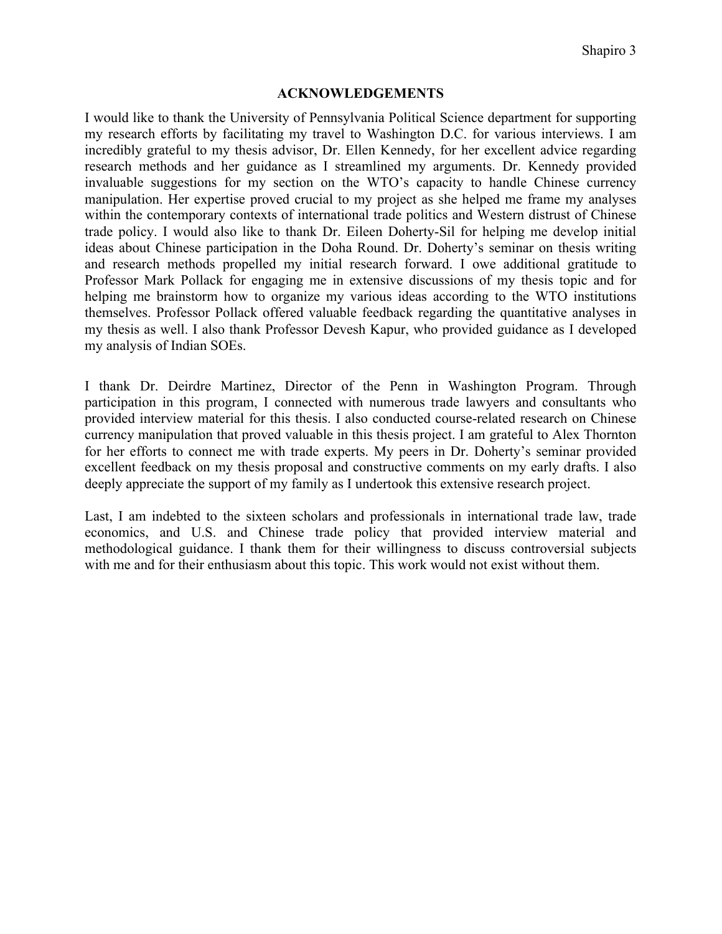#### **ACKNOWLEDGEMENTS**

I would like to thank the University of Pennsylvania Political Science department for supporting my research efforts by facilitating my travel to Washington D.C. for various interviews. I am incredibly grateful to my thesis advisor, Dr. Ellen Kennedy, for her excellent advice regarding research methods and her guidance as I streamlined my arguments. Dr. Kennedy provided invaluable suggestions for my section on the WTO's capacity to handle Chinese currency manipulation. Her expertise proved crucial to my project as she helped me frame my analyses within the contemporary contexts of international trade politics and Western distrust of Chinese trade policy. I would also like to thank Dr. Eileen Doherty-Sil for helping me develop initial ideas about Chinese participation in the Doha Round. Dr. Doherty's seminar on thesis writing and research methods propelled my initial research forward. I owe additional gratitude to Professor Mark Pollack for engaging me in extensive discussions of my thesis topic and for helping me brainstorm how to organize my various ideas according to the WTO institutions themselves. Professor Pollack offered valuable feedback regarding the quantitative analyses in my thesis as well. I also thank Professor Devesh Kapur, who provided guidance as I developed my analysis of Indian SOEs.

I thank Dr. Deirdre Martinez, Director of the Penn in Washington Program. Through participation in this program, I connected with numerous trade lawyers and consultants who provided interview material for this thesis. I also conducted course-related research on Chinese currency manipulation that proved valuable in this thesis project. I am grateful to Alex Thornton for her efforts to connect me with trade experts. My peers in Dr. Doherty's seminar provided excellent feedback on my thesis proposal and constructive comments on my early drafts. I also deeply appreciate the support of my family as I undertook this extensive research project.

Last, I am indebted to the sixteen scholars and professionals in international trade law, trade economics, and U.S. and Chinese trade policy that provided interview material and methodological guidance. I thank them for their willingness to discuss controversial subjects with me and for their enthusiasm about this topic. This work would not exist without them.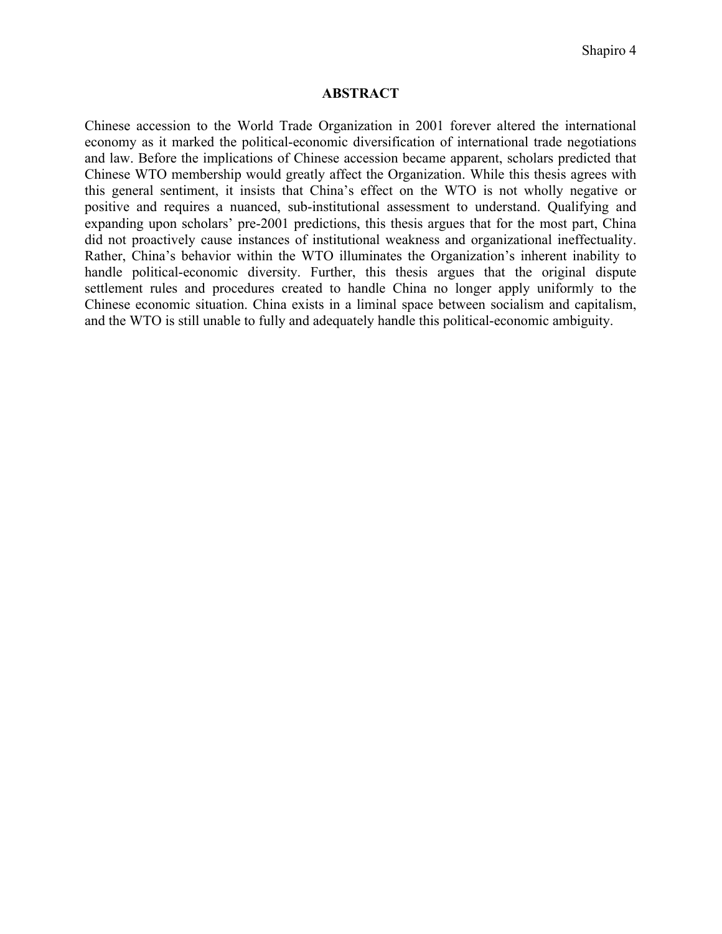#### **ABSTRACT**

Chinese accession to the World Trade Organization in 2001 forever altered the international economy as it marked the political-economic diversification of international trade negotiations and law. Before the implications of Chinese accession became apparent, scholars predicted that Chinese WTO membership would greatly affect the Organization. While this thesis agrees with this general sentiment, it insists that China's effect on the WTO is not wholly negative or positive and requires a nuanced, sub-institutional assessment to understand. Qualifying and expanding upon scholars' pre-2001 predictions, this thesis argues that for the most part, China did not proactively cause instances of institutional weakness and organizational ineffectuality. Rather, China's behavior within the WTO illuminates the Organization's inherent inability to handle political-economic diversity. Further, this thesis argues that the original dispute settlement rules and procedures created to handle China no longer apply uniformly to the Chinese economic situation. China exists in a liminal space between socialism and capitalism, and the WTO is still unable to fully and adequately handle this political-economic ambiguity.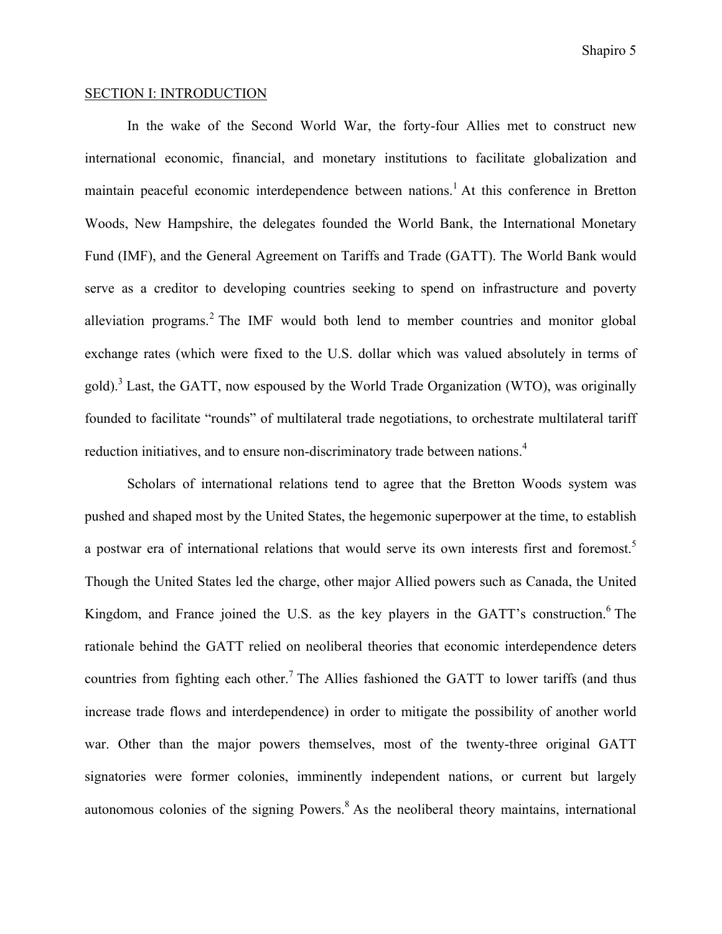Shapiro 5

#### SECTION I: INTRODUCTION

In the wake of the Second World War, the forty-four Allies met to construct new international economic, financial, and monetary institutions to facilitate globalization and maintain peaceful economic interdependence between nations.<sup>1</sup> At this conference in Bretton Woods, New Hampshire, the delegates founded the World Bank, the International Monetary Fund (IMF), and the General Agreement on Tariffs and Trade (GATT). The World Bank would serve as a creditor to developing countries seeking to spend on infrastructure and poverty alleviation programs.<sup>2</sup> The IMF would both lend to member countries and monitor global exchange rates (which were fixed to the U.S. dollar which was valued absolutely in terms of gold).<sup>3</sup> Last, the GATT, now espoused by the World Trade Organization (WTO), was originally founded to facilitate "rounds" of multilateral trade negotiations, to orchestrate multilateral tariff reduction initiatives, and to ensure non-discriminatory trade between nations.<sup>4</sup>

Scholars of international relations tend to agree that the Bretton Woods system was pushed and shaped most by the United States, the hegemonic superpower at the time, to establish a postwar era of international relations that would serve its own interests first and foremost.<sup>5</sup> Though the United States led the charge, other major Allied powers such as Canada, the United Kingdom, and France joined the U.S. as the key players in the GATT's construction.<sup>6</sup> The rationale behind the GATT relied on neoliberal theories that economic interdependence deters countries from fighting each other.<sup>7</sup> The Allies fashioned the GATT to lower tariffs (and thus increase trade flows and interdependence) in order to mitigate the possibility of another world war. Other than the major powers themselves, most of the twenty-three original GATT signatories were former colonies, imminently independent nations, or current but largely autonomous colonies of the signing Powers. $8$  As the neoliberal theory maintains, international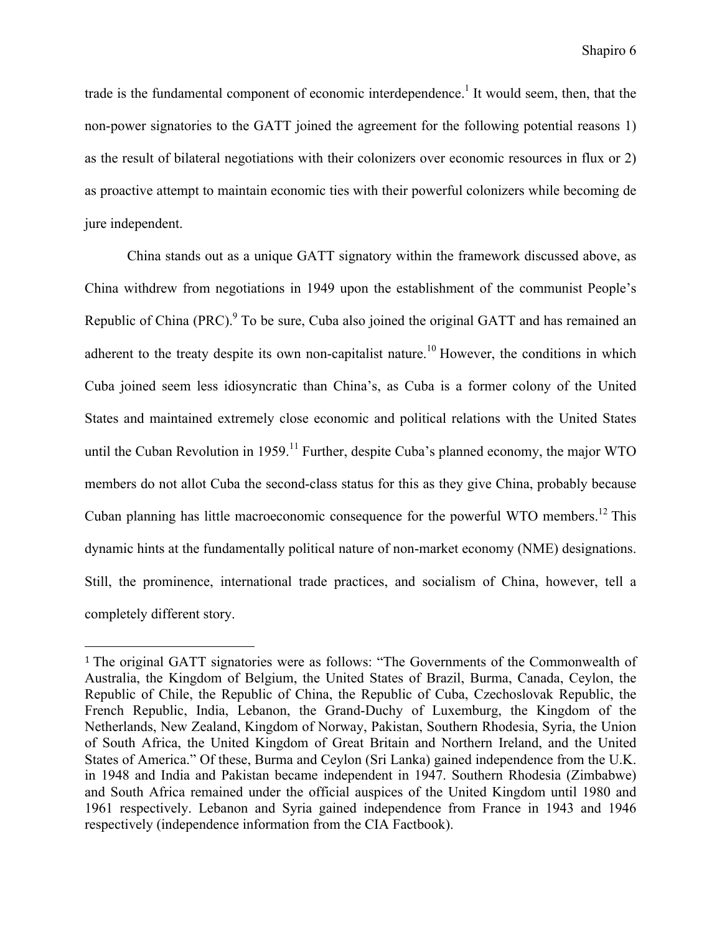trade is the fundamental component of economic interdependence.<sup>1</sup> It would seem, then, that the non-power signatories to the GATT joined the agreement for the following potential reasons 1) as the result of bilateral negotiations with their colonizers over economic resources in flux or 2) as proactive attempt to maintain economic ties with their powerful colonizers while becoming de jure independent.

China stands out as a unique GATT signatory within the framework discussed above, as China withdrew from negotiations in 1949 upon the establishment of the communist People's Republic of China (PRC).<sup>9</sup> To be sure, Cuba also joined the original GATT and has remained an adherent to the treaty despite its own non-capitalist nature.<sup>10</sup> However, the conditions in which Cuba joined seem less idiosyncratic than China's, as Cuba is a former colony of the United States and maintained extremely close economic and political relations with the United States until the Cuban Revolution in 1959.<sup>11</sup> Further, despite Cuba's planned economy, the major WTO members do not allot Cuba the second-class status for this as they give China, probably because Cuban planning has little macroeconomic consequence for the powerful WTO members.<sup>12</sup> This dynamic hints at the fundamentally political nature of non-market economy (NME) designations. Still, the prominence, international trade practices, and socialism of China, however, tell a completely different story.

 

<sup>&</sup>lt;sup>1</sup> The original GATT signatories were as follows: "The Governments of the Commonwealth of Australia, the Kingdom of Belgium, the United States of Brazil, Burma, Canada, Ceylon, the Republic of Chile, the Republic of China, the Republic of Cuba, Czechoslovak Republic, the French Republic, India, Lebanon, the Grand-Duchy of Luxemburg, the Kingdom of the Netherlands, New Zealand, Kingdom of Norway, Pakistan, Southern Rhodesia, Syria, the Union of South Africa, the United Kingdom of Great Britain and Northern Ireland, and the United States of America." Of these, Burma and Ceylon (Sri Lanka) gained independence from the U.K. in 1948 and India and Pakistan became independent in 1947. Southern Rhodesia (Zimbabwe) and South Africa remained under the official auspices of the United Kingdom until 1980 and 1961 respectively. Lebanon and Syria gained independence from France in 1943 and 1946 respectively (independence information from the CIA Factbook).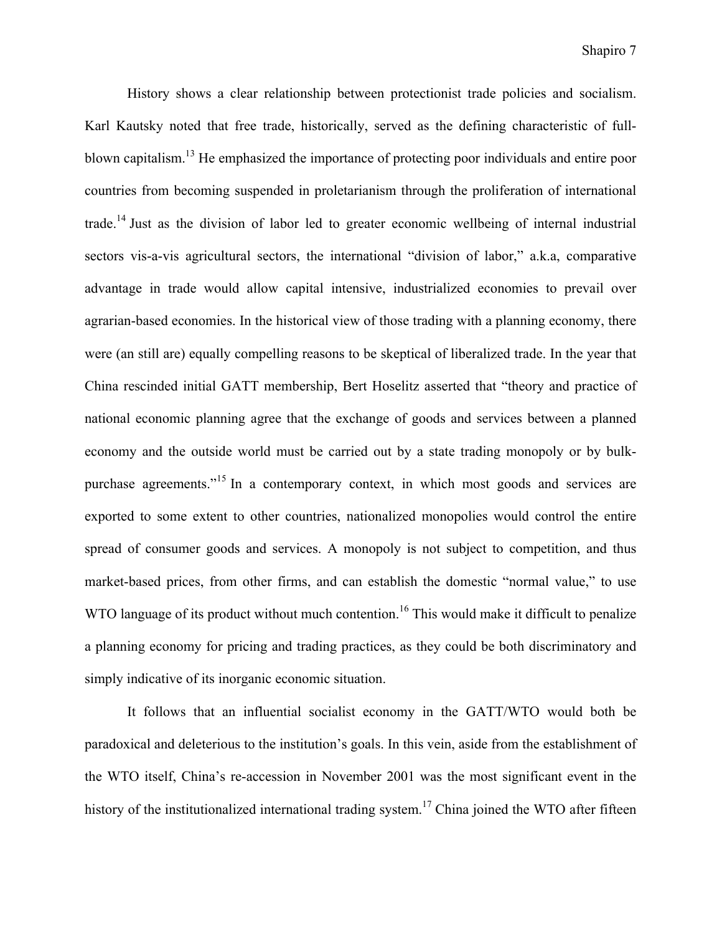History shows a clear relationship between protectionist trade policies and socialism. Karl Kautsky noted that free trade, historically, served as the defining characteristic of fullblown capitalism.13 He emphasized the importance of protecting poor individuals and entire poor countries from becoming suspended in proletarianism through the proliferation of international trade.14 Just as the division of labor led to greater economic wellbeing of internal industrial sectors vis-a-vis agricultural sectors, the international "division of labor," a.k.a, comparative advantage in trade would allow capital intensive, industrialized economies to prevail over agrarian-based economies. In the historical view of those trading with a planning economy, there were (an still are) equally compelling reasons to be skeptical of liberalized trade. In the year that China rescinded initial GATT membership, Bert Hoselitz asserted that "theory and practice of national economic planning agree that the exchange of goods and services between a planned economy and the outside world must be carried out by a state trading monopoly or by bulkpurchase agreements."<sup>15</sup> In a contemporary context, in which most goods and services are exported to some extent to other countries, nationalized monopolies would control the entire spread of consumer goods and services. A monopoly is not subject to competition, and thus market-based prices, from other firms, and can establish the domestic "normal value," to use WTO language of its product without much contention.<sup>16</sup> This would make it difficult to penalize a planning economy for pricing and trading practices, as they could be both discriminatory and simply indicative of its inorganic economic situation.

It follows that an influential socialist economy in the GATT/WTO would both be paradoxical and deleterious to the institution's goals. In this vein, aside from the establishment of the WTO itself, China's re-accession in November 2001 was the most significant event in the history of the institutionalized international trading system.<sup>17</sup> China joined the WTO after fifteen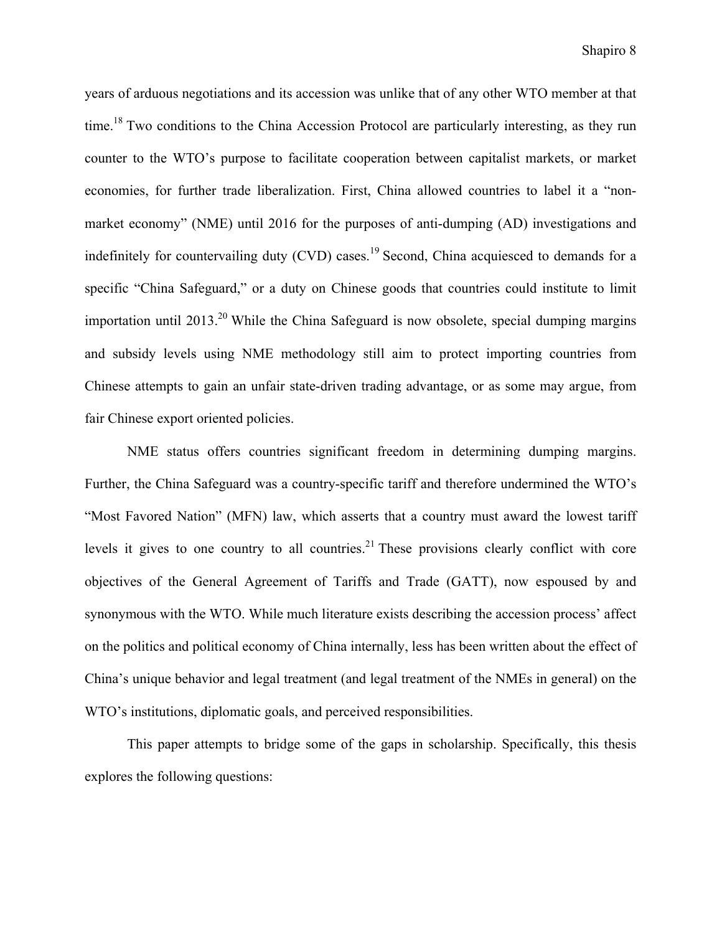years of arduous negotiations and its accession was unlike that of any other WTO member at that time.<sup>18</sup> Two conditions to the China Accession Protocol are particularly interesting, as they run counter to the WTO's purpose to facilitate cooperation between capitalist markets, or market economies, for further trade liberalization. First, China allowed countries to label it a "nonmarket economy" (NME) until 2016 for the purposes of anti-dumping (AD) investigations and indefinitely for countervailing duty (CVD) cases.<sup>19</sup> Second, China acquiesced to demands for a specific "China Safeguard," or a duty on Chinese goods that countries could institute to limit importation until 2013.<sup>20</sup> While the China Safeguard is now obsolete, special dumping margins and subsidy levels using NME methodology still aim to protect importing countries from Chinese attempts to gain an unfair state-driven trading advantage, or as some may argue, from fair Chinese export oriented policies.

NME status offers countries significant freedom in determining dumping margins. Further, the China Safeguard was a country-specific tariff and therefore undermined the WTO's "Most Favored Nation" (MFN) law, which asserts that a country must award the lowest tariff levels it gives to one country to all countries.<sup>21</sup> These provisions clearly conflict with core objectives of the General Agreement of Tariffs and Trade (GATT), now espoused by and synonymous with the WTO. While much literature exists describing the accession process' affect on the politics and political economy of China internally, less has been written about the effect of China's unique behavior and legal treatment (and legal treatment of the NMEs in general) on the WTO's institutions, diplomatic goals, and perceived responsibilities.

This paper attempts to bridge some of the gaps in scholarship. Specifically, this thesis explores the following questions: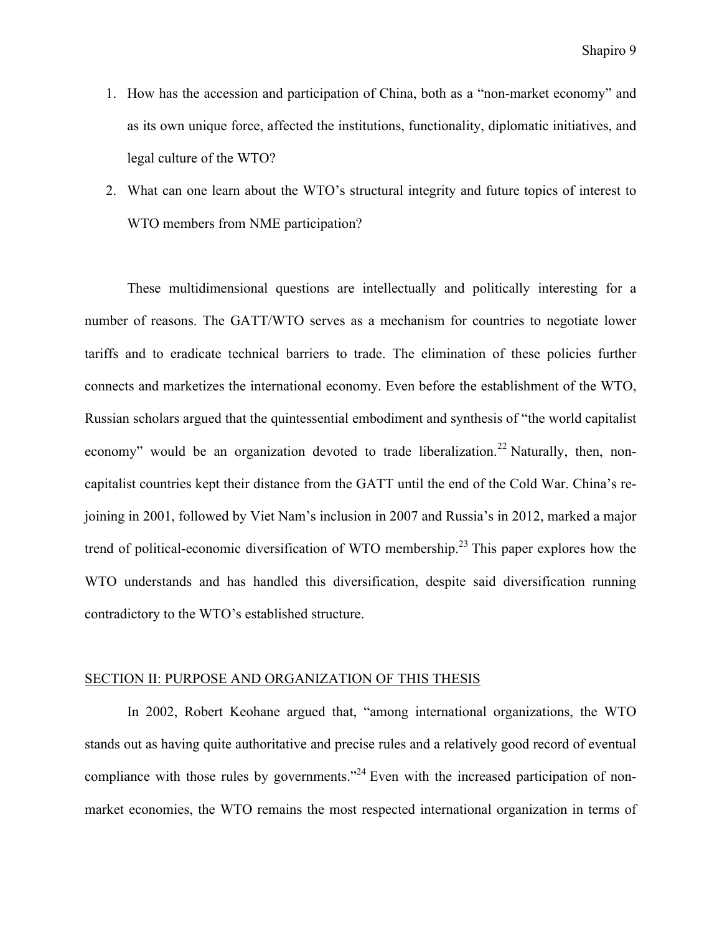- 1. How has the accession and participation of China, both as a "non-market economy" and as its own unique force, affected the institutions, functionality, diplomatic initiatives, and legal culture of the WTO?
- 2. What can one learn about the WTO's structural integrity and future topics of interest to WTO members from NME participation?

These multidimensional questions are intellectually and politically interesting for a number of reasons. The GATT/WTO serves as a mechanism for countries to negotiate lower tariffs and to eradicate technical barriers to trade. The elimination of these policies further connects and marketizes the international economy. Even before the establishment of the WTO, Russian scholars argued that the quintessential embodiment and synthesis of "the world capitalist economy" would be an organization devoted to trade liberalization.<sup>22</sup> Naturally, then, noncapitalist countries kept their distance from the GATT until the end of the Cold War. China's rejoining in 2001, followed by Viet Nam's inclusion in 2007 and Russia's in 2012, marked a major trend of political-economic diversification of WTO membership.<sup>23</sup> This paper explores how the WTO understands and has handled this diversification, despite said diversification running contradictory to the WTO's established structure.

#### SECTION II: PURPOSE AND ORGANIZATION OF THIS THESIS

In 2002, Robert Keohane argued that, "among international organizations, the WTO stands out as having quite authoritative and precise rules and a relatively good record of eventual compliance with those rules by governments."<sup>24</sup> Even with the increased participation of nonmarket economies, the WTO remains the most respected international organization in terms of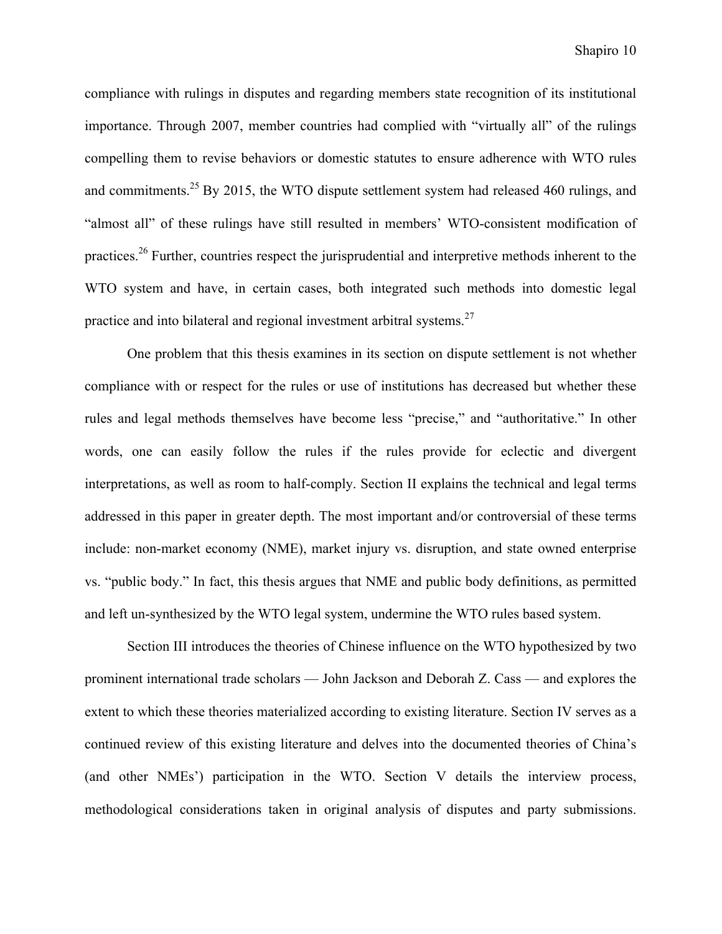compliance with rulings in disputes and regarding members state recognition of its institutional importance. Through 2007, member countries had complied with "virtually all" of the rulings compelling them to revise behaviors or domestic statutes to ensure adherence with WTO rules and commitments.<sup>25</sup> By 2015, the WTO dispute settlement system had released 460 rulings, and "almost all" of these rulings have still resulted in members' WTO-consistent modification of practices.26 Further, countries respect the jurisprudential and interpretive methods inherent to the WTO system and have, in certain cases, both integrated such methods into domestic legal practice and into bilateral and regional investment arbitral systems.<sup>27</sup>

One problem that this thesis examines in its section on dispute settlement is not whether compliance with or respect for the rules or use of institutions has decreased but whether these rules and legal methods themselves have become less "precise," and "authoritative." In other words, one can easily follow the rules if the rules provide for eclectic and divergent interpretations, as well as room to half-comply. Section II explains the technical and legal terms addressed in this paper in greater depth. The most important and/or controversial of these terms include: non-market economy (NME), market injury vs. disruption, and state owned enterprise vs. "public body." In fact, this thesis argues that NME and public body definitions, as permitted and left un-synthesized by the WTO legal system, undermine the WTO rules based system.

Section III introduces the theories of Chinese influence on the WTO hypothesized by two prominent international trade scholars — John Jackson and Deborah Z. Cass — and explores the extent to which these theories materialized according to existing literature. Section IV serves as a continued review of this existing literature and delves into the documented theories of China's (and other NMEs') participation in the WTO. Section V details the interview process, methodological considerations taken in original analysis of disputes and party submissions.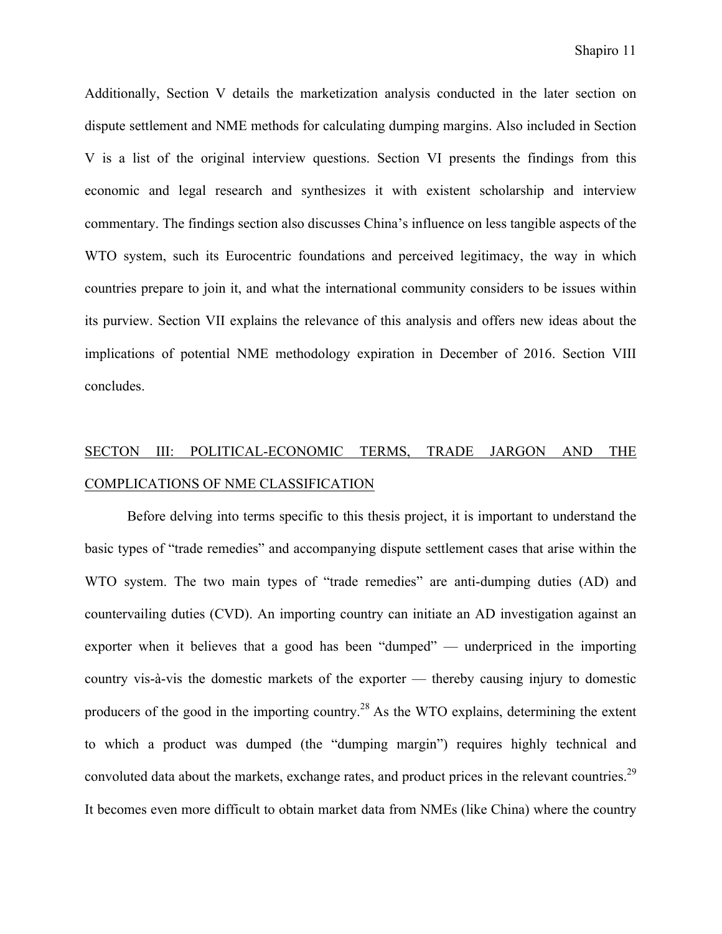Additionally, Section V details the marketization analysis conducted in the later section on dispute settlement and NME methods for calculating dumping margins. Also included in Section V is a list of the original interview questions. Section VI presents the findings from this economic and legal research and synthesizes it with existent scholarship and interview commentary. The findings section also discusses China's influence on less tangible aspects of the WTO system, such its Eurocentric foundations and perceived legitimacy, the way in which countries prepare to join it, and what the international community considers to be issues within its purview. Section VII explains the relevance of this analysis and offers new ideas about the implications of potential NME methodology expiration in December of 2016. Section VIII concludes.

## SECTON III: POLITICAL-ECONOMIC TERMS, TRADE JARGON AND THE COMPLICATIONS OF NME CLASSIFICATION

Before delving into terms specific to this thesis project, it is important to understand the basic types of "trade remedies" and accompanying dispute settlement cases that arise within the WTO system. The two main types of "trade remedies" are anti-dumping duties (AD) and countervailing duties (CVD). An importing country can initiate an AD investigation against an exporter when it believes that a good has been "dumped" — underpriced in the importing country vis-à-vis the domestic markets of the exporter — thereby causing injury to domestic producers of the good in the importing country.<sup>28</sup> As the WTO explains, determining the extent to which a product was dumped (the "dumping margin") requires highly technical and convoluted data about the markets, exchange rates, and product prices in the relevant countries.<sup>29</sup> It becomes even more difficult to obtain market data from NMEs (like China) where the country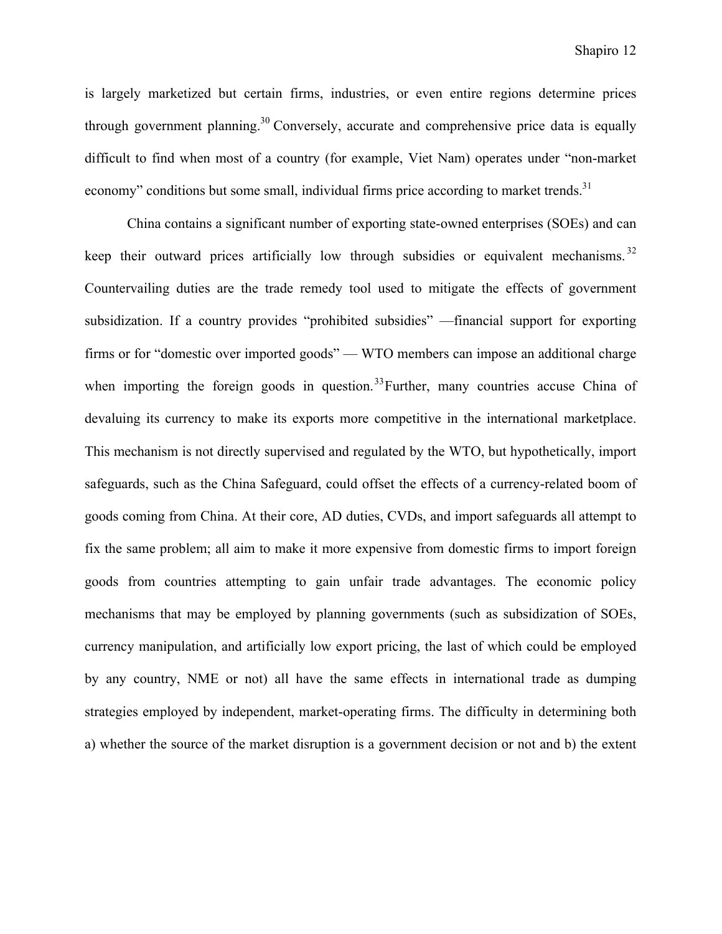is largely marketized but certain firms, industries, or even entire regions determine prices through government planning.<sup>30</sup> Conversely, accurate and comprehensive price data is equally difficult to find when most of a country (for example, Viet Nam) operates under "non-market economy" conditions but some small, individual firms price according to market trends.<sup>31</sup>

China contains a significant number of exporting state-owned enterprises (SOEs) and can keep their outward prices artificially low through subsidies or equivalent mechanisms.<sup>32</sup> Countervailing duties are the trade remedy tool used to mitigate the effects of government subsidization. If a country provides "prohibited subsidies" —financial support for exporting firms or for "domestic over imported goods" — WTO members can impose an additional charge when importing the foreign goods in question.<sup>33</sup>Further, many countries accuse China of devaluing its currency to make its exports more competitive in the international marketplace. This mechanism is not directly supervised and regulated by the WTO, but hypothetically, import safeguards, such as the China Safeguard, could offset the effects of a currency-related boom of goods coming from China. At their core, AD duties, CVDs, and import safeguards all attempt to fix the same problem; all aim to make it more expensive from domestic firms to import foreign goods from countries attempting to gain unfair trade advantages. The economic policy mechanisms that may be employed by planning governments (such as subsidization of SOEs, currency manipulation, and artificially low export pricing, the last of which could be employed by any country, NME or not) all have the same effects in international trade as dumping strategies employed by independent, market-operating firms. The difficulty in determining both a) whether the source of the market disruption is a government decision or not and b) the extent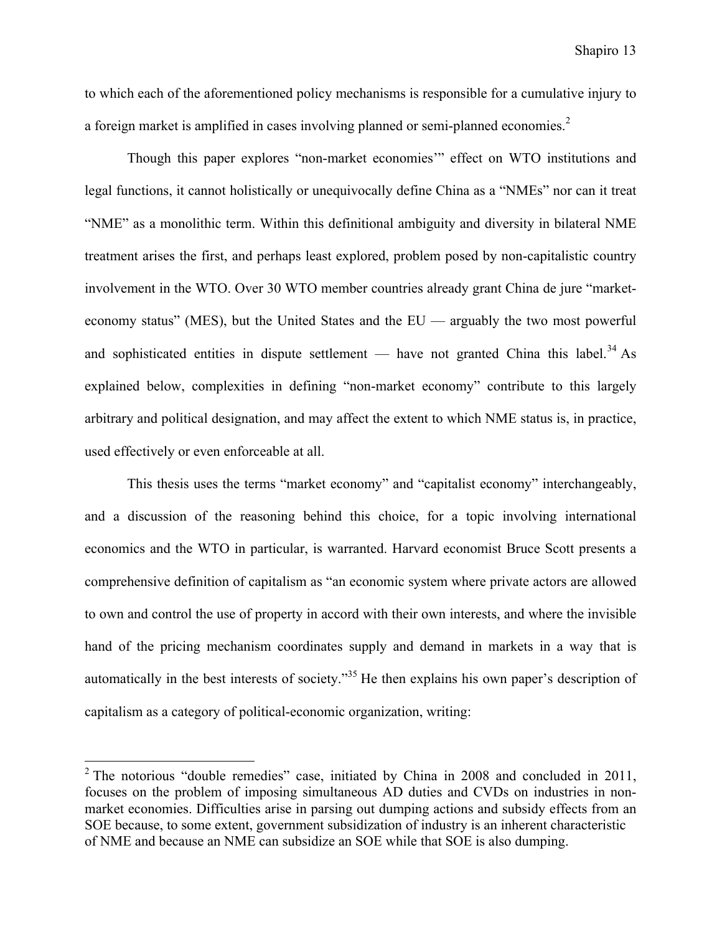to which each of the aforementioned policy mechanisms is responsible for a cumulative injury to a foreign market is amplified in cases involving planned or semi-planned economies.<sup>2</sup>

Though this paper explores "non-market economies'" effect on WTO institutions and legal functions, it cannot holistically or unequivocally define China as a "NMEs" nor can it treat "NME" as a monolithic term. Within this definitional ambiguity and diversity in bilateral NME treatment arises the first, and perhaps least explored, problem posed by non-capitalistic country involvement in the WTO. Over 30 WTO member countries already grant China de jure "marketeconomy status" (MES), but the United States and the EU — arguably the two most powerful and sophisticated entities in dispute settlement — have not granted China this label.<sup>34</sup> As explained below, complexities in defining "non-market economy" contribute to this largely arbitrary and political designation, and may affect the extent to which NME status is, in practice, used effectively or even enforceable at all.

This thesis uses the terms "market economy" and "capitalist economy" interchangeably, and a discussion of the reasoning behind this choice, for a topic involving international economics and the WTO in particular, is warranted. Harvard economist Bruce Scott presents a comprehensive definition of capitalism as "an economic system where private actors are allowed to own and control the use of property in accord with their own interests, and where the invisible hand of the pricing mechanism coordinates supply and demand in markets in a way that is automatically in the best interests of society."<sup>35</sup> He then explains his own paper's description of capitalism as a category of political-economic organization, writing:

<sup>&</sup>lt;sup>2</sup> The notorious "double remedies" case, initiated by China in 2008 and concluded in 2011, focuses on the problem of imposing simultaneous AD duties and CVDs on industries in nonmarket economies. Difficulties arise in parsing out dumping actions and subsidy effects from an SOE because, to some extent, government subsidization of industry is an inherent characteristic of NME and because an NME can subsidize an SOE while that SOE is also dumping.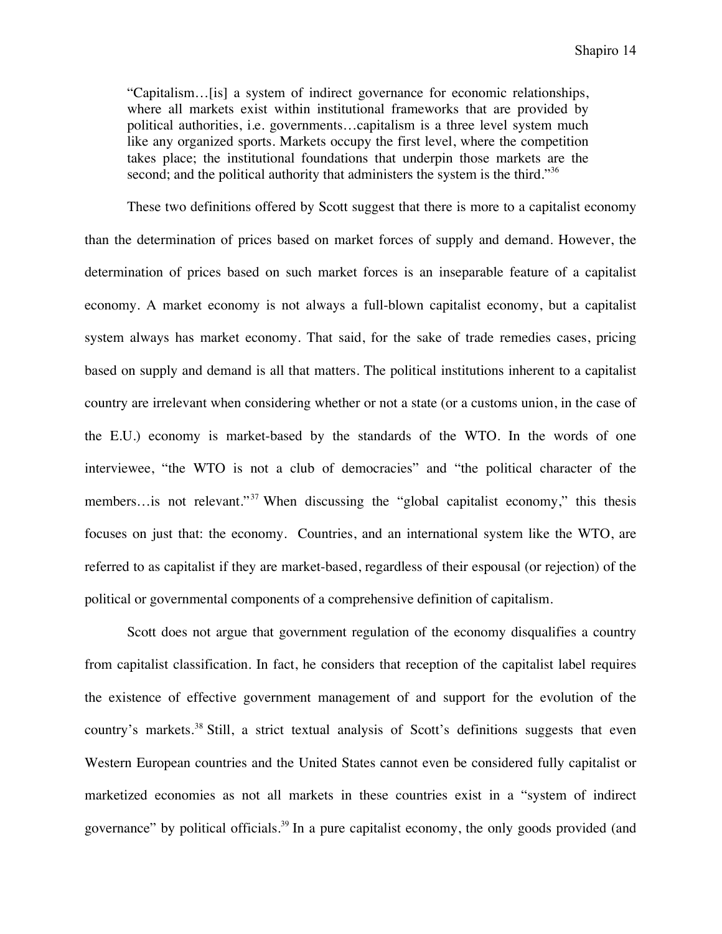"Capitalism…[is] a system of indirect governance for economic relationships, where all markets exist within institutional frameworks that are provided by political authorities, i.e. governments…capitalism is a three level system much like any organized sports. Markets occupy the first level, where the competition takes place; the institutional foundations that underpin those markets are the second; and the political authority that administers the system is the third." $36$ 

These two definitions offered by Scott suggest that there is more to a capitalist economy than the determination of prices based on market forces of supply and demand. However, the determination of prices based on such market forces is an inseparable feature of a capitalist economy. A market economy is not always a full-blown capitalist economy, but a capitalist system always has market economy. That said, for the sake of trade remedies cases, pricing based on supply and demand is all that matters. The political institutions inherent to a capitalist country are irrelevant when considering whether or not a state (or a customs union, in the case of the E.U.) economy is market-based by the standards of the WTO. In the words of one interviewee, "the WTO is not a club of democracies" and "the political character of the members…is not relevant."<sup>37</sup> When discussing the "global capitalist economy," this thesis focuses on just that: the economy. Countries, and an international system like the WTO, are referred to as capitalist if they are market-based, regardless of their espousal (or rejection) of the political or governmental components of a comprehensive definition of capitalism.

Scott does not argue that government regulation of the economy disqualifies a country from capitalist classification. In fact, he considers that reception of the capitalist label requires the existence of effective government management of and support for the evolution of the country's markets.<sup>38</sup> Still, a strict textual analysis of Scott's definitions suggests that even Western European countries and the United States cannot even be considered fully capitalist or marketized economies as not all markets in these countries exist in a "system of indirect governance" by political officials.<sup>39</sup> In a pure capitalist economy, the only goods provided (and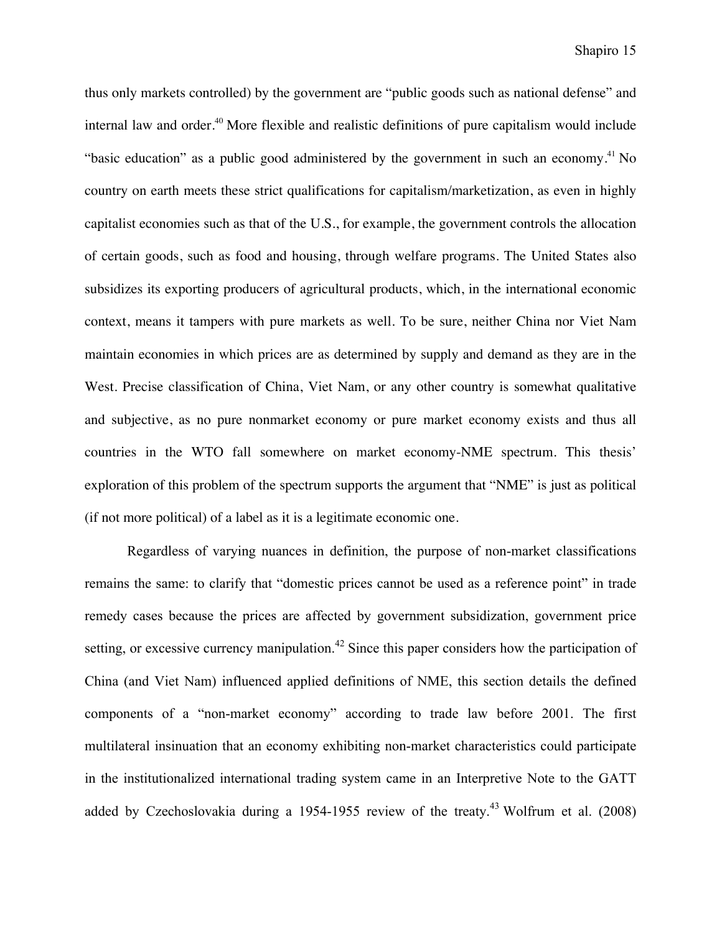thus only markets controlled) by the government are "public goods such as national defense" and internal law and order.<sup>40</sup> More flexible and realistic definitions of pure capitalism would include "basic education" as a public good administered by the government in such an economy.41 No country on earth meets these strict qualifications for capitalism/marketization, as even in highly capitalist economies such as that of the U.S., for example, the government controls the allocation of certain goods, such as food and housing, through welfare programs. The United States also subsidizes its exporting producers of agricultural products, which, in the international economic context, means it tampers with pure markets as well. To be sure, neither China nor Viet Nam maintain economies in which prices are as determined by supply and demand as they are in the West. Precise classification of China, Viet Nam, or any other country is somewhat qualitative and subjective, as no pure nonmarket economy or pure market economy exists and thus all countries in the WTO fall somewhere on market economy-NME spectrum. This thesis' exploration of this problem of the spectrum supports the argument that "NME" is just as political (if not more political) of a label as it is a legitimate economic one.

Regardless of varying nuances in definition, the purpose of non-market classifications remains the same: to clarify that "domestic prices cannot be used as a reference point" in trade remedy cases because the prices are affected by government subsidization, government price setting, or excessive currency manipulation.<sup>42</sup> Since this paper considers how the participation of China (and Viet Nam) influenced applied definitions of NME, this section details the defined components of a "non-market economy" according to trade law before 2001. The first multilateral insinuation that an economy exhibiting non-market characteristics could participate in the institutionalized international trading system came in an Interpretive Note to the GATT added by Czechoslovakia during a 1954-1955 review of the treaty.<sup>43</sup> Wolfrum et al.  $(2008)$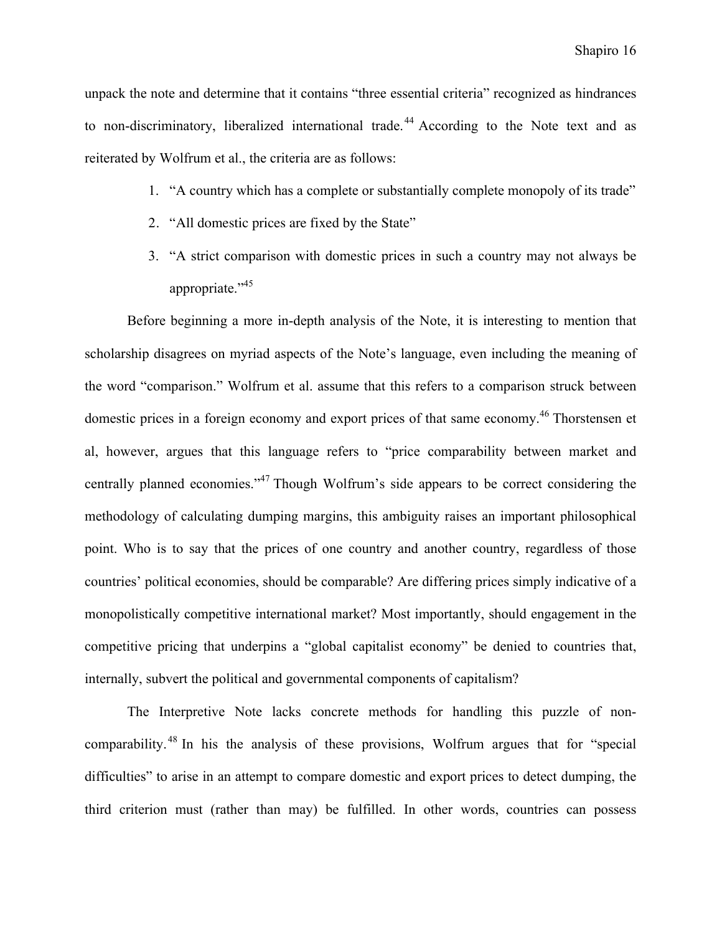unpack the note and determine that it contains "three essential criteria" recognized as hindrances to non-discriminatory, liberalized international trade.<sup>44</sup> According to the Note text and as reiterated by Wolfrum et al., the criteria are as follows:

- 1. "A country which has a complete or substantially complete monopoly of its trade"
- 2. "All domestic prices are fixed by the State"
- 3. "A strict comparison with domestic prices in such a country may not always be appropriate."<sup>45</sup>

Before beginning a more in-depth analysis of the Note, it is interesting to mention that scholarship disagrees on myriad aspects of the Note's language, even including the meaning of the word "comparison." Wolfrum et al. assume that this refers to a comparison struck between domestic prices in a foreign economy and export prices of that same economy.<sup>46</sup> Thorstensen et al, however, argues that this language refers to "price comparability between market and centrally planned economies."<sup>47</sup> Though Wolfrum's side appears to be correct considering the methodology of calculating dumping margins, this ambiguity raises an important philosophical point. Who is to say that the prices of one country and another country, regardless of those countries' political economies, should be comparable? Are differing prices simply indicative of a monopolistically competitive international market? Most importantly, should engagement in the competitive pricing that underpins a "global capitalist economy" be denied to countries that, internally, subvert the political and governmental components of capitalism?

The Interpretive Note lacks concrete methods for handling this puzzle of noncomparability.<sup>48</sup> In his the analysis of these provisions, Wolfrum argues that for "special difficulties" to arise in an attempt to compare domestic and export prices to detect dumping, the third criterion must (rather than may) be fulfilled. In other words, countries can possess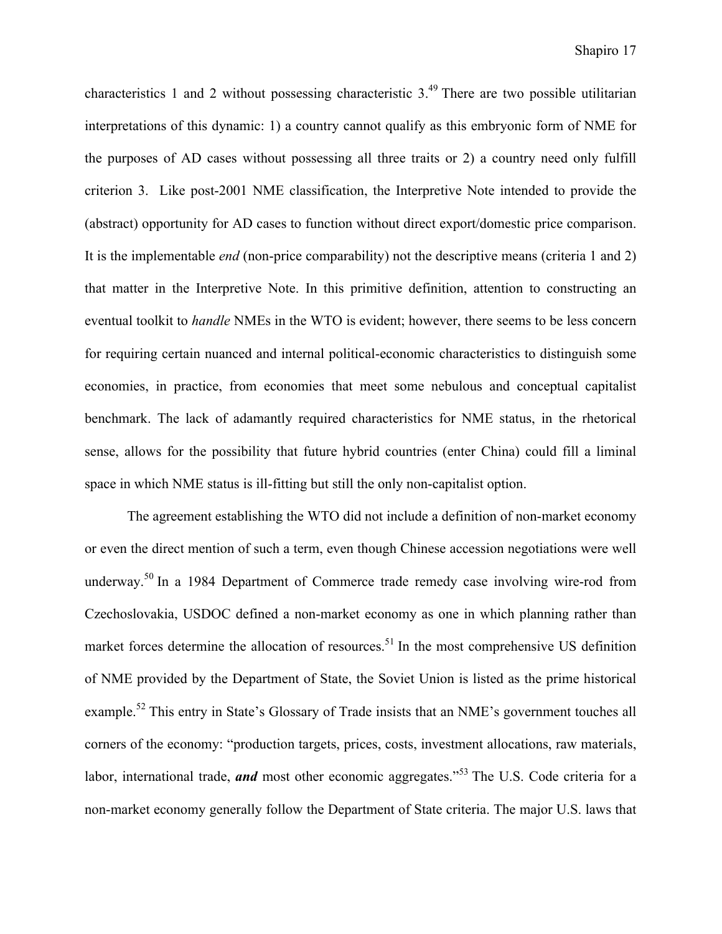characteristics 1 and 2 without possessing characteristic  $3<sup>49</sup>$  There are two possible utilitarian interpretations of this dynamic: 1) a country cannot qualify as this embryonic form of NME for the purposes of AD cases without possessing all three traits or 2) a country need only fulfill criterion 3. Like post-2001 NME classification, the Interpretive Note intended to provide the (abstract) opportunity for AD cases to function without direct export/domestic price comparison. It is the implementable *end* (non-price comparability) not the descriptive means (criteria 1 and 2) that matter in the Interpretive Note. In this primitive definition, attention to constructing an eventual toolkit to *handle* NMEs in the WTO is evident; however, there seems to be less concern for requiring certain nuanced and internal political-economic characteristics to distinguish some economies, in practice, from economies that meet some nebulous and conceptual capitalist benchmark. The lack of adamantly required characteristics for NME status, in the rhetorical sense, allows for the possibility that future hybrid countries (enter China) could fill a liminal space in which NME status is ill-fitting but still the only non-capitalist option.

The agreement establishing the WTO did not include a definition of non-market economy or even the direct mention of such a term, even though Chinese accession negotiations were well underway.<sup>50</sup> In a 1984 Department of Commerce trade remedy case involving wire-rod from Czechoslovakia, USDOC defined a non-market economy as one in which planning rather than market forces determine the allocation of resources.<sup>51</sup> In the most comprehensive US definition of NME provided by the Department of State, the Soviet Union is listed as the prime historical example.<sup>52</sup> This entry in State's Glossary of Trade insists that an NME's government touches all corners of the economy: "production targets, prices, costs, investment allocations, raw materials, labor, international trade, *and* most other economic aggregates."<sup>53</sup> The U.S. Code criteria for a non-market economy generally follow the Department of State criteria. The major U.S. laws that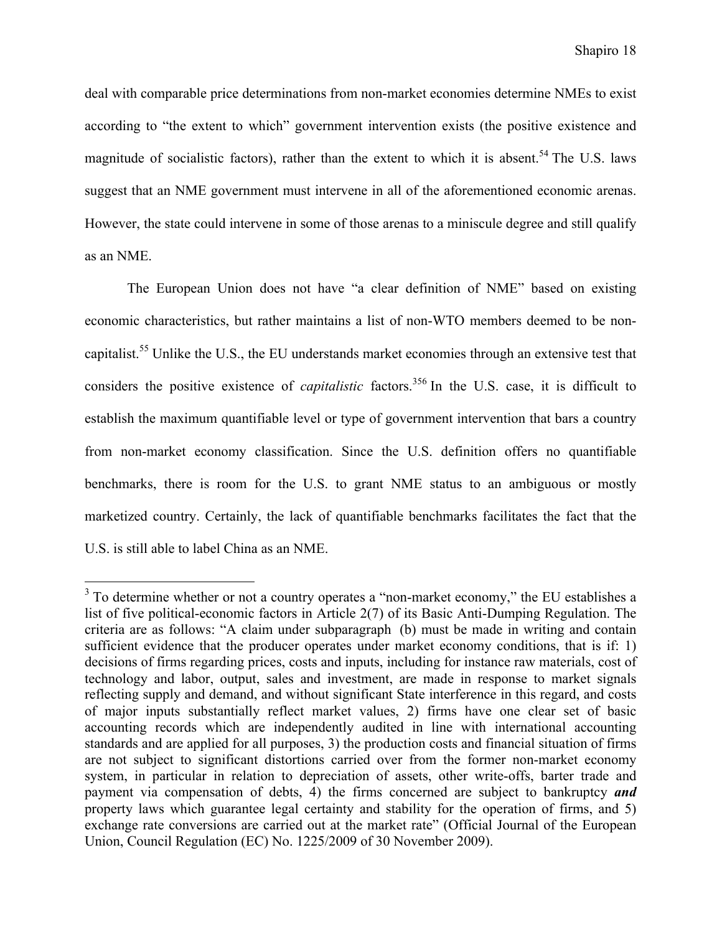deal with comparable price determinations from non-market economies determine NMEs to exist according to "the extent to which" government intervention exists (the positive existence and magnitude of socialistic factors), rather than the extent to which it is absent.<sup>54</sup> The U.S. laws suggest that an NME government must intervene in all of the aforementioned economic arenas. However, the state could intervene in some of those arenas to a miniscule degree and still qualify as an NME.

The European Union does not have "a clear definition of NME" based on existing economic characteristics, but rather maintains a list of non-WTO members deemed to be noncapitalist.<sup>55</sup> Unlike the U.S., the EU understands market economies through an extensive test that considers the positive existence of *capitalistic* factors. <sup>356</sup> In the U.S. case, it is difficult to establish the maximum quantifiable level or type of government intervention that bars a country from non-market economy classification. Since the U.S. definition offers no quantifiable benchmarks, there is room for the U.S. to grant NME status to an ambiguous or mostly marketized country. Certainly, the lack of quantifiable benchmarks facilitates the fact that the U.S. is still able to label China as an NME.

 $3$  To determine whether or not a country operates a "non-market economy," the EU establishes a list of five political-economic factors in Article 2(7) of its Basic Anti-Dumping Regulation. The criteria are as follows: "A claim under subparagraph (b) must be made in writing and contain sufficient evidence that the producer operates under market economy conditions, that is if: 1) decisions of firms regarding prices, costs and inputs, including for instance raw materials, cost of technology and labor, output, sales and investment, are made in response to market signals reflecting supply and demand, and without significant State interference in this regard, and costs of major inputs substantially reflect market values, 2) firms have one clear set of basic accounting records which are independently audited in line with international accounting standards and are applied for all purposes, 3) the production costs and financial situation of firms are not subject to significant distortions carried over from the former non-market economy system, in particular in relation to depreciation of assets, other write-offs, barter trade and payment via compensation of debts, 4) the firms concerned are subject to bankruptcy *and*  property laws which guarantee legal certainty and stability for the operation of firms, and 5) exchange rate conversions are carried out at the market rate" (Official Journal of the European Union, Council Regulation (EC) No. 1225/2009 of 30 November 2009).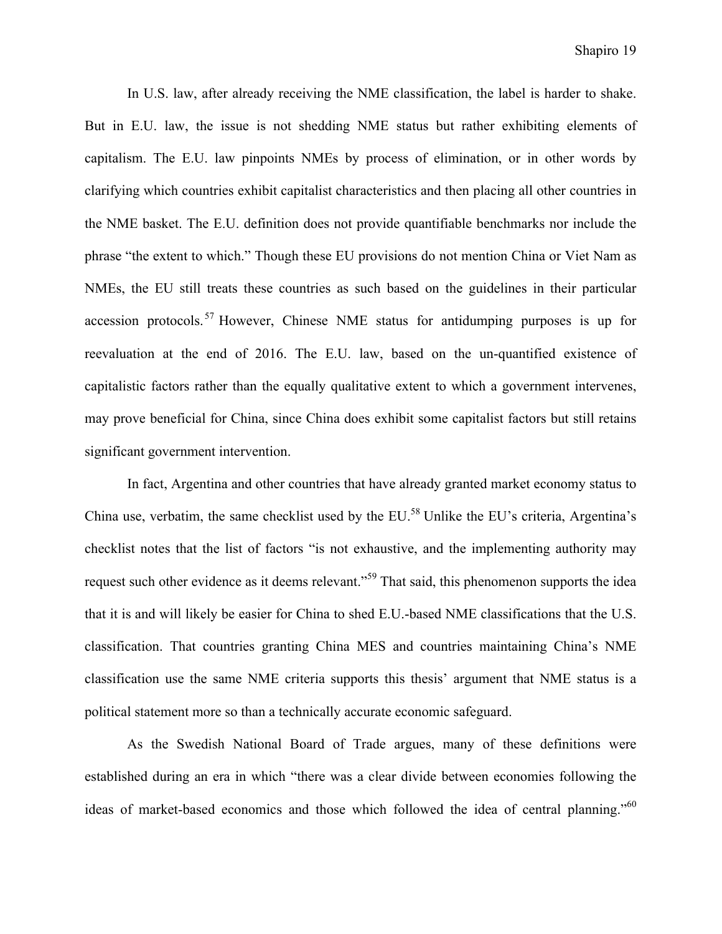In U.S. law, after already receiving the NME classification, the label is harder to shake. But in E.U. law, the issue is not shedding NME status but rather exhibiting elements of capitalism. The E.U. law pinpoints NMEs by process of elimination, or in other words by clarifying which countries exhibit capitalist characteristics and then placing all other countries in the NME basket. The E.U. definition does not provide quantifiable benchmarks nor include the phrase "the extent to which." Though these EU provisions do not mention China or Viet Nam as NMEs, the EU still treats these countries as such based on the guidelines in their particular accession protocols. <sup>57</sup> However, Chinese NME status for antidumping purposes is up for reevaluation at the end of 2016. The E.U. law, based on the un-quantified existence of capitalistic factors rather than the equally qualitative extent to which a government intervenes, may prove beneficial for China, since China does exhibit some capitalist factors but still retains significant government intervention.

In fact, Argentina and other countries that have already granted market economy status to China use, verbatim, the same checklist used by the EU.58 Unlike the EU's criteria, Argentina's checklist notes that the list of factors "is not exhaustive, and the implementing authority may request such other evidence as it deems relevant."<sup>59</sup> That said, this phenomenon supports the idea that it is and will likely be easier for China to shed E.U.-based NME classifications that the U.S. classification. That countries granting China MES and countries maintaining China's NME classification use the same NME criteria supports this thesis' argument that NME status is a political statement more so than a technically accurate economic safeguard.

As the Swedish National Board of Trade argues, many of these definitions were established during an era in which "there was a clear divide between economies following the ideas of market-based economics and those which followed the idea of central planning."<sup>60</sup>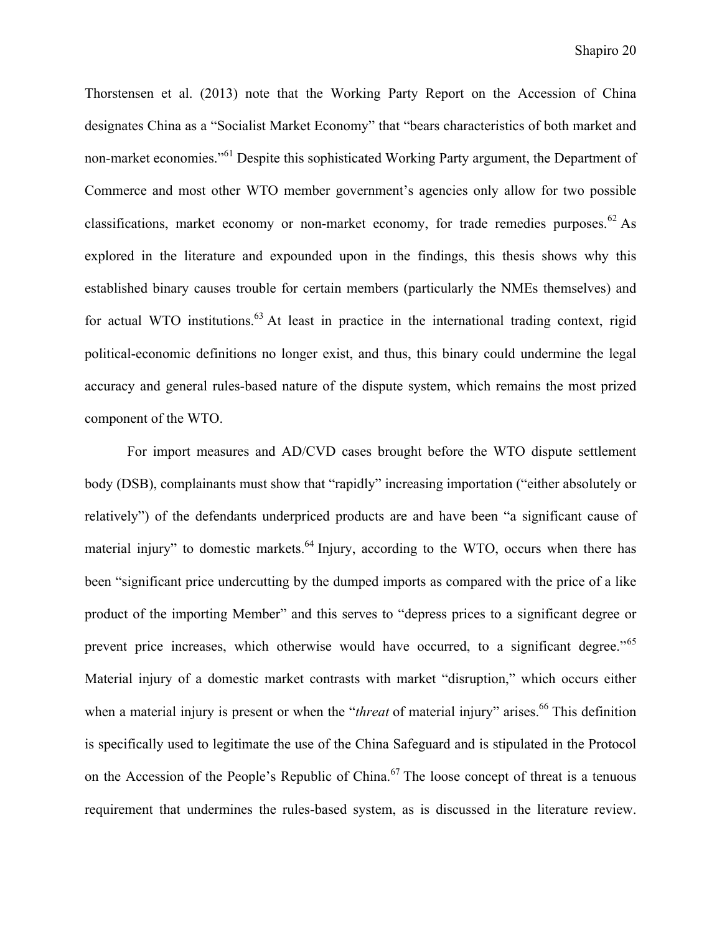Thorstensen et al. (2013) note that the Working Party Report on the Accession of China designates China as a "Socialist Market Economy" that "bears characteristics of both market and non-market economies."<sup>61</sup> Despite this sophisticated Working Party argument, the Department of Commerce and most other WTO member government's agencies only allow for two possible classifications, market economy or non-market economy, for trade remedies purposes.<sup>62</sup> As explored in the literature and expounded upon in the findings, this thesis shows why this established binary causes trouble for certain members (particularly the NMEs themselves) and for actual WTO institutions.<sup>63</sup> At least in practice in the international trading context, rigid political-economic definitions no longer exist, and thus, this binary could undermine the legal accuracy and general rules-based nature of the dispute system, which remains the most prized component of the WTO.

For import measures and AD/CVD cases brought before the WTO dispute settlement body (DSB), complainants must show that "rapidly" increasing importation ("either absolutely or relatively") of the defendants underpriced products are and have been "a significant cause of material injury" to domestic markets.<sup>64</sup> Injury, according to the WTO, occurs when there has been "significant price undercutting by the dumped imports as compared with the price of a like product of the importing Member" and this serves to "depress prices to a significant degree or prevent price increases, which otherwise would have occurred, to a significant degree."<sup>65</sup> Material injury of a domestic market contrasts with market "disruption," which occurs either when a material injury is present or when the "*threat* of material injury" arises.<sup>66</sup> This definition is specifically used to legitimate the use of the China Safeguard and is stipulated in the Protocol on the Accession of the People's Republic of China.<sup>67</sup> The loose concept of threat is a tenuous requirement that undermines the rules-based system, as is discussed in the literature review.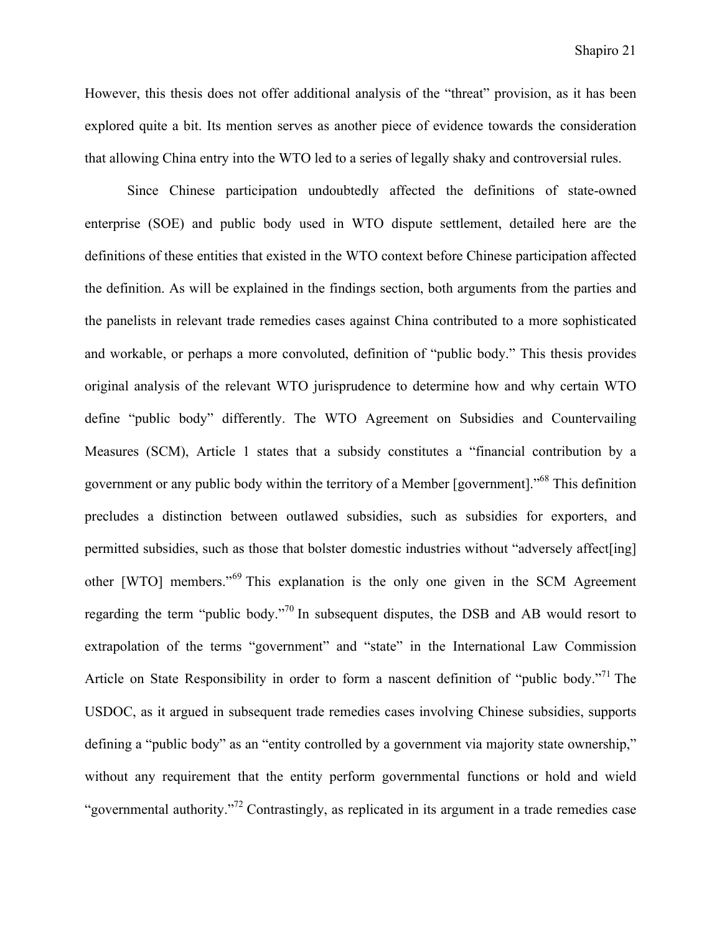However, this thesis does not offer additional analysis of the "threat" provision, as it has been explored quite a bit. Its mention serves as another piece of evidence towards the consideration that allowing China entry into the WTO led to a series of legally shaky and controversial rules.

Since Chinese participation undoubtedly affected the definitions of state-owned enterprise (SOE) and public body used in WTO dispute settlement, detailed here are the definitions of these entities that existed in the WTO context before Chinese participation affected the definition. As will be explained in the findings section, both arguments from the parties and the panelists in relevant trade remedies cases against China contributed to a more sophisticated and workable, or perhaps a more convoluted, definition of "public body." This thesis provides original analysis of the relevant WTO jurisprudence to determine how and why certain WTO define "public body" differently. The WTO Agreement on Subsidies and Countervailing Measures (SCM), Article 1 states that a subsidy constitutes a "financial contribution by a government or any public body within the territory of a Member [government]."68 This definition precludes a distinction between outlawed subsidies, such as subsidies for exporters, and permitted subsidies, such as those that bolster domestic industries without "adversely affect[ing] other [WTO] members."<sup>69</sup> This explanation is the only one given in the SCM Agreement regarding the term "public body."70 In subsequent disputes, the DSB and AB would resort to extrapolation of the terms "government" and "state" in the International Law Commission Article on State Responsibility in order to form a nascent definition of "public body."<sup>71</sup> The USDOC, as it argued in subsequent trade remedies cases involving Chinese subsidies, supports defining a "public body" as an "entity controlled by a government via majority state ownership," without any requirement that the entity perform governmental functions or hold and wield "governmental authority."72 Contrastingly, as replicated in its argument in a trade remedies case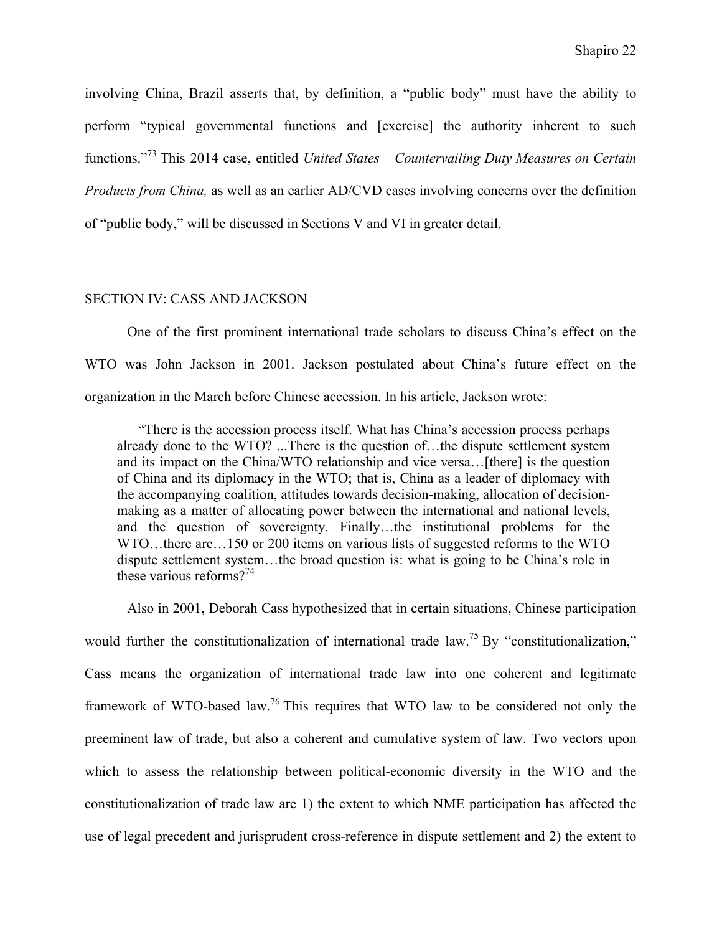involving China, Brazil asserts that, by definition, a "public body" must have the ability to perform "typical governmental functions and [exercise] the authority inherent to such functions."<sup>73</sup> This 2014 case, entitled *United States – Countervailing Duty Measures on Certain Products from China,* as well as an earlier AD/CVD cases involving concerns over the definition of "public body," will be discussed in Sections V and VI in greater detail.

#### SECTION IV: CASS AND JACKSON

One of the first prominent international trade scholars to discuss China's effect on the WTO was John Jackson in 2001. Jackson postulated about China's future effect on the organization in the March before Chinese accession. In his article, Jackson wrote:

"There is the accession process itself. What has China's accession process perhaps already done to the WTO? ...There is the question of…the dispute settlement system and its impact on the China/WTO relationship and vice versa…[there] is the question of China and its diplomacy in the WTO; that is, China as a leader of diplomacy with the accompanying coalition, attitudes towards decision-making, allocation of decisionmaking as a matter of allocating power between the international and national levels, and the question of sovereignty. Finally…the institutional problems for the WTO...there are...150 or 200 items on various lists of suggested reforms to the WTO dispute settlement system…the broad question is: what is going to be China's role in these various reforms?<sup>74</sup>

Also in 2001, Deborah Cass hypothesized that in certain situations, Chinese participation

would further the constitutionalization of international trade law.<sup>75</sup> By "constitutionalization," Cass means the organization of international trade law into one coherent and legitimate framework of WTO-based law.76 This requires that WTO law to be considered not only the preeminent law of trade, but also a coherent and cumulative system of law. Two vectors upon which to assess the relationship between political-economic diversity in the WTO and the constitutionalization of trade law are 1) the extent to which NME participation has affected the use of legal precedent and jurisprudent cross-reference in dispute settlement and 2) the extent to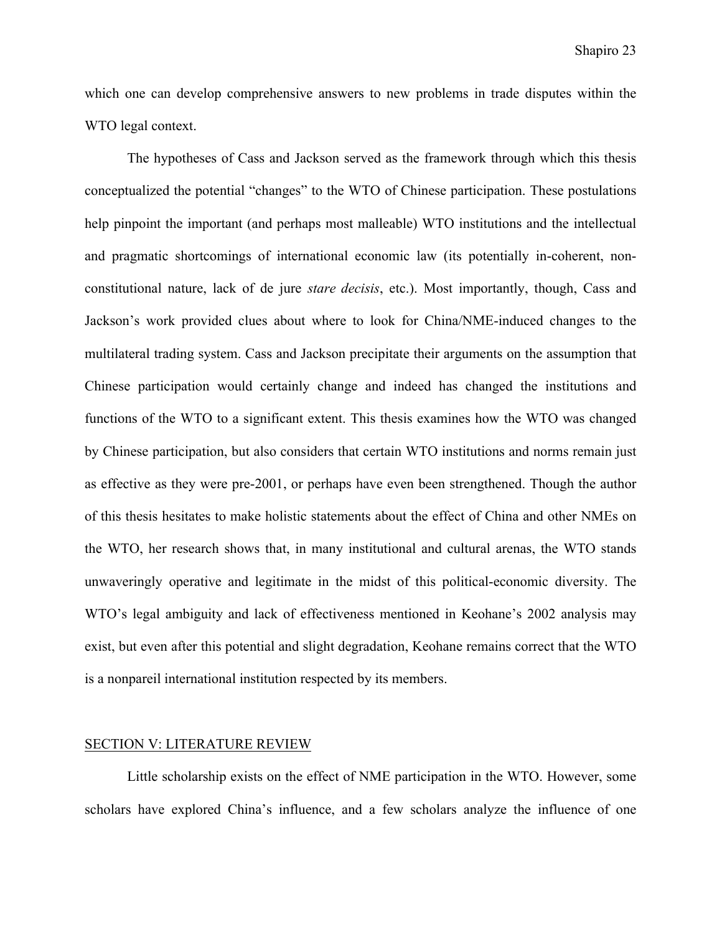which one can develop comprehensive answers to new problems in trade disputes within the WTO legal context.

The hypotheses of Cass and Jackson served as the framework through which this thesis conceptualized the potential "changes" to the WTO of Chinese participation. These postulations help pinpoint the important (and perhaps most malleable) WTO institutions and the intellectual and pragmatic shortcomings of international economic law (its potentially in-coherent, nonconstitutional nature, lack of de jure *stare decisis*, etc.). Most importantly, though, Cass and Jackson's work provided clues about where to look for China/NME-induced changes to the multilateral trading system. Cass and Jackson precipitate their arguments on the assumption that Chinese participation would certainly change and indeed has changed the institutions and functions of the WTO to a significant extent. This thesis examines how the WTO was changed by Chinese participation, but also considers that certain WTO institutions and norms remain just as effective as they were pre-2001, or perhaps have even been strengthened. Though the author of this thesis hesitates to make holistic statements about the effect of China and other NMEs on the WTO, her research shows that, in many institutional and cultural arenas, the WTO stands unwaveringly operative and legitimate in the midst of this political-economic diversity. The WTO's legal ambiguity and lack of effectiveness mentioned in Keohane's 2002 analysis may exist, but even after this potential and slight degradation, Keohane remains correct that the WTO is a nonpareil international institution respected by its members.

#### SECTION V: LITERATURE REVIEW

Little scholarship exists on the effect of NME participation in the WTO. However, some scholars have explored China's influence, and a few scholars analyze the influence of one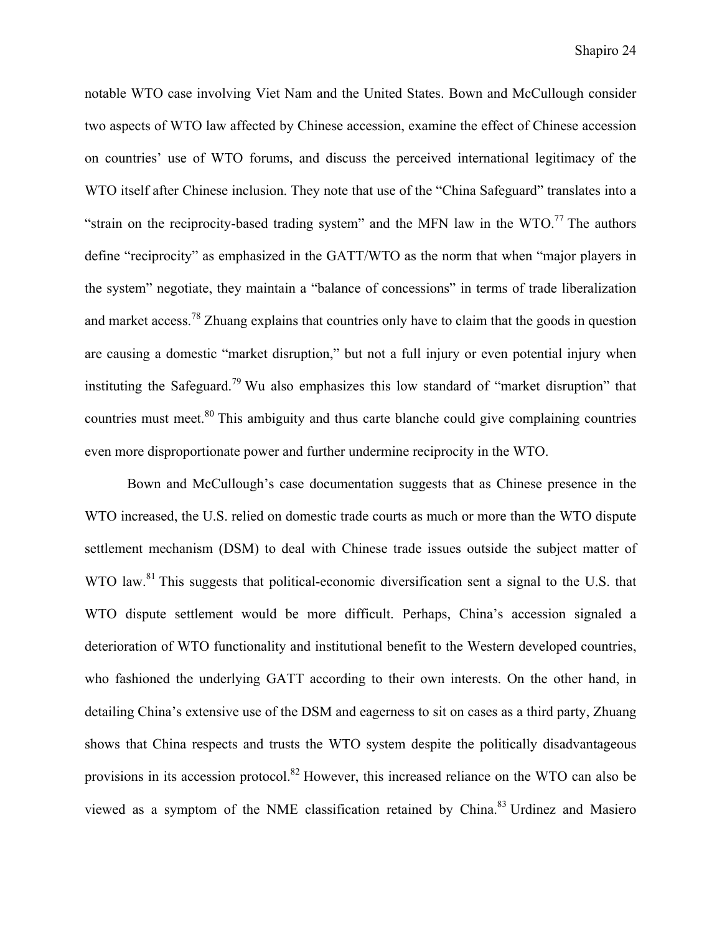notable WTO case involving Viet Nam and the United States. Bown and McCullough consider two aspects of WTO law affected by Chinese accession, examine the effect of Chinese accession on countries' use of WTO forums, and discuss the perceived international legitimacy of the WTO itself after Chinese inclusion. They note that use of the "China Safeguard" translates into a "strain on the reciprocity-based trading system" and the MFN law in the WTO.<sup>77</sup> The authors define "reciprocity" as emphasized in the GATT/WTO as the norm that when "major players in the system" negotiate, they maintain a "balance of concessions" in terms of trade liberalization and market access.<sup>78</sup> Zhuang explains that countries only have to claim that the goods in question are causing a domestic "market disruption," but not a full injury or even potential injury when instituting the Safeguard.<sup>79</sup> Wu also emphasizes this low standard of "market disruption" that countries must meet.<sup>80</sup> This ambiguity and thus carte blanche could give complaining countries even more disproportionate power and further undermine reciprocity in the WTO.

Bown and McCullough's case documentation suggests that as Chinese presence in the WTO increased, the U.S. relied on domestic trade courts as much or more than the WTO dispute settlement mechanism (DSM) to deal with Chinese trade issues outside the subject matter of WTO law.<sup>81</sup> This suggests that political-economic diversification sent a signal to the U.S. that WTO dispute settlement would be more difficult. Perhaps, China's accession signaled a deterioration of WTO functionality and institutional benefit to the Western developed countries, who fashioned the underlying GATT according to their own interests. On the other hand, in detailing China's extensive use of the DSM and eagerness to sit on cases as a third party, Zhuang shows that China respects and trusts the WTO system despite the politically disadvantageous provisions in its accession protocol.<sup>82</sup> However, this increased reliance on the WTO can also be viewed as a symptom of the NME classification retained by China.<sup>83</sup> Urdinez and Masiero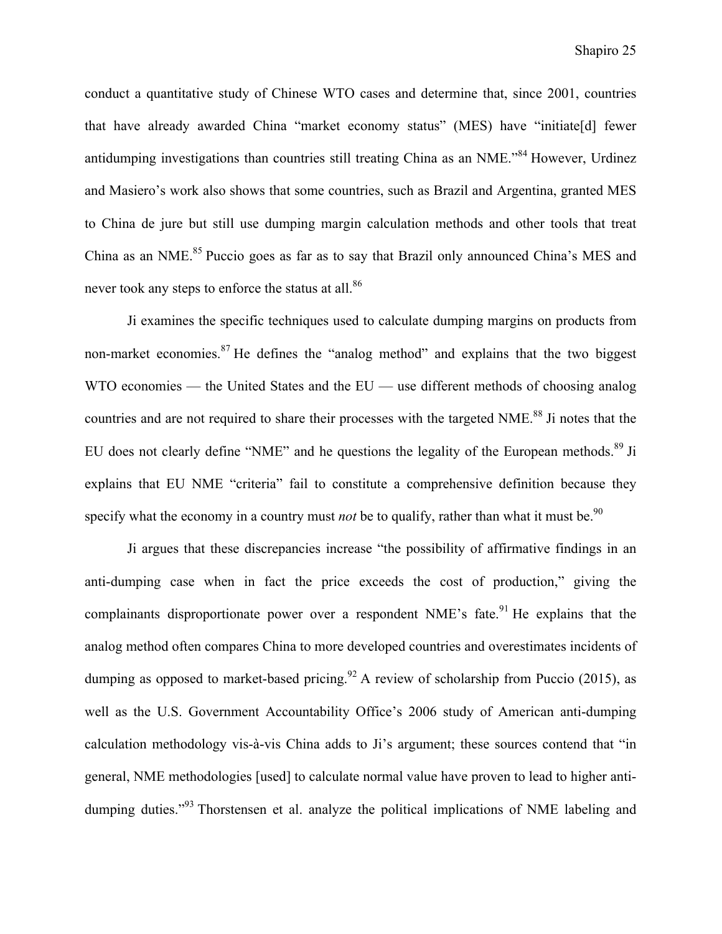conduct a quantitative study of Chinese WTO cases and determine that, since 2001, countries that have already awarded China "market economy status" (MES) have "initiate[d] fewer antidumping investigations than countries still treating China as an NME.<sup>84</sup> However, Urdinez and Masiero's work also shows that some countries, such as Brazil and Argentina, granted MES to China de jure but still use dumping margin calculation methods and other tools that treat China as an NME.<sup>85</sup> Puccio goes as far as to say that Brazil only announced China's MES and never took any steps to enforce the status at all.<sup>86</sup>

Ji examines the specific techniques used to calculate dumping margins on products from non-market economies. <sup>87</sup> He defines the "analog method" and explains that the two biggest WTO economies — the United States and the EU — use different methods of choosing analog countries and are not required to share their processes with the targeted NME.<sup>88</sup> Ji notes that the EU does not clearly define "NME" and he questions the legality of the European methods. $89$  Ji explains that EU NME "criteria" fail to constitute a comprehensive definition because they specify what the economy in a country must *not* be to qualify, rather than what it must be.<sup>90</sup>

Ji argues that these discrepancies increase "the possibility of affirmative findings in an anti-dumping case when in fact the price exceeds the cost of production," giving the complainants disproportionate power over a respondent NME's fate.<sup>91</sup> He explains that the analog method often compares China to more developed countries and overestimates incidents of dumping as opposed to market-based pricing.<sup>92</sup> A review of scholarship from Puccio (2015), as well as the U.S. Government Accountability Office's 2006 study of American anti-dumping calculation methodology vis-à-vis China adds to Ji's argument; these sources contend that "in general, NME methodologies [used] to calculate normal value have proven to lead to higher antidumping duties."<sup>93</sup> Thorstensen et al. analyze the political implications of NME labeling and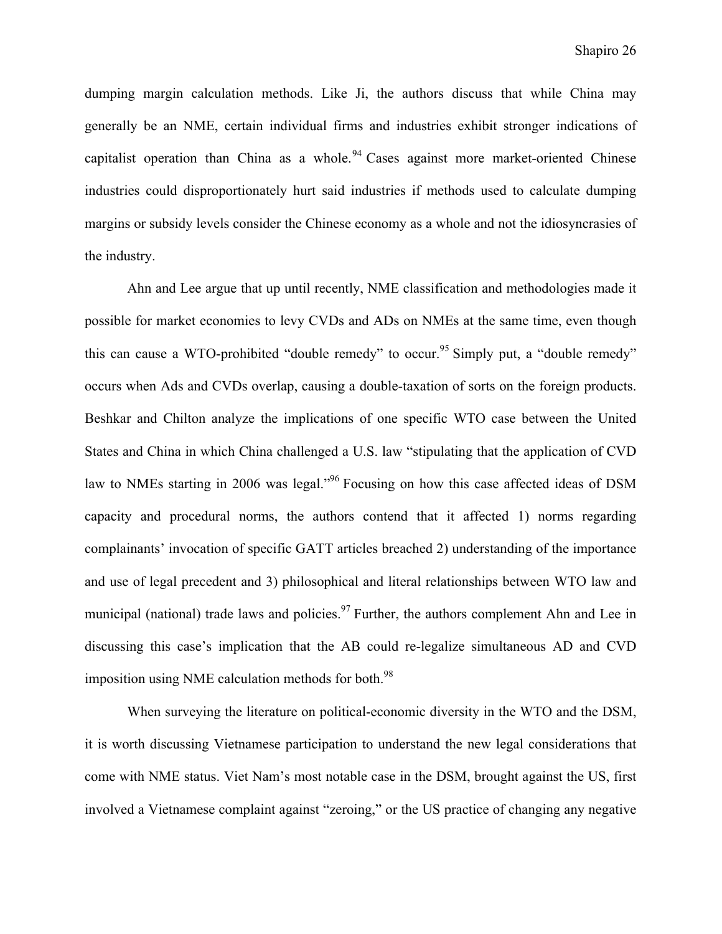dumping margin calculation methods. Like Ji, the authors discuss that while China may generally be an NME, certain individual firms and industries exhibit stronger indications of capitalist operation than China as a whole.<sup>94</sup> Cases against more market-oriented Chinese industries could disproportionately hurt said industries if methods used to calculate dumping margins or subsidy levels consider the Chinese economy as a whole and not the idiosyncrasies of the industry.

Ahn and Lee argue that up until recently, NME classification and methodologies made it possible for market economies to levy CVDs and ADs on NMEs at the same time, even though this can cause a WTO-prohibited "double remedy" to occur.<sup>95</sup> Simply put, a "double remedy" occurs when Ads and CVDs overlap, causing a double-taxation of sorts on the foreign products. Beshkar and Chilton analyze the implications of one specific WTO case between the United States and China in which China challenged a U.S. law "stipulating that the application of CVD law to NMEs starting in 2006 was legal."<sup>96</sup> Focusing on how this case affected ideas of DSM capacity and procedural norms, the authors contend that it affected 1) norms regarding complainants' invocation of specific GATT articles breached 2) understanding of the importance and use of legal precedent and 3) philosophical and literal relationships between WTO law and municipal (national) trade laws and policies.<sup>97</sup> Further, the authors complement Ahn and Lee in discussing this case's implication that the AB could re-legalize simultaneous AD and CVD imposition using NME calculation methods for both. $98$ 

When surveying the literature on political-economic diversity in the WTO and the DSM, it is worth discussing Vietnamese participation to understand the new legal considerations that come with NME status. Viet Nam's most notable case in the DSM, brought against the US, first involved a Vietnamese complaint against "zeroing," or the US practice of changing any negative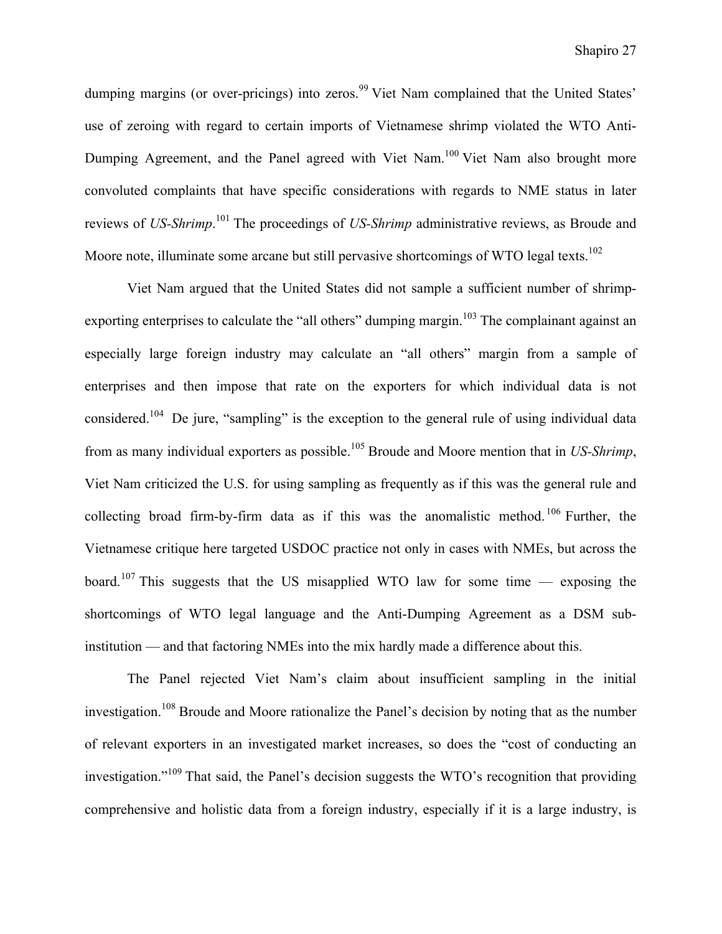dumping margins (or over-pricings) into zeros.<sup>99</sup> Viet Nam complained that the United States' use of zeroing with regard to certain imports of Vietnamese shrimp violated the WTO Anti-Dumping Agreement, and the Panel agreed with Viet Nam.<sup>100</sup> Viet Nam also brought more convoluted complaints that have specific considerations with regards to NME status in later reviews of *US-Shrimp*. <sup>101</sup> The proceedings of *US-Shrimp* administrative reviews, as Broude and Moore note, illuminate some arcane but still pervasive shortcomings of WTO legal texts.<sup>102</sup>

Viet Nam argued that the United States did not sample a sufficient number of shrimpexporting enterprises to calculate the "all others" dumping margin.<sup>103</sup> The complainant against an especially large foreign industry may calculate an "all others" margin from a sample of enterprises and then impose that rate on the exporters for which individual data is not considered.<sup>104</sup> De jure, "sampling" is the exception to the general rule of using individual data from as many individual exporters as possible.<sup>105</sup> Broude and Moore mention that in *US-Shrimp*, Viet Nam criticized the U.S. for using sampling as frequently as if this was the general rule and collecting broad firm-by-firm data as if this was the anomalistic method.  $106$  Further, the Vietnamese critique here targeted USDOC practice not only in cases with NMEs, but across the board.<sup>107</sup> This suggests that the US misapplied WTO law for some time — exposing the shortcomings of WTO legal language and the Anti-Dumping Agreement as a DSM subinstitution — and that factoring NMEs into the mix hardly made a difference about this.

The Panel rejected Viet Nam's claim about insufficient sampling in the initial investigation.<sup>108</sup> Broude and Moore rationalize the Panel's decision by noting that as the number of relevant exporters in an investigated market increases, so does the "cost of conducting an investigation."<sup>109</sup> That said, the Panel's decision suggests the WTO's recognition that providing comprehensive and holistic data from a foreign industry, especially if it is a large industry, is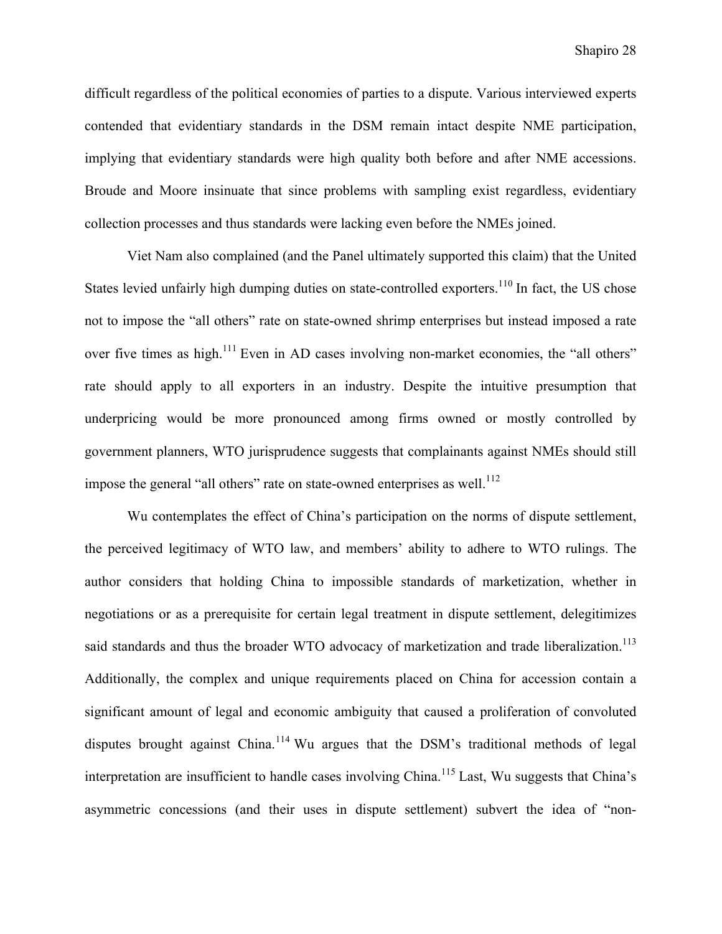difficult regardless of the political economies of parties to a dispute. Various interviewed experts contended that evidentiary standards in the DSM remain intact despite NME participation, implying that evidentiary standards were high quality both before and after NME accessions. Broude and Moore insinuate that since problems with sampling exist regardless, evidentiary collection processes and thus standards were lacking even before the NMEs joined.

Viet Nam also complained (and the Panel ultimately supported this claim) that the United States levied unfairly high dumping duties on state-controlled exporters.<sup>110</sup> In fact, the US chose not to impose the "all others" rate on state-owned shrimp enterprises but instead imposed a rate over five times as high.<sup>111</sup> Even in AD cases involving non-market economies, the "all others" rate should apply to all exporters in an industry. Despite the intuitive presumption that underpricing would be more pronounced among firms owned or mostly controlled by government planners, WTO jurisprudence suggests that complainants against NMEs should still impose the general "all others" rate on state-owned enterprises as well.<sup>112</sup>

Wu contemplates the effect of China's participation on the norms of dispute settlement, the perceived legitimacy of WTO law, and members' ability to adhere to WTO rulings. The author considers that holding China to impossible standards of marketization, whether in negotiations or as a prerequisite for certain legal treatment in dispute settlement, delegitimizes said standards and thus the broader WTO advocacy of marketization and trade liberalization.<sup>113</sup> Additionally, the complex and unique requirements placed on China for accession contain a significant amount of legal and economic ambiguity that caused a proliferation of convoluted disputes brought against China.<sup>114</sup> Wu argues that the DSM's traditional methods of legal interpretation are insufficient to handle cases involving China.<sup>115</sup> Last, Wu suggests that China's asymmetric concessions (and their uses in dispute settlement) subvert the idea of "non-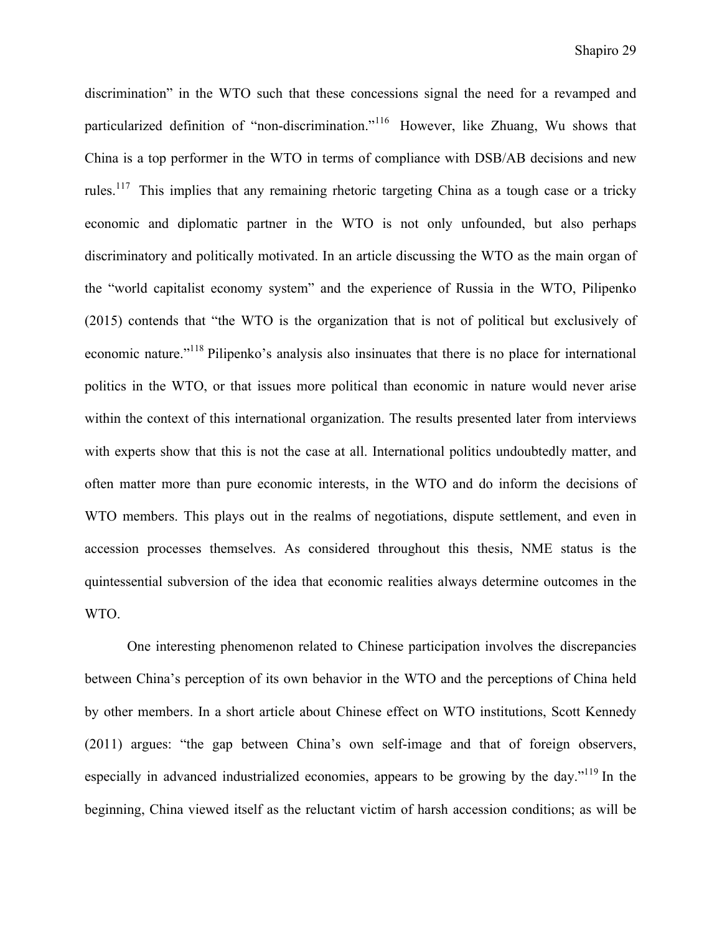discrimination" in the WTO such that these concessions signal the need for a revamped and particularized definition of "non-discrimination."<sup>116</sup> However, like Zhuang, Wu shows that China is a top performer in the WTO in terms of compliance with DSB/AB decisions and new rules.<sup>117</sup> This implies that any remaining rhetoric targeting China as a tough case or a tricky economic and diplomatic partner in the WTO is not only unfounded, but also perhaps discriminatory and politically motivated. In an article discussing the WTO as the main organ of the "world capitalist economy system" and the experience of Russia in the WTO, Pilipenko (2015) contends that "the WTO is the organization that is not of political but exclusively of economic nature."118 Pilipenko's analysis also insinuates that there is no place for international politics in the WTO, or that issues more political than economic in nature would never arise within the context of this international organization. The results presented later from interviews with experts show that this is not the case at all. International politics undoubtedly matter, and often matter more than pure economic interests, in the WTO and do inform the decisions of WTO members. This plays out in the realms of negotiations, dispute settlement, and even in accession processes themselves. As considered throughout this thesis, NME status is the quintessential subversion of the idea that economic realities always determine outcomes in the WTO.

One interesting phenomenon related to Chinese participation involves the discrepancies between China's perception of its own behavior in the WTO and the perceptions of China held by other members. In a short article about Chinese effect on WTO institutions, Scott Kennedy (2011) argues: "the gap between China's own self-image and that of foreign observers, especially in advanced industrialized economies, appears to be growing by the day."<sup>119</sup> In the beginning, China viewed itself as the reluctant victim of harsh accession conditions; as will be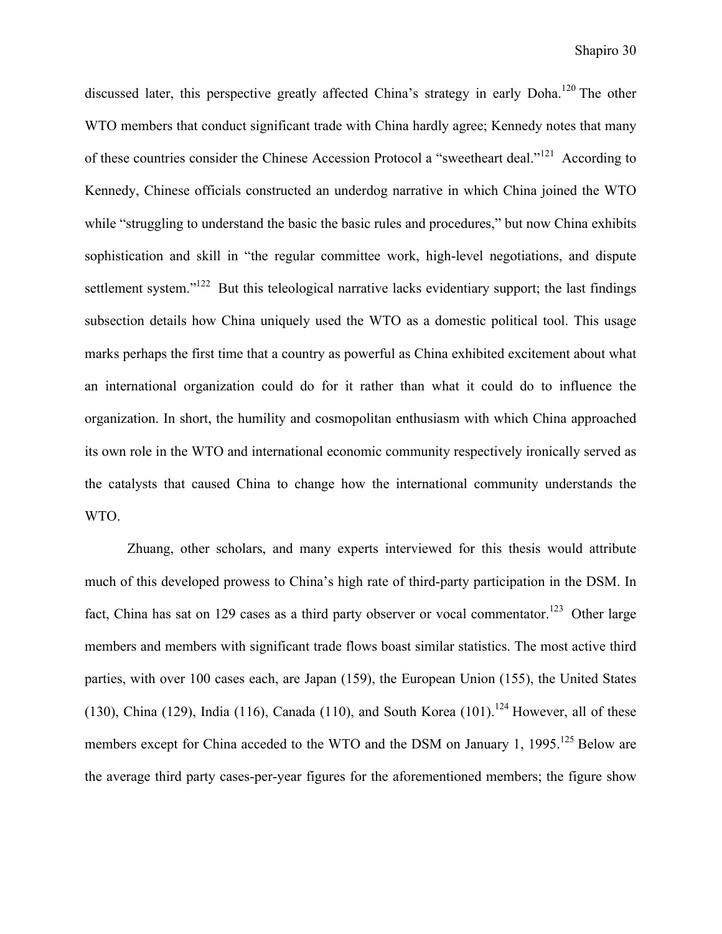discussed later, this perspective greatly affected China's strategy in early Doha.<sup>120</sup> The other WTO members that conduct significant trade with China hardly agree; Kennedy notes that many of these countries consider the Chinese Accession Protocol a "sweetheart deal."121 According to Kennedy, Chinese officials constructed an underdog narrative in which China joined the WTO while "struggling to understand the basic the basic rules and procedures," but now China exhibits sophistication and skill in "the regular committee work, high-level negotiations, and dispute settlement system."<sup>122</sup> But this teleological narrative lacks evidentiary support; the last findings subsection details how China uniquely used the WTO as a domestic political tool. This usage marks perhaps the first time that a country as powerful as China exhibited excitement about what an international organization could do for it rather than what it could do to influence the organization. In short, the humility and cosmopolitan enthusiasm with which China approached its own role in the WTO and international economic community respectively ironically served as the catalysts that caused China to change how the international community understands the WTO.

Zhuang, other scholars, and many experts interviewed for this thesis would attribute much of this developed prowess to China's high rate of third-party participation in the DSM. In fact, China has sat on 129 cases as a third party observer or vocal commentator.<sup>123</sup> Other large members and members with significant trade flows boast similar statistics. The most active third parties, with over 100 cases each, are Japan (159), the European Union (155), the United States (130), China (129), India (116), Canada (110), and South Korea (101).<sup>124</sup> However, all of these members except for China acceded to the WTO and the DSM on January 1, 1995.<sup>125</sup> Below are the average third party cases-per-year figures for the aforementioned members; the figure show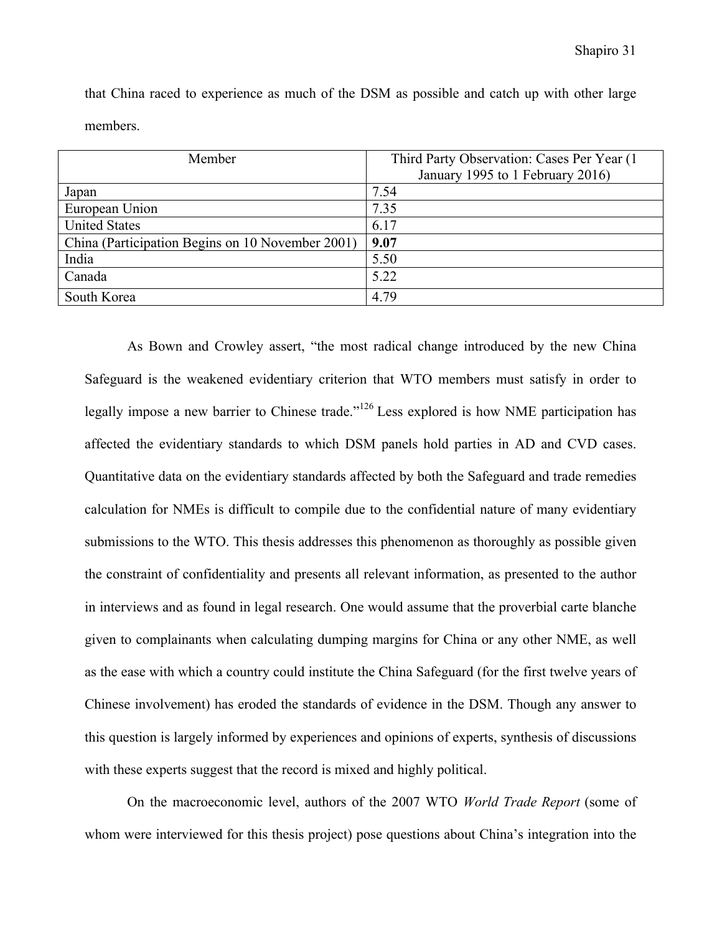| Member                                           | Third Party Observation: Cases Per Year (1) |
|--------------------------------------------------|---------------------------------------------|
|                                                  | January 1995 to 1 February 2016)            |
| Japan                                            | 7.54                                        |
| European Union                                   | 7.35                                        |
| <b>United States</b>                             | 6.17                                        |
| China (Participation Begins on 10 November 2001) | 9.07                                        |
| India                                            | 5.50                                        |
| Canada                                           | 5.22                                        |
| South Korea                                      | 4.79                                        |

that China raced to experience as much of the DSM as possible and catch up with other large members.

As Bown and Crowley assert, "the most radical change introduced by the new China Safeguard is the weakened evidentiary criterion that WTO members must satisfy in order to legally impose a new barrier to Chinese trade."<sup>126</sup> Less explored is how NME participation has affected the evidentiary standards to which DSM panels hold parties in AD and CVD cases. Quantitative data on the evidentiary standards affected by both the Safeguard and trade remedies calculation for NMEs is difficult to compile due to the confidential nature of many evidentiary submissions to the WTO. This thesis addresses this phenomenon as thoroughly as possible given the constraint of confidentiality and presents all relevant information, as presented to the author in interviews and as found in legal research. One would assume that the proverbial carte blanche given to complainants when calculating dumping margins for China or any other NME, as well as the ease with which a country could institute the China Safeguard (for the first twelve years of Chinese involvement) has eroded the standards of evidence in the DSM. Though any answer to this question is largely informed by experiences and opinions of experts, synthesis of discussions with these experts suggest that the record is mixed and highly political.

On the macroeconomic level, authors of the 2007 WTO *World Trade Report* (some of whom were interviewed for this thesis project) pose questions about China's integration into the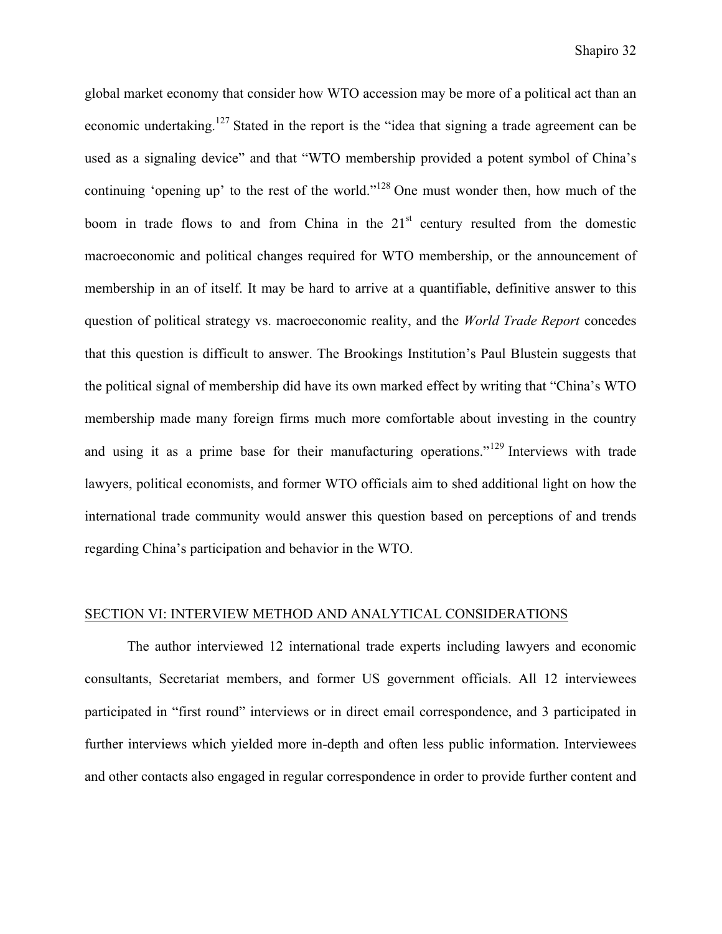global market economy that consider how WTO accession may be more of a political act than an economic undertaking.<sup>127</sup> Stated in the report is the "idea that signing a trade agreement can be used as a signaling device" and that "WTO membership provided a potent symbol of China's continuing 'opening up' to the rest of the world."<sup>128</sup> One must wonder then, how much of the boom in trade flows to and from China in the  $21<sup>st</sup>$  century resulted from the domestic macroeconomic and political changes required for WTO membership, or the announcement of membership in an of itself. It may be hard to arrive at a quantifiable, definitive answer to this question of political strategy vs. macroeconomic reality, and the *World Trade Report* concedes that this question is difficult to answer. The Brookings Institution's Paul Blustein suggests that the political signal of membership did have its own marked effect by writing that "China's WTO membership made many foreign firms much more comfortable about investing in the country and using it as a prime base for their manufacturing operations."<sup>129</sup> Interviews with trade lawyers, political economists, and former WTO officials aim to shed additional light on how the international trade community would answer this question based on perceptions of and trends regarding China's participation and behavior in the WTO.

#### SECTION VI: INTERVIEW METHOD AND ANALYTICAL CONSIDERATIONS

The author interviewed 12 international trade experts including lawyers and economic consultants, Secretariat members, and former US government officials. All 12 interviewees participated in "first round" interviews or in direct email correspondence, and 3 participated in further interviews which yielded more in-depth and often less public information. Interviewees and other contacts also engaged in regular correspondence in order to provide further content and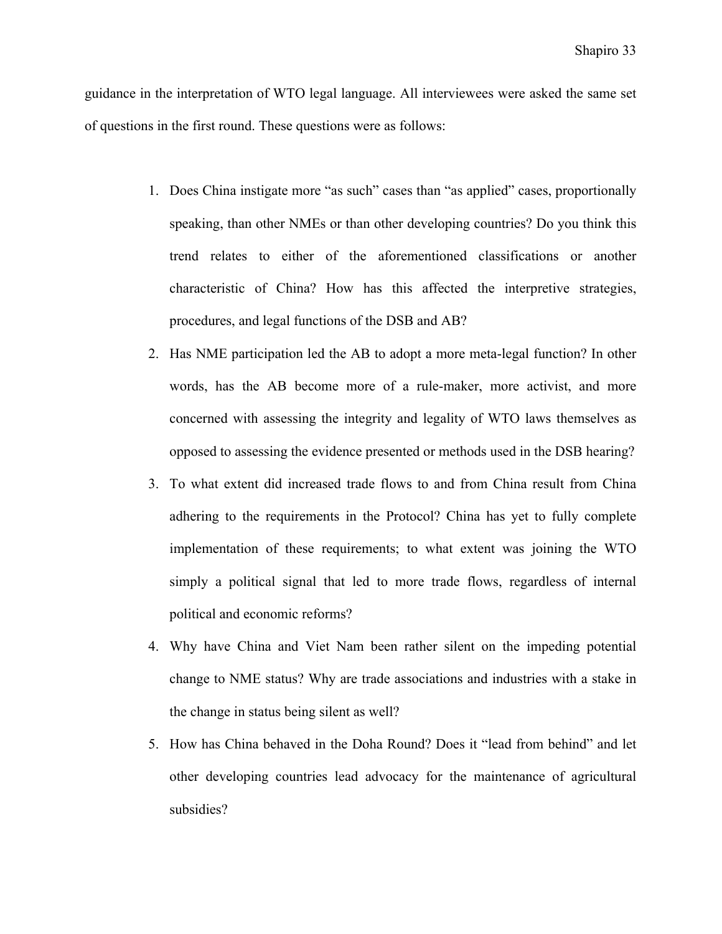guidance in the interpretation of WTO legal language. All interviewees were asked the same set of questions in the first round. These questions were as follows:

- 1. Does China instigate more "as such" cases than "as applied" cases, proportionally speaking, than other NMEs or than other developing countries? Do you think this trend relates to either of the aforementioned classifications or another characteristic of China? How has this affected the interpretive strategies, procedures, and legal functions of the DSB and AB?
- 2. Has NME participation led the AB to adopt a more meta-legal function? In other words, has the AB become more of a rule-maker, more activist, and more concerned with assessing the integrity and legality of WTO laws themselves as opposed to assessing the evidence presented or methods used in the DSB hearing?
- 3. To what extent did increased trade flows to and from China result from China adhering to the requirements in the Protocol? China has yet to fully complete implementation of these requirements; to what extent was joining the WTO simply a political signal that led to more trade flows, regardless of internal political and economic reforms?
- 4. Why have China and Viet Nam been rather silent on the impeding potential change to NME status? Why are trade associations and industries with a stake in the change in status being silent as well?
- 5. How has China behaved in the Doha Round? Does it "lead from behind" and let other developing countries lead advocacy for the maintenance of agricultural subsidies?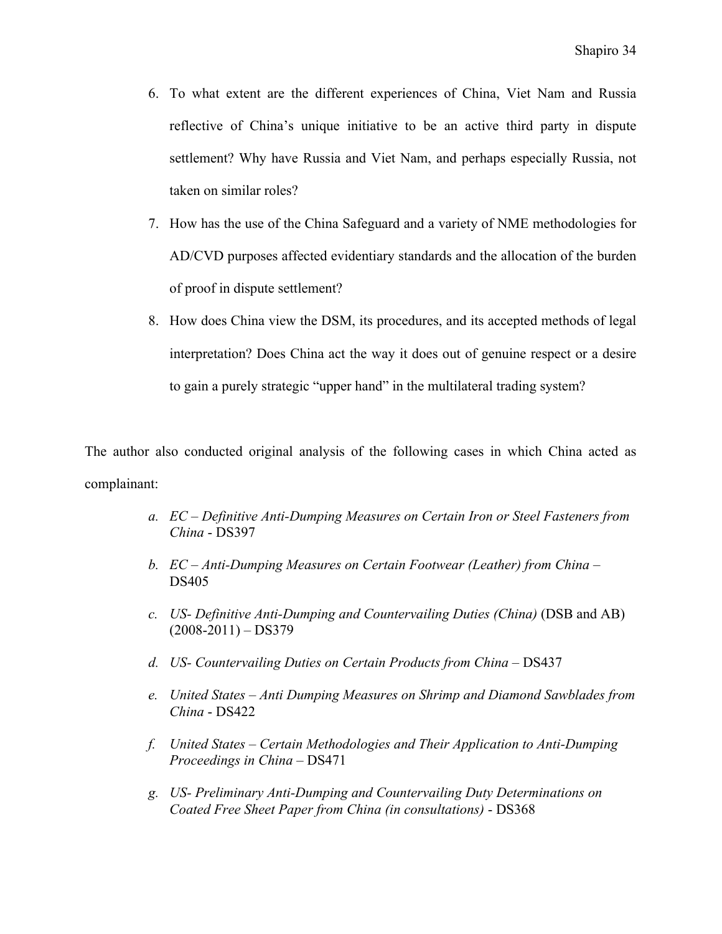- 6. To what extent are the different experiences of China, Viet Nam and Russia reflective of China's unique initiative to be an active third party in dispute settlement? Why have Russia and Viet Nam, and perhaps especially Russia, not taken on similar roles?
- 7. How has the use of the China Safeguard and a variety of NME methodologies for AD/CVD purposes affected evidentiary standards and the allocation of the burden of proof in dispute settlement?
- 8. How does China view the DSM, its procedures, and its accepted methods of legal interpretation? Does China act the way it does out of genuine respect or a desire to gain a purely strategic "upper hand" in the multilateral trading system?

The author also conducted original analysis of the following cases in which China acted as complainant:

- *a. EC – Definitive Anti-Dumping Measures on Certain Iron or Steel Fasteners from China* - DS397
- *b. EC – Anti-Dumping Measures on Certain Footwear (Leather) from China*  DS405
- *c. US- Definitive Anti-Dumping and Countervailing Duties (China)* (DSB and AB)  $(2008-2011) -$ DS379
- *d. US- Countervailing Duties on Certain Products from China*  DS437
- *e. United States – Anti Dumping Measures on Shrimp and Diamond Sawblades from China* - DS422
- *f. United States – Certain Methodologies and Their Application to Anti-Dumping Proceedings in China* – DS471
- *g. US- Preliminary Anti-Dumping and Countervailing Duty Determinations on Coated Free Sheet Paper from China (in consultations)* - DS368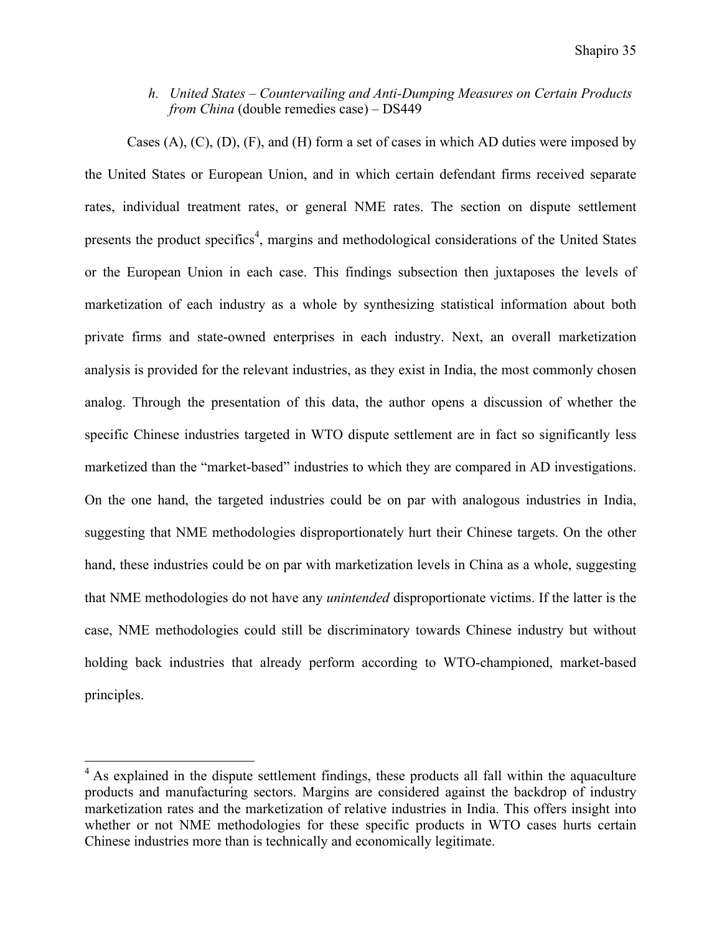*h. United States – Countervailing and Anti-Dumping Measures on Certain Products from China* (double remedies case) – DS449

Cases (A), (C), (D), (F), and (H) form a set of cases in which AD duties were imposed by the United States or European Union, and in which certain defendant firms received separate rates, individual treatment rates, or general NME rates. The section on dispute settlement presents the product specifics<sup>4</sup>, margins and methodological considerations of the United States or the European Union in each case. This findings subsection then juxtaposes the levels of marketization of each industry as a whole by synthesizing statistical information about both private firms and state-owned enterprises in each industry. Next, an overall marketization analysis is provided for the relevant industries, as they exist in India, the most commonly chosen analog. Through the presentation of this data, the author opens a discussion of whether the specific Chinese industries targeted in WTO dispute settlement are in fact so significantly less marketized than the "market-based" industries to which they are compared in AD investigations. On the one hand, the targeted industries could be on par with analogous industries in India, suggesting that NME methodologies disproportionately hurt their Chinese targets. On the other hand, these industries could be on par with marketization levels in China as a whole, suggesting that NME methodologies do not have any *unintended* disproportionate victims. If the latter is the case, NME methodologies could still be discriminatory towards Chinese industry but without holding back industries that already perform according to WTO-championed, market-based principles.

<sup>&</sup>lt;sup>4</sup> As explained in the dispute settlement findings, these products all fall within the aquaculture products and manufacturing sectors. Margins are considered against the backdrop of industry marketization rates and the marketization of relative industries in India. This offers insight into whether or not NME methodologies for these specific products in WTO cases hurts certain Chinese industries more than is technically and economically legitimate.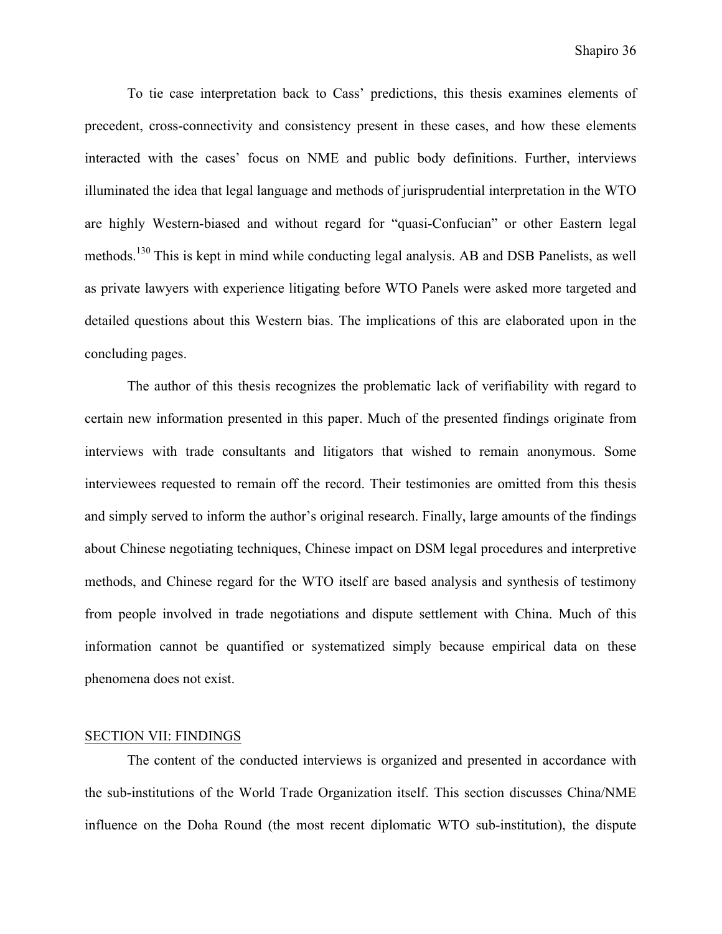To tie case interpretation back to Cass' predictions, this thesis examines elements of precedent, cross-connectivity and consistency present in these cases, and how these elements interacted with the cases' focus on NME and public body definitions. Further, interviews illuminated the idea that legal language and methods of jurisprudential interpretation in the WTO are highly Western-biased and without regard for "quasi-Confucian" or other Eastern legal methods.<sup>130</sup> This is kept in mind while conducting legal analysis. AB and DSB Panelists, as well as private lawyers with experience litigating before WTO Panels were asked more targeted and detailed questions about this Western bias. The implications of this are elaborated upon in the concluding pages.

The author of this thesis recognizes the problematic lack of verifiability with regard to certain new information presented in this paper. Much of the presented findings originate from interviews with trade consultants and litigators that wished to remain anonymous. Some interviewees requested to remain off the record. Their testimonies are omitted from this thesis and simply served to inform the author's original research. Finally, large amounts of the findings about Chinese negotiating techniques, Chinese impact on DSM legal procedures and interpretive methods, and Chinese regard for the WTO itself are based analysis and synthesis of testimony from people involved in trade negotiations and dispute settlement with China. Much of this information cannot be quantified or systematized simply because empirical data on these phenomena does not exist.

### SECTION VII: FINDINGS

The content of the conducted interviews is organized and presented in accordance with the sub-institutions of the World Trade Organization itself. This section discusses China/NME influence on the Doha Round (the most recent diplomatic WTO sub-institution), the dispute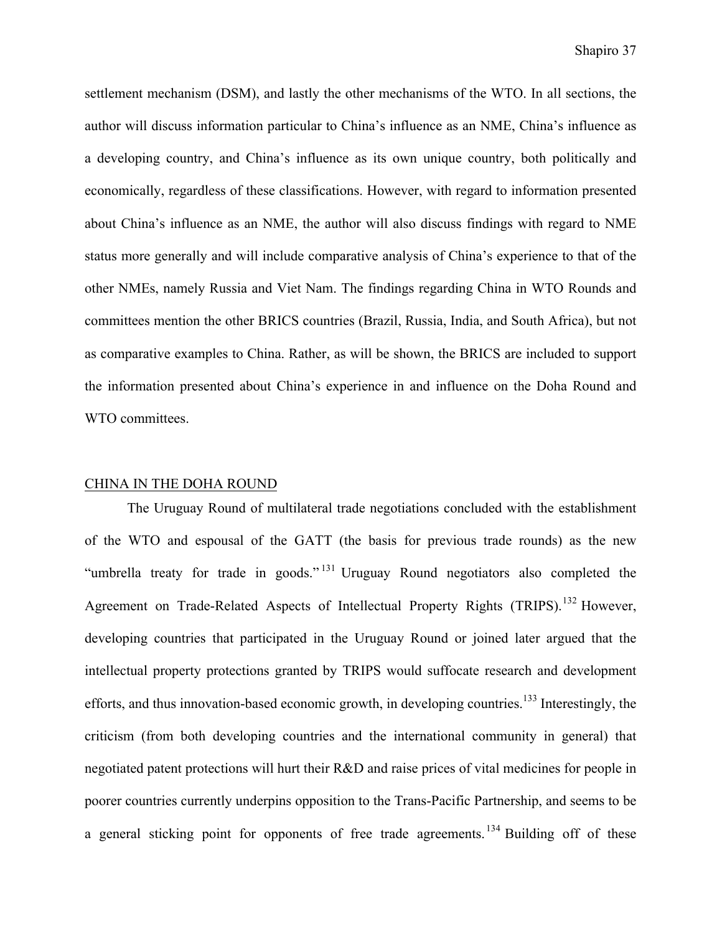settlement mechanism (DSM), and lastly the other mechanisms of the WTO. In all sections, the author will discuss information particular to China's influence as an NME, China's influence as a developing country, and China's influence as its own unique country, both politically and economically, regardless of these classifications. However, with regard to information presented about China's influence as an NME, the author will also discuss findings with regard to NME status more generally and will include comparative analysis of China's experience to that of the other NMEs, namely Russia and Viet Nam. The findings regarding China in WTO Rounds and committees mention the other BRICS countries (Brazil, Russia, India, and South Africa), but not as comparative examples to China. Rather, as will be shown, the BRICS are included to support the information presented about China's experience in and influence on the Doha Round and WTO committees.

## CHINA IN THE DOHA ROUND

The Uruguay Round of multilateral trade negotiations concluded with the establishment of the WTO and espousal of the GATT (the basis for previous trade rounds) as the new "umbrella treaty for trade in goods."<sup>131</sup> Uruguay Round negotiators also completed the Agreement on Trade-Related Aspects of Intellectual Property Rights (TRIPS).<sup>132</sup> However, developing countries that participated in the Uruguay Round or joined later argued that the intellectual property protections granted by TRIPS would suffocate research and development efforts, and thus innovation-based economic growth, in developing countries.<sup>133</sup> Interestingly, the criticism (from both developing countries and the international community in general) that negotiated patent protections will hurt their R&D and raise prices of vital medicines for people in poorer countries currently underpins opposition to the Trans-Pacific Partnership, and seems to be a general sticking point for opponents of free trade agreements.<sup>134</sup> Building off of these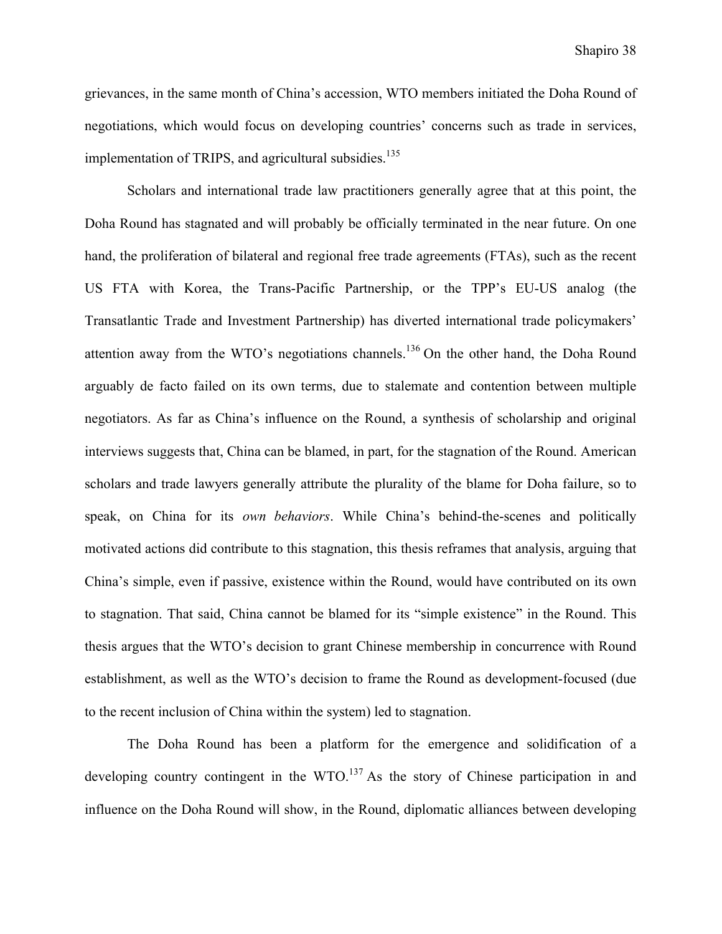grievances, in the same month of China's accession, WTO members initiated the Doha Round of negotiations, which would focus on developing countries' concerns such as trade in services, implementation of TRIPS, and agricultural subsidies.<sup>135</sup>

Scholars and international trade law practitioners generally agree that at this point, the Doha Round has stagnated and will probably be officially terminated in the near future. On one hand, the proliferation of bilateral and regional free trade agreements (FTAs), such as the recent US FTA with Korea, the Trans-Pacific Partnership, or the TPP's EU-US analog (the Transatlantic Trade and Investment Partnership) has diverted international trade policymakers' attention away from the WTO's negotiations channels.<sup>136</sup> On the other hand, the Doha Round arguably de facto failed on its own terms, due to stalemate and contention between multiple negotiators. As far as China's influence on the Round, a synthesis of scholarship and original interviews suggests that, China can be blamed, in part, for the stagnation of the Round. American scholars and trade lawyers generally attribute the plurality of the blame for Doha failure, so to speak, on China for its *own behaviors*. While China's behind-the-scenes and politically motivated actions did contribute to this stagnation, this thesis reframes that analysis, arguing that China's simple, even if passive, existence within the Round, would have contributed on its own to stagnation. That said, China cannot be blamed for its "simple existence" in the Round. This thesis argues that the WTO's decision to grant Chinese membership in concurrence with Round establishment, as well as the WTO's decision to frame the Round as development-focused (due to the recent inclusion of China within the system) led to stagnation.

The Doha Round has been a platform for the emergence and solidification of a developing country contingent in the WTO.<sup>137</sup> As the story of Chinese participation in and influence on the Doha Round will show, in the Round, diplomatic alliances between developing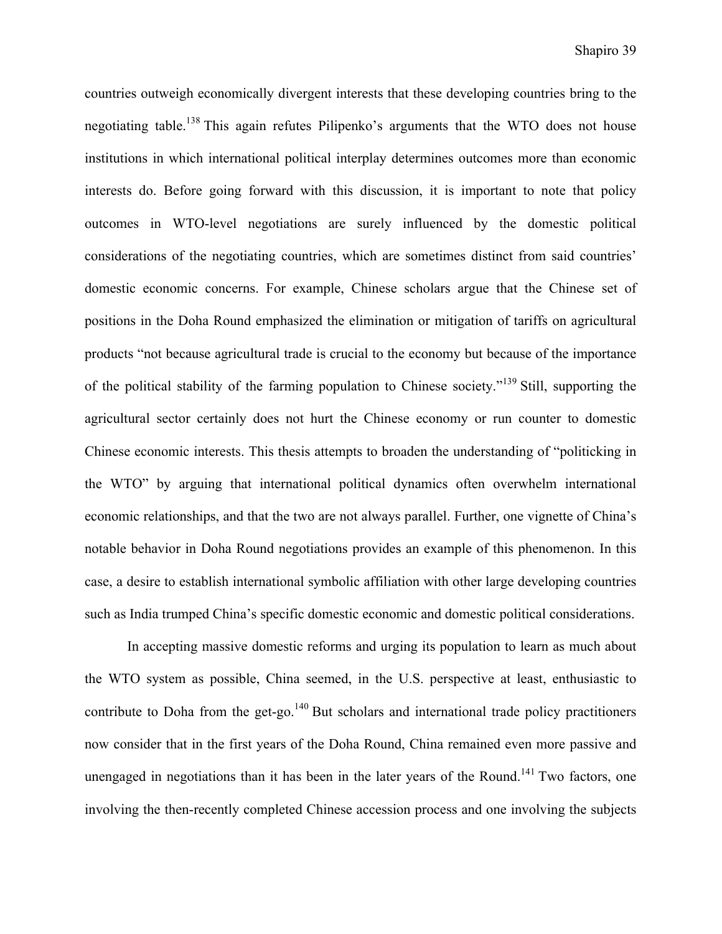countries outweigh economically divergent interests that these developing countries bring to the negotiating table.<sup>138</sup> This again refutes Pilipenko's arguments that the WTO does not house institutions in which international political interplay determines outcomes more than economic interests do. Before going forward with this discussion, it is important to note that policy outcomes in WTO-level negotiations are surely influenced by the domestic political considerations of the negotiating countries, which are sometimes distinct from said countries' domestic economic concerns. For example, Chinese scholars argue that the Chinese set of positions in the Doha Round emphasized the elimination or mitigation of tariffs on agricultural products "not because agricultural trade is crucial to the economy but because of the importance of the political stability of the farming population to Chinese society."<sup>139</sup> Still, supporting the agricultural sector certainly does not hurt the Chinese economy or run counter to domestic Chinese economic interests. This thesis attempts to broaden the understanding of "politicking in the WTO" by arguing that international political dynamics often overwhelm international economic relationships, and that the two are not always parallel. Further, one vignette of China's notable behavior in Doha Round negotiations provides an example of this phenomenon. In this case, a desire to establish international symbolic affiliation with other large developing countries such as India trumped China's specific domestic economic and domestic political considerations.

In accepting massive domestic reforms and urging its population to learn as much about the WTO system as possible, China seemed, in the U.S. perspective at least, enthusiastic to contribute to Doha from the get-go.<sup>140</sup> But scholars and international trade policy practitioners now consider that in the first years of the Doha Round, China remained even more passive and unengaged in negotiations than it has been in the later years of the Round.<sup>141</sup> Two factors, one involving the then-recently completed Chinese accession process and one involving the subjects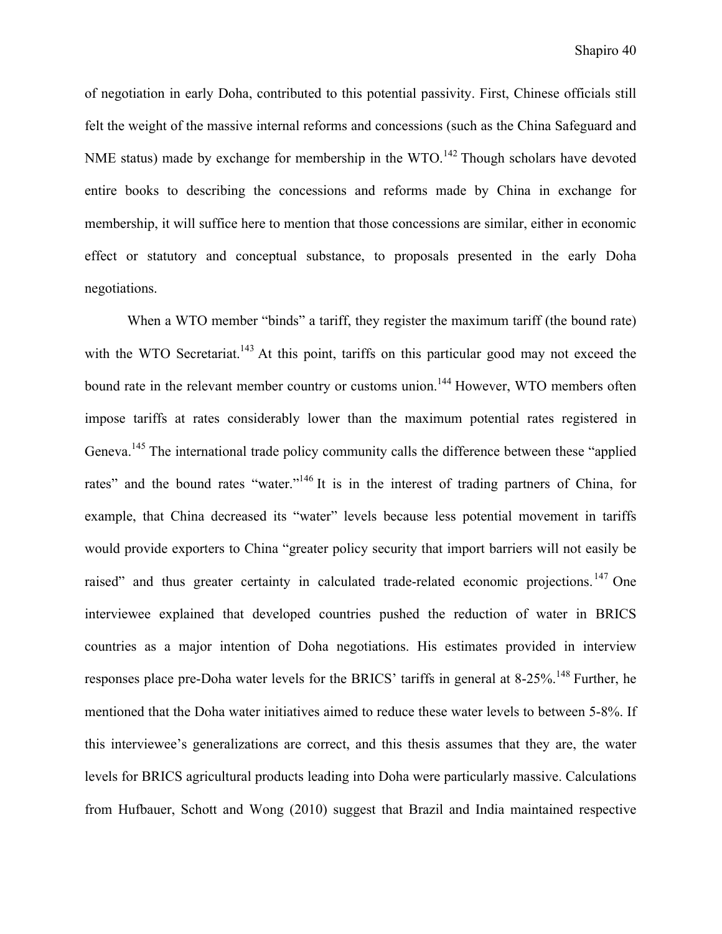of negotiation in early Doha, contributed to this potential passivity. First, Chinese officials still felt the weight of the massive internal reforms and concessions (such as the China Safeguard and NME status) made by exchange for membership in the  $WTO$ .<sup>142</sup> Though scholars have devoted entire books to describing the concessions and reforms made by China in exchange for membership, it will suffice here to mention that those concessions are similar, either in economic effect or statutory and conceptual substance, to proposals presented in the early Doha negotiations.

When a WTO member "binds" a tariff, they register the maximum tariff (the bound rate) with the WTO Secretariat.<sup>143</sup> At this point, tariffs on this particular good may not exceed the bound rate in the relevant member country or customs union.<sup>144</sup> However, WTO members often impose tariffs at rates considerably lower than the maximum potential rates registered in Geneva.<sup>145</sup> The international trade policy community calls the difference between these "applied" rates" and the bound rates "water."<sup>146</sup> It is in the interest of trading partners of China, for example, that China decreased its "water" levels because less potential movement in tariffs would provide exporters to China "greater policy security that import barriers will not easily be raised" and thus greater certainty in calculated trade-related economic projections.<sup>147</sup> One interviewee explained that developed countries pushed the reduction of water in BRICS countries as a major intention of Doha negotiations. His estimates provided in interview responses place pre-Doha water levels for the BRICS' tariffs in general at 8-25%.<sup>148</sup> Further, he mentioned that the Doha water initiatives aimed to reduce these water levels to between 5-8%. If this interviewee's generalizations are correct, and this thesis assumes that they are, the water levels for BRICS agricultural products leading into Doha were particularly massive. Calculations from Hufbauer, Schott and Wong (2010) suggest that Brazil and India maintained respective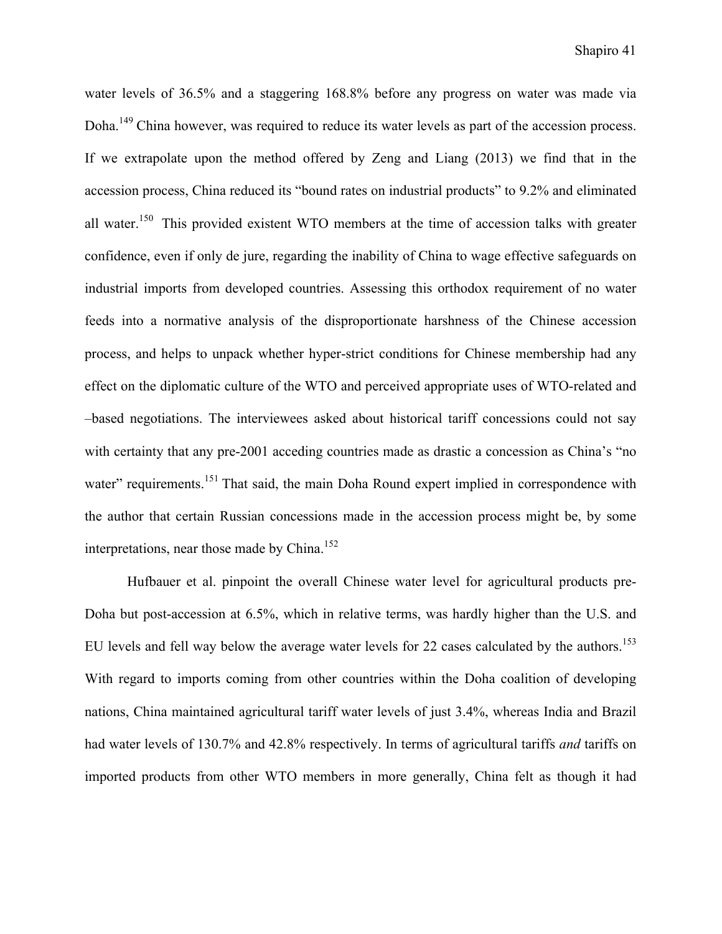water levels of 36.5% and a staggering 168.8% before any progress on water was made via Doha.<sup>149</sup> China however, was required to reduce its water levels as part of the accession process. If we extrapolate upon the method offered by Zeng and Liang (2013) we find that in the accession process, China reduced its "bound rates on industrial products" to 9.2% and eliminated all water.<sup>150</sup> This provided existent WTO members at the time of accession talks with greater confidence, even if only de jure, regarding the inability of China to wage effective safeguards on industrial imports from developed countries. Assessing this orthodox requirement of no water feeds into a normative analysis of the disproportionate harshness of the Chinese accession process, and helps to unpack whether hyper-strict conditions for Chinese membership had any effect on the diplomatic culture of the WTO and perceived appropriate uses of WTO-related and –based negotiations. The interviewees asked about historical tariff concessions could not say with certainty that any pre-2001 acceding countries made as drastic a concession as China's "no water" requirements.<sup>151</sup> That said, the main Doha Round expert implied in correspondence with the author that certain Russian concessions made in the accession process might be, by some interpretations, near those made by China.<sup>152</sup>

Hufbauer et al. pinpoint the overall Chinese water level for agricultural products pre-Doha but post-accession at 6.5%, which in relative terms, was hardly higher than the U.S. and EU levels and fell way below the average water levels for 22 cases calculated by the authors.<sup>153</sup> With regard to imports coming from other countries within the Doha coalition of developing nations, China maintained agricultural tariff water levels of just 3.4%, whereas India and Brazil had water levels of 130.7% and 42.8% respectively. In terms of agricultural tariffs *and* tariffs on imported products from other WTO members in more generally, China felt as though it had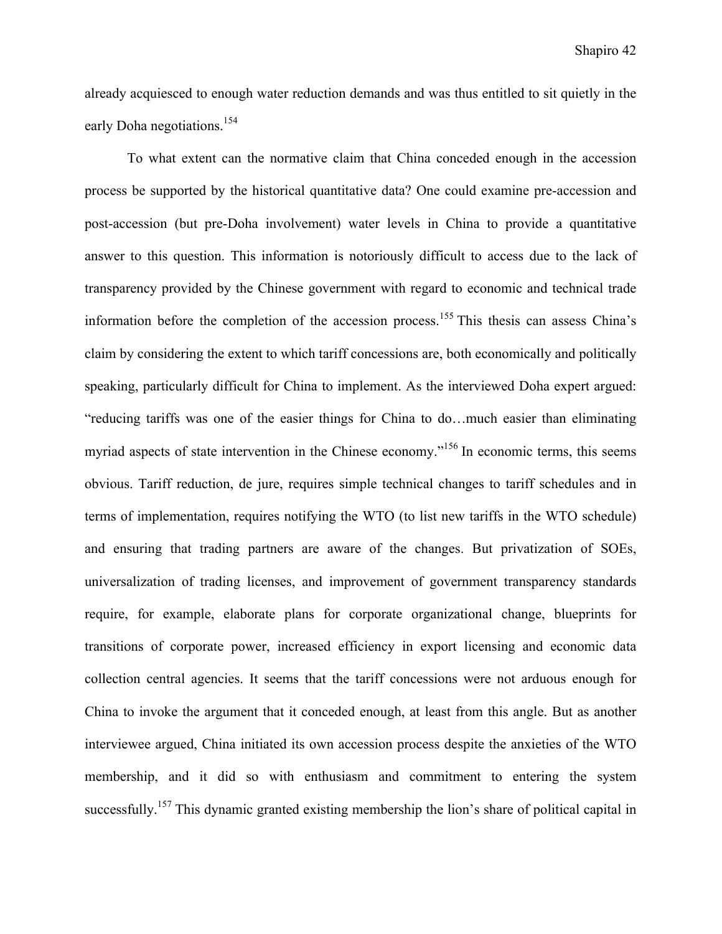already acquiesced to enough water reduction demands and was thus entitled to sit quietly in the early Doha negotiations.<sup>154</sup>

To what extent can the normative claim that China conceded enough in the accession process be supported by the historical quantitative data? One could examine pre-accession and post-accession (but pre-Doha involvement) water levels in China to provide a quantitative answer to this question. This information is notoriously difficult to access due to the lack of transparency provided by the Chinese government with regard to economic and technical trade information before the completion of the accession process.<sup>155</sup> This thesis can assess China's claim by considering the extent to which tariff concessions are, both economically and politically speaking, particularly difficult for China to implement. As the interviewed Doha expert argued: "reducing tariffs was one of the easier things for China to do…much easier than eliminating myriad aspects of state intervention in the Chinese economy."<sup>156</sup> In economic terms, this seems obvious. Tariff reduction, de jure, requires simple technical changes to tariff schedules and in terms of implementation, requires notifying the WTO (to list new tariffs in the WTO schedule) and ensuring that trading partners are aware of the changes. But privatization of SOEs, universalization of trading licenses, and improvement of government transparency standards require, for example, elaborate plans for corporate organizational change, blueprints for transitions of corporate power, increased efficiency in export licensing and economic data collection central agencies. It seems that the tariff concessions were not arduous enough for China to invoke the argument that it conceded enough, at least from this angle. But as another interviewee argued, China initiated its own accession process despite the anxieties of the WTO membership, and it did so with enthusiasm and commitment to entering the system successfully.<sup>157</sup> This dynamic granted existing membership the lion's share of political capital in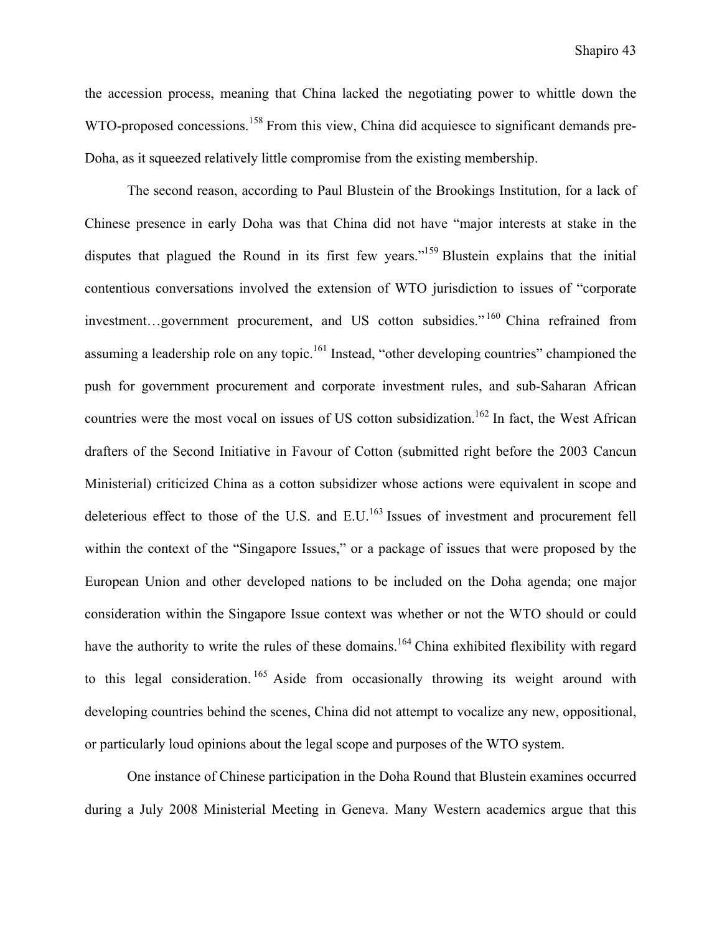Shapiro 43

the accession process, meaning that China lacked the negotiating power to whittle down the WTO-proposed concessions.<sup>158</sup> From this view, China did acquiesce to significant demands pre-Doha, as it squeezed relatively little compromise from the existing membership.

The second reason, according to Paul Blustein of the Brookings Institution, for a lack of Chinese presence in early Doha was that China did not have "major interests at stake in the disputes that plagued the Round in its first few years."<sup>159</sup> Blustein explains that the initial contentious conversations involved the extension of WTO jurisdiction to issues of "corporate investment…government procurement, and US cotton subsidies." <sup>160</sup> China refrained from assuming a leadership role on any topic.<sup>161</sup> Instead, "other developing countries" championed the push for government procurement and corporate investment rules, and sub-Saharan African countries were the most vocal on issues of US cotton subsidization.<sup>162</sup> In fact, the West African drafters of the Second Initiative in Favour of Cotton (submitted right before the 2003 Cancun Ministerial) criticized China as a cotton subsidizer whose actions were equivalent in scope and deleterious effect to those of the U.S. and E.U.<sup>163</sup> Issues of investment and procurement fell within the context of the "Singapore Issues," or a package of issues that were proposed by the European Union and other developed nations to be included on the Doha agenda; one major consideration within the Singapore Issue context was whether or not the WTO should or could have the authority to write the rules of these domains.<sup>164</sup> China exhibited flexibility with regard to this legal consideration.<sup>165</sup> Aside from occasionally throwing its weight around with developing countries behind the scenes, China did not attempt to vocalize any new, oppositional, or particularly loud opinions about the legal scope and purposes of the WTO system.

One instance of Chinese participation in the Doha Round that Blustein examines occurred during a July 2008 Ministerial Meeting in Geneva. Many Western academics argue that this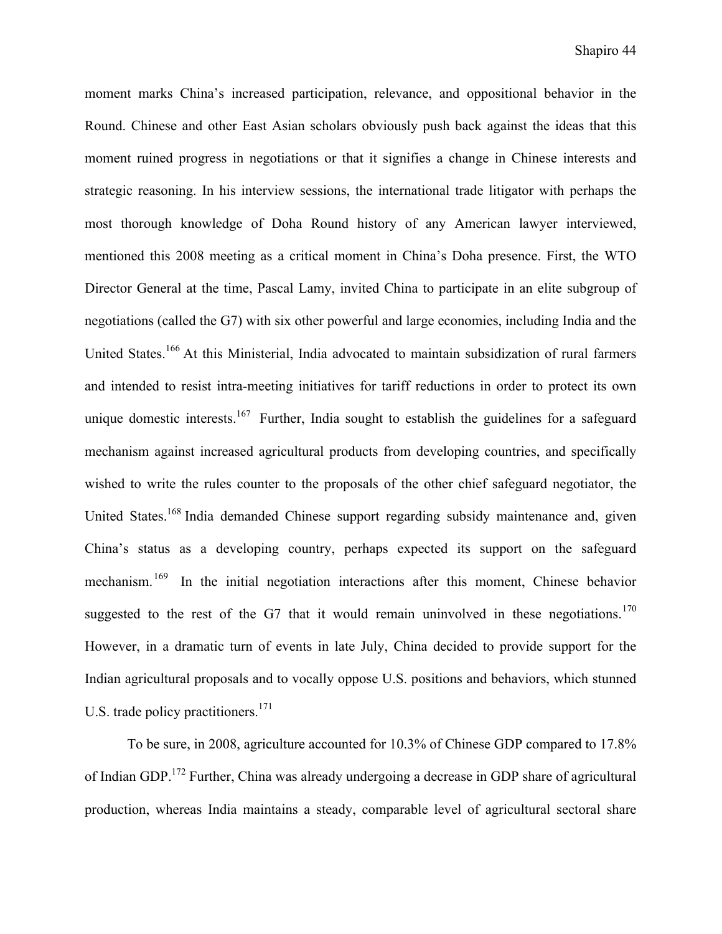moment marks China's increased participation, relevance, and oppositional behavior in the Round. Chinese and other East Asian scholars obviously push back against the ideas that this moment ruined progress in negotiations or that it signifies a change in Chinese interests and strategic reasoning. In his interview sessions, the international trade litigator with perhaps the most thorough knowledge of Doha Round history of any American lawyer interviewed, mentioned this 2008 meeting as a critical moment in China's Doha presence. First, the WTO Director General at the time, Pascal Lamy, invited China to participate in an elite subgroup of negotiations (called the G7) with six other powerful and large economies, including India and the United States.<sup>166</sup> At this Ministerial, India advocated to maintain subsidization of rural farmers and intended to resist intra-meeting initiatives for tariff reductions in order to protect its own unique domestic interests.<sup>167</sup> Further, India sought to establish the guidelines for a safeguard mechanism against increased agricultural products from developing countries, and specifically wished to write the rules counter to the proposals of the other chief safeguard negotiator, the United States.<sup>168</sup> India demanded Chinese support regarding subsidy maintenance and, given China's status as a developing country, perhaps expected its support on the safeguard mechanism.<sup>169</sup> In the initial negotiation interactions after this moment, Chinese behavior suggested to the rest of the G7 that it would remain uninvolved in these negotiations.<sup>170</sup> However, in a dramatic turn of events in late July, China decided to provide support for the Indian agricultural proposals and to vocally oppose U.S. positions and behaviors, which stunned U.S. trade policy practitioners. $171$ 

To be sure, in 2008, agriculture accounted for 10.3% of Chinese GDP compared to 17.8% of Indian GDP.172 Further, China was already undergoing a decrease in GDP share of agricultural production, whereas India maintains a steady, comparable level of agricultural sectoral share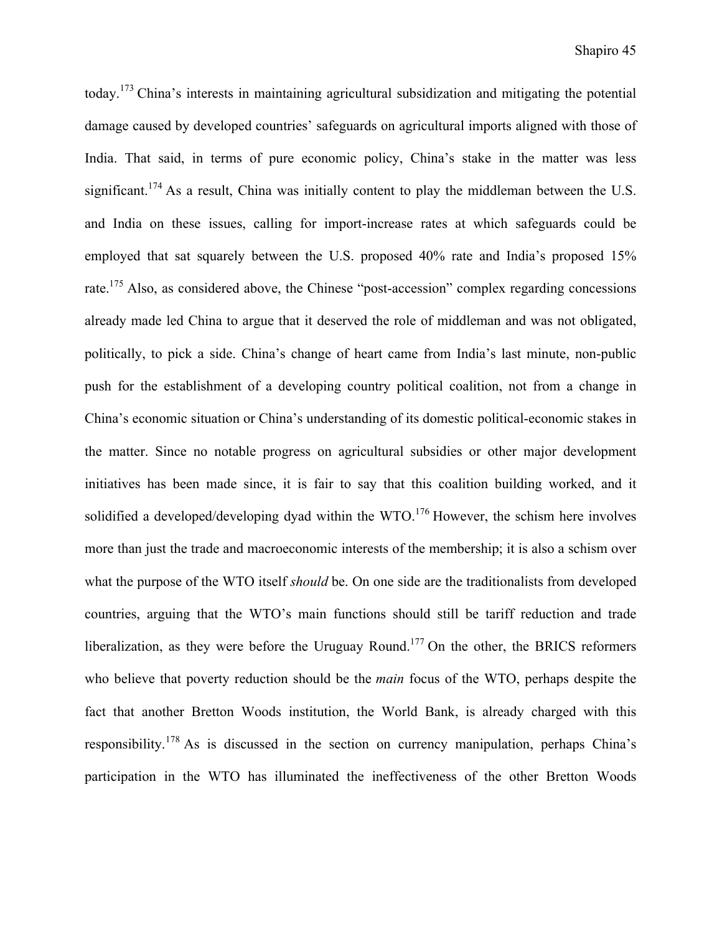today.<sup>173</sup> China's interests in maintaining agricultural subsidization and mitigating the potential damage caused by developed countries' safeguards on agricultural imports aligned with those of India. That said, in terms of pure economic policy, China's stake in the matter was less significant.<sup>174</sup> As a result, China was initially content to play the middleman between the U.S. and India on these issues, calling for import-increase rates at which safeguards could be employed that sat squarely between the U.S. proposed 40% rate and India's proposed 15% rate.175 Also, as considered above, the Chinese "post-accession" complex regarding concessions already made led China to argue that it deserved the role of middleman and was not obligated, politically, to pick a side. China's change of heart came from India's last minute, non-public push for the establishment of a developing country political coalition, not from a change in China's economic situation or China's understanding of its domestic political-economic stakes in the matter. Since no notable progress on agricultural subsidies or other major development initiatives has been made since, it is fair to say that this coalition building worked, and it solidified a developed/developing dyad within the WTO.<sup>176</sup> However, the schism here involves more than just the trade and macroeconomic interests of the membership; it is also a schism over what the purpose of the WTO itself *should* be. On one side are the traditionalists from developed countries, arguing that the WTO's main functions should still be tariff reduction and trade liberalization, as they were before the Uruguay Round.<sup>177</sup> On the other, the BRICS reformers who believe that poverty reduction should be the *main* focus of the WTO, perhaps despite the fact that another Bretton Woods institution, the World Bank, is already charged with this responsibility.<sup>178</sup> As is discussed in the section on currency manipulation, perhaps China's participation in the WTO has illuminated the ineffectiveness of the other Bretton Woods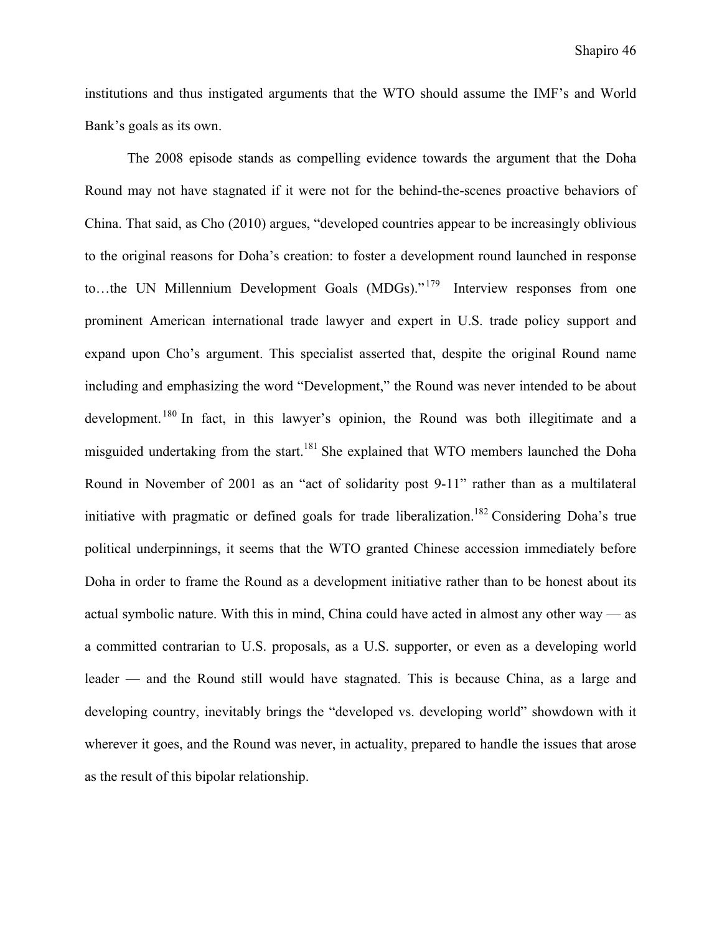institutions and thus instigated arguments that the WTO should assume the IMF's and World Bank's goals as its own.

The 2008 episode stands as compelling evidence towards the argument that the Doha Round may not have stagnated if it were not for the behind-the-scenes proactive behaviors of China. That said, as Cho (2010) argues, "developed countries appear to be increasingly oblivious to the original reasons for Doha's creation: to foster a development round launched in response to...the UN Millennium Development Goals (MDGs)."<sup>179</sup> Interview responses from one prominent American international trade lawyer and expert in U.S. trade policy support and expand upon Cho's argument. This specialist asserted that, despite the original Round name including and emphasizing the word "Development," the Round was never intended to be about development. <sup>180</sup> In fact, in this lawyer's opinion, the Round was both illegitimate and a misguided undertaking from the start.<sup>181</sup> She explained that WTO members launched the Doha Round in November of 2001 as an "act of solidarity post 9-11" rather than as a multilateral initiative with pragmatic or defined goals for trade liberalization.<sup>182</sup> Considering Doha's true political underpinnings, it seems that the WTO granted Chinese accession immediately before Doha in order to frame the Round as a development initiative rather than to be honest about its actual symbolic nature. With this in mind, China could have acted in almost any other way — as a committed contrarian to U.S. proposals, as a U.S. supporter, or even as a developing world leader — and the Round still would have stagnated. This is because China, as a large and developing country, inevitably brings the "developed vs. developing world" showdown with it wherever it goes, and the Round was never, in actuality, prepared to handle the issues that arose as the result of this bipolar relationship.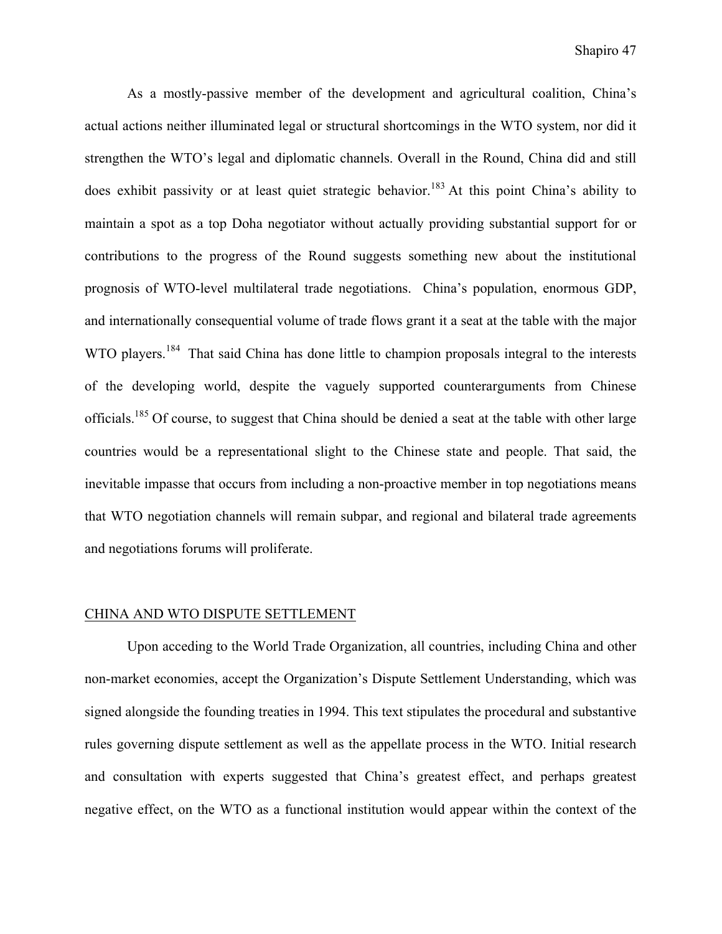As a mostly-passive member of the development and agricultural coalition, China's actual actions neither illuminated legal or structural shortcomings in the WTO system, nor did it strengthen the WTO's legal and diplomatic channels. Overall in the Round, China did and still does exhibit passivity or at least quiet strategic behavior.<sup>183</sup> At this point China's ability to maintain a spot as a top Doha negotiator without actually providing substantial support for or contributions to the progress of the Round suggests something new about the institutional prognosis of WTO-level multilateral trade negotiations. China's population, enormous GDP, and internationally consequential volume of trade flows grant it a seat at the table with the major WTO players.<sup>184</sup> That said China has done little to champion proposals integral to the interests of the developing world, despite the vaguely supported counterarguments from Chinese officials.185 Of course, to suggest that China should be denied a seat at the table with other large countries would be a representational slight to the Chinese state and people. That said, the inevitable impasse that occurs from including a non-proactive member in top negotiations means that WTO negotiation channels will remain subpar, and regional and bilateral trade agreements and negotiations forums will proliferate.

### CHINA AND WTO DISPUTE SETTLEMENT

Upon acceding to the World Trade Organization, all countries, including China and other non-market economies, accept the Organization's Dispute Settlement Understanding, which was signed alongside the founding treaties in 1994. This text stipulates the procedural and substantive rules governing dispute settlement as well as the appellate process in the WTO. Initial research and consultation with experts suggested that China's greatest effect, and perhaps greatest negative effect, on the WTO as a functional institution would appear within the context of the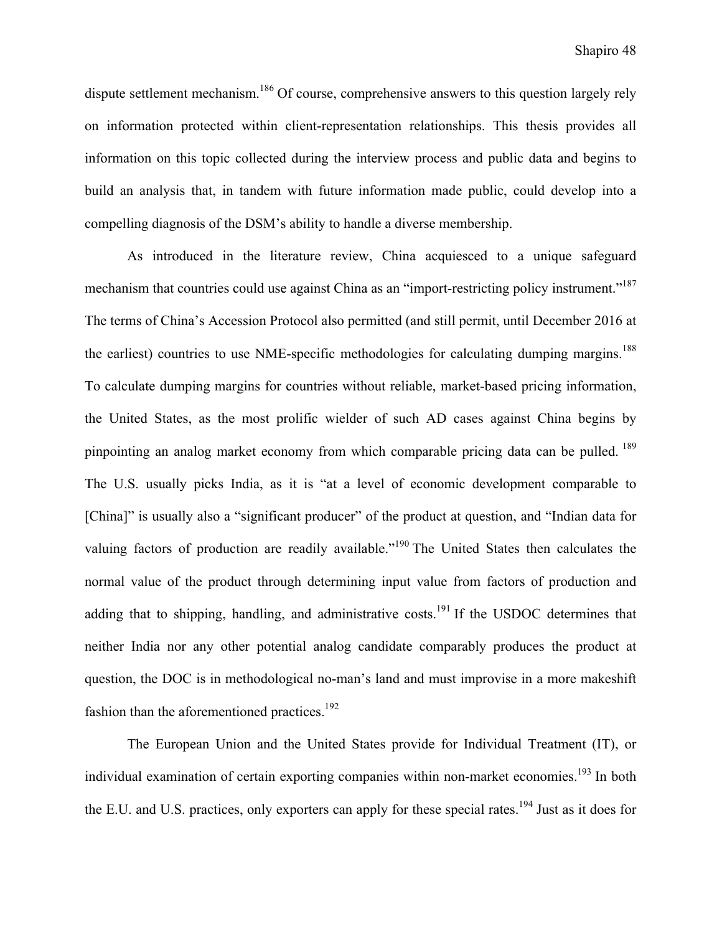dispute settlement mechanism.<sup>186</sup> Of course, comprehensive answers to this question largely rely on information protected within client-representation relationships. This thesis provides all information on this topic collected during the interview process and public data and begins to build an analysis that, in tandem with future information made public, could develop into a compelling diagnosis of the DSM's ability to handle a diverse membership.

As introduced in the literature review, China acquiesced to a unique safeguard mechanism that countries could use against China as an "import-restricting policy instrument."<sup>187</sup> The terms of China's Accession Protocol also permitted (and still permit, until December 2016 at the earliest) countries to use NME-specific methodologies for calculating dumping margins.<sup>188</sup> To calculate dumping margins for countries without reliable, market-based pricing information, the United States, as the most prolific wielder of such AD cases against China begins by pinpointing an analog market economy from which comparable pricing data can be pulled. <sup>189</sup> The U.S. usually picks India, as it is "at a level of economic development comparable to [China]" is usually also a "significant producer" of the product at question, and "Indian data for valuing factors of production are readily available."<sup>190</sup> The United States then calculates the normal value of the product through determining input value from factors of production and adding that to shipping, handling, and administrative costs.<sup>191</sup> If the USDOC determines that neither India nor any other potential analog candidate comparably produces the product at question, the DOC is in methodological no-man's land and must improvise in a more makeshift fashion than the aforementioned practices.<sup>192</sup>

The European Union and the United States provide for Individual Treatment (IT), or individual examination of certain exporting companies within non-market economies.<sup>193</sup> In both the E.U. and U.S. practices, only exporters can apply for these special rates.<sup>194</sup> Just as it does for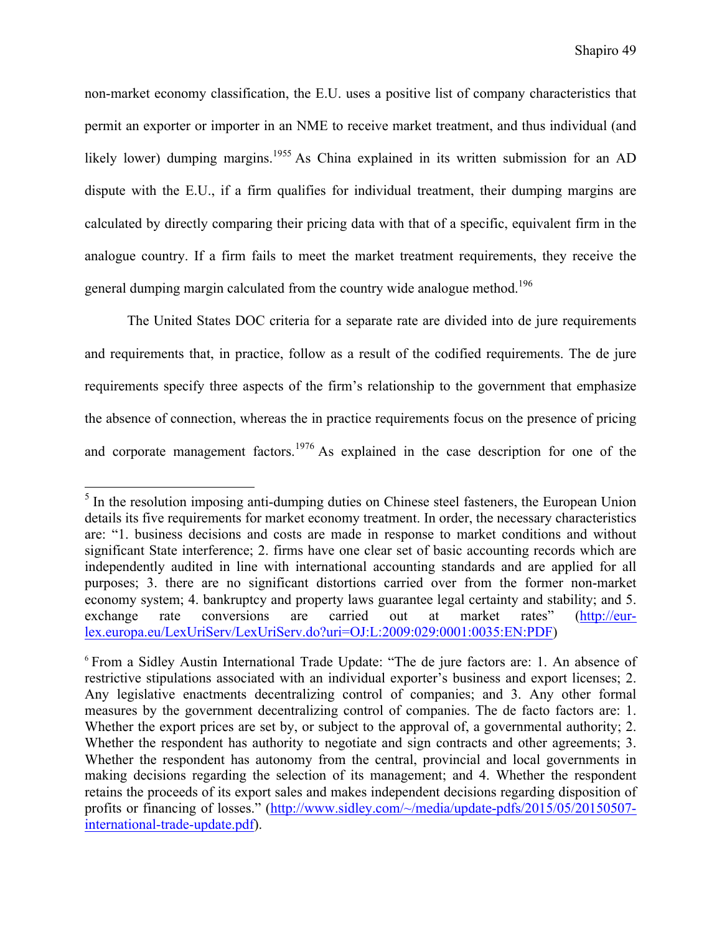non-market economy classification, the E.U. uses a positive list of company characteristics that permit an exporter or importer in an NME to receive market treatment, and thus individual (and likely lower) dumping margins.<sup>1955</sup> As China explained in its written submission for an AD dispute with the E.U., if a firm qualifies for individual treatment, their dumping margins are calculated by directly comparing their pricing data with that of a specific, equivalent firm in the analogue country. If a firm fails to meet the market treatment requirements, they receive the general dumping margin calculated from the country wide analogue method.<sup>196</sup>

The United States DOC criteria for a separate rate are divided into de jure requirements and requirements that, in practice, follow as a result of the codified requirements. The de jure requirements specify three aspects of the firm's relationship to the government that emphasize the absence of connection, whereas the in practice requirements focus on the presence of pricing and corporate management factors.<sup>1976</sup> As explained in the case description for one of the

<sup>&</sup>lt;sup>5</sup> In the resolution imposing anti-dumping duties on Chinese steel fasteners, the European Union details its five requirements for market economy treatment. In order, the necessary characteristics are: "1. business decisions and costs are made in response to market conditions and without significant State interference; 2. firms have one clear set of basic accounting records which are independently audited in line with international accounting standards and are applied for all purposes; 3. there are no significant distortions carried over from the former non-market economy system; 4. bankruptcy and property laws guarantee legal certainty and stability; and 5. exchange rate conversions are carried out at market rates" (http://eurlex.europa.eu/LexUriServ/LexUriServ.do?uri=OJ:L:2009:029:0001:0035:EN:PDF)

<sup>6</sup> From a Sidley Austin International Trade Update: "The de jure factors are: 1. An absence of restrictive stipulations associated with an individual exporter's business and export licenses; 2. Any legislative enactments decentralizing control of companies; and 3. Any other formal measures by the government decentralizing control of companies. The de facto factors are: 1. Whether the export prices are set by, or subject to the approval of, a governmental authority; 2. Whether the respondent has authority to negotiate and sign contracts and other agreements; 3. Whether the respondent has autonomy from the central, provincial and local governments in making decisions regarding the selection of its management; and 4. Whether the respondent retains the proceeds of its export sales and makes independent decisions regarding disposition of profits or financing of losses." (http://www.sidley.com/~/media/update-pdfs/2015/05/20150507 international-trade-update.pdf).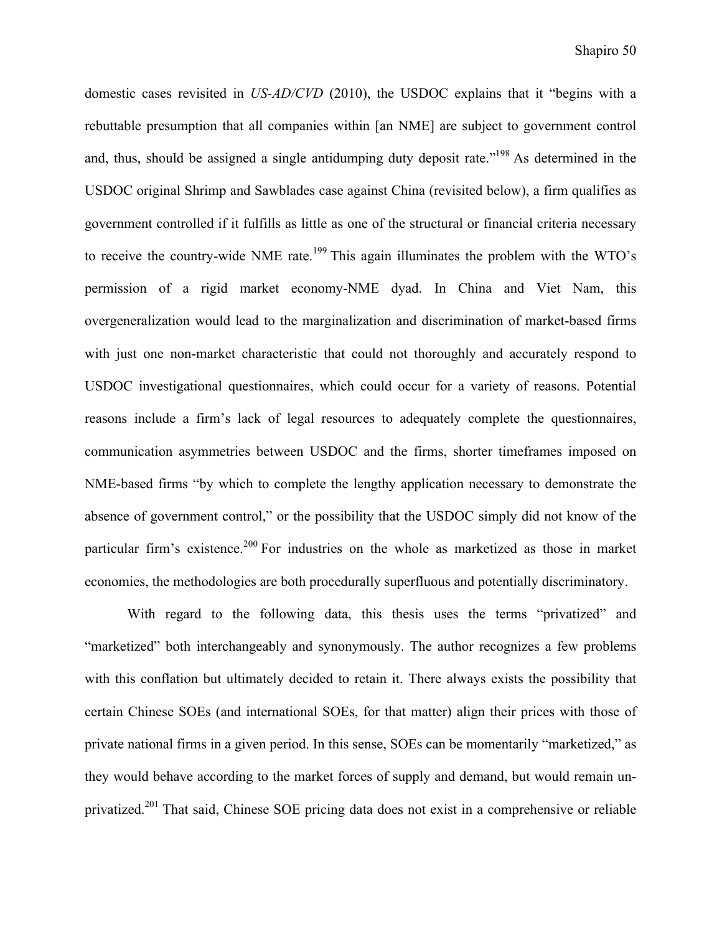domestic cases revisited in *US-AD/CVD* (2010), the USDOC explains that it "begins with a rebuttable presumption that all companies within [an NME] are subject to government control and, thus, should be assigned a single antidumping duty deposit rate."198 As determined in the USDOC original Shrimp and Sawblades case against China (revisited below), a firm qualifies as government controlled if it fulfills as little as one of the structural or financial criteria necessary to receive the country-wide NME rate.<sup>199</sup> This again illuminates the problem with the WTO's permission of a rigid market economy-NME dyad. In China and Viet Nam, this overgeneralization would lead to the marginalization and discrimination of market-based firms with just one non-market characteristic that could not thoroughly and accurately respond to USDOC investigational questionnaires, which could occur for a variety of reasons. Potential reasons include a firm's lack of legal resources to adequately complete the questionnaires, communication asymmetries between USDOC and the firms, shorter timeframes imposed on NME-based firms "by which to complete the lengthy application necessary to demonstrate the absence of government control," or the possibility that the USDOC simply did not know of the particular firm's existence.<sup>200</sup> For industries on the whole as marketized as those in market economies, the methodologies are both procedurally superfluous and potentially discriminatory.

With regard to the following data, this thesis uses the terms "privatized" and "marketized" both interchangeably and synonymously. The author recognizes a few problems with this conflation but ultimately decided to retain it. There always exists the possibility that certain Chinese SOEs (and international SOEs, for that matter) align their prices with those of private national firms in a given period. In this sense, SOEs can be momentarily "marketized," as they would behave according to the market forces of supply and demand, but would remain unprivatized.201 That said, Chinese SOE pricing data does not exist in a comprehensive or reliable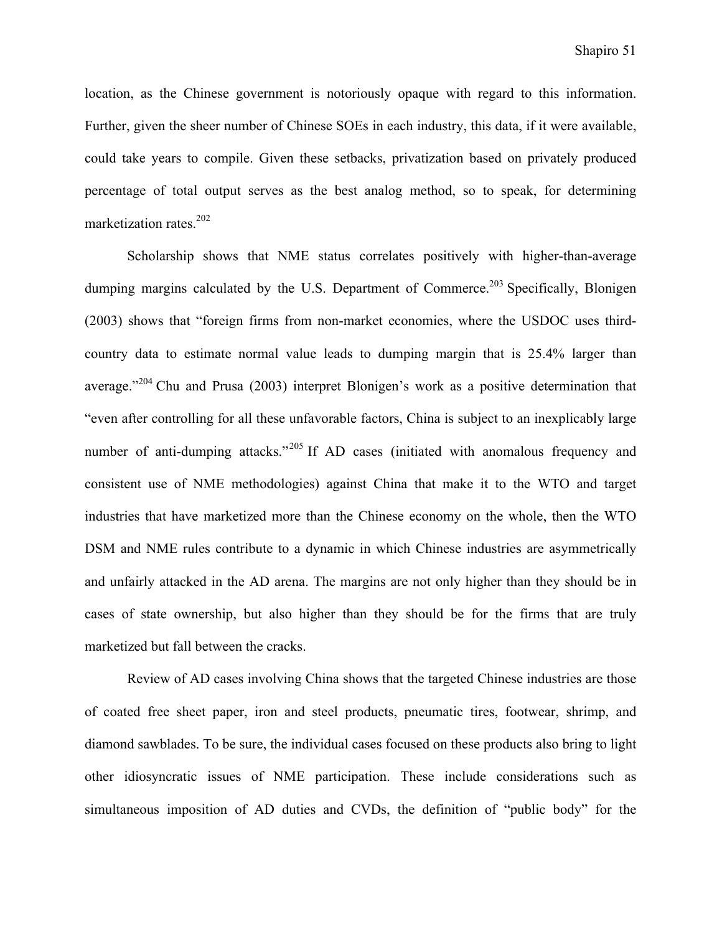location, as the Chinese government is notoriously opaque with regard to this information. Further, given the sheer number of Chinese SOEs in each industry, this data, if it were available, could take years to compile. Given these setbacks, privatization based on privately produced percentage of total output serves as the best analog method, so to speak, for determining marketization rates.<sup>202</sup>

Scholarship shows that NME status correlates positively with higher-than-average dumping margins calculated by the U.S. Department of Commerce.<sup>203</sup> Specifically, Blonigen (2003) shows that "foreign firms from non-market economies, where the USDOC uses thirdcountry data to estimate normal value leads to dumping margin that is 25.4% larger than average."<sup>204</sup> Chu and Prusa (2003) interpret Blonigen's work as a positive determination that "even after controlling for all these unfavorable factors, China is subject to an inexplicably large number of anti-dumping attacks."<sup>205</sup> If AD cases (initiated with anomalous frequency and consistent use of NME methodologies) against China that make it to the WTO and target industries that have marketized more than the Chinese economy on the whole, then the WTO DSM and NME rules contribute to a dynamic in which Chinese industries are asymmetrically and unfairly attacked in the AD arena. The margins are not only higher than they should be in cases of state ownership, but also higher than they should be for the firms that are truly marketized but fall between the cracks.

Review of AD cases involving China shows that the targeted Chinese industries are those of coated free sheet paper, iron and steel products, pneumatic tires, footwear, shrimp, and diamond sawblades. To be sure, the individual cases focused on these products also bring to light other idiosyncratic issues of NME participation. These include considerations such as simultaneous imposition of AD duties and CVDs, the definition of "public body" for the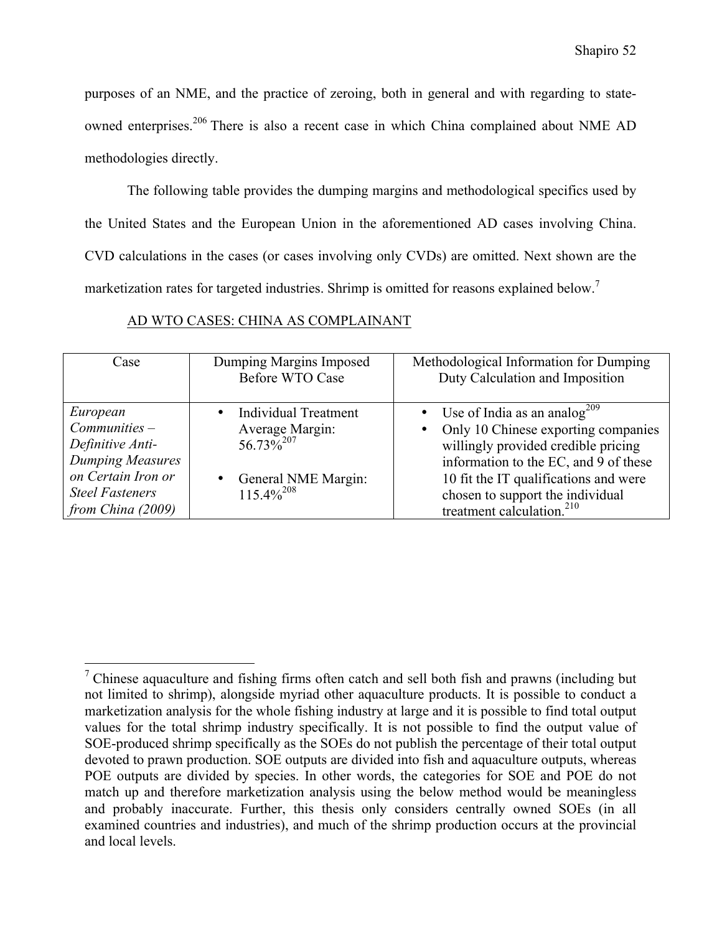purposes of an NME, and the practice of zeroing, both in general and with regarding to stateowned enterprises.<sup>206</sup> There is also a recent case in which China complained about NME AD methodologies directly.

The following table provides the dumping margins and methodological specifics used by the United States and the European Union in the aforementioned AD cases involving China. CVD calculations in the cases (or cases involving only CVDs) are omitted. Next shown are the marketization rates for targeted industries. Shrimp is omitted for reasons explained below.<sup>7</sup>

| Case                                                                                                                                            | Dumping Margins Imposed<br><b>Before WTO Case</b>                                                                              | Methodological Information for Dumping<br>Duty Calculation and Imposition                                                                                                                                                                                                               |
|-------------------------------------------------------------------------------------------------------------------------------------------------|--------------------------------------------------------------------------------------------------------------------------------|-----------------------------------------------------------------------------------------------------------------------------------------------------------------------------------------------------------------------------------------------------------------------------------------|
| European<br>$Communities -$<br>Definitive Anti-<br><b>Dumping Measures</b><br>on Certain Iron or<br><b>Steel Fasteners</b><br>from China (2009) | <b>Individual Treatment</b><br>Average Margin:<br>56 73% <sup>207</sup><br>General NME Margin:<br>$\bullet$<br>$115.4\%^{208}$ | • Use of India as an analog <sup>209</sup><br>Only 10 Chinese exporting companies<br>willingly provided credible pricing<br>information to the EC, and 9 of these<br>10 fit the IT qualifications and were<br>chosen to support the individual<br>treatment calculation. <sup>210</sup> |

# AD WTO CASES: CHINA AS COMPLAINANT

 $\alpha$ <sup>7</sup> Chinese aquaculture and fishing firms often catch and sell both fish and prawns (including but) not limited to shrimp), alongside myriad other aquaculture products. It is possible to conduct a marketization analysis for the whole fishing industry at large and it is possible to find total output values for the total shrimp industry specifically. It is not possible to find the output value of SOE-produced shrimp specifically as the SOEs do not publish the percentage of their total output devoted to prawn production. SOE outputs are divided into fish and aquaculture outputs, whereas POE outputs are divided by species. In other words, the categories for SOE and POE do not match up and therefore marketization analysis using the below method would be meaningless and probably inaccurate. Further, this thesis only considers centrally owned SOEs (in all examined countries and industries), and much of the shrimp production occurs at the provincial and local levels.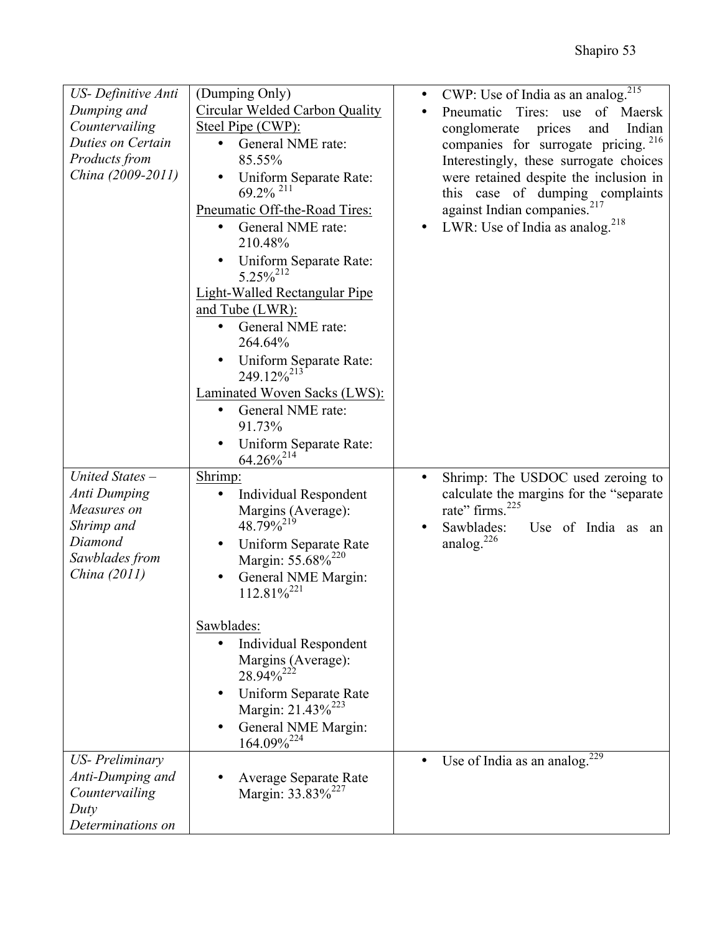| US- Definitive Anti   | (Dumping Only)                                         | CWP: Use of India as an analog. <sup>215</sup><br>$\bullet$ |
|-----------------------|--------------------------------------------------------|-------------------------------------------------------------|
| Dumping and           | Circular Welded Carbon Quality                         | Pneumatic Tires: use<br>of Maersk<br>$\bullet$              |
| Countervailing        | Steel Pipe (CWP):                                      | and<br>Indian<br>conglomerate<br>prices                     |
| Duties on Certain     | General NME rate:<br>$\bullet$                         | companies for surrogate pricing. <sup>216</sup>             |
| Products from         | 85.55%                                                 | Interestingly, these surrogate choices                      |
| China (2009-2011)     | Uniform Separate Rate:                                 | were retained despite the inclusion in                      |
|                       | $69.2\%$ <sup>211</sup>                                | this case of dumping complaints                             |
|                       | Pneumatic Off-the-Road Tires:                          | against Indian companies. <sup>21</sup>                     |
|                       | General NME rate:<br>$\bullet$                         | LWR: Use of India as analog. <sup>218</sup><br>$\bullet$    |
|                       | 210.48%                                                |                                                             |
|                       | Uniform Separate Rate:<br>$5.25\%^{212}$               |                                                             |
|                       | <b>Light-Walled Rectangular Pipe</b>                   |                                                             |
|                       | and Tube (LWR):                                        |                                                             |
|                       | General NME rate:<br>$\bullet$                         |                                                             |
|                       | 264.64%                                                |                                                             |
|                       | Uniform Separate Rate:                                 |                                                             |
|                       | 249.12% <sup>213</sup>                                 |                                                             |
|                       | Laminated Woven Sacks (LWS):                           |                                                             |
|                       | General NME rate:<br>٠<br>91.73%                       |                                                             |
|                       | Uniform Separate Rate:<br>$64.26\%^{214}$              |                                                             |
| United States -       | Shrimp:                                                | Shrimp: The USDOC used zeroing to<br>$\bullet$              |
| <b>Anti Dumping</b>   | <b>Individual Respondent</b><br>$\bullet$              | calculate the margins for the "separate"                    |
| Measures on           | Margins (Average):                                     | rate" firms. <sup>225</sup>                                 |
| Shrimp and            | $48.79\%^{219}$                                        | Sawblades:<br>Use of India as<br>$\bullet$<br>an            |
| Diamond               | Uniform Separate Rate<br>$\bullet$                     | analog. $^{226}$                                            |
| Sawblades from        | Margin: 55.68% <sup>220</sup>                          |                                                             |
| China (2011)          | General NME Margin:<br>$\bullet$                       |                                                             |
|                       | $112.81\%^{221}$                                       |                                                             |
|                       |                                                        |                                                             |
|                       | Sawblades:                                             |                                                             |
|                       | <b>Individual Respondent</b><br>$\bullet$              |                                                             |
|                       | Margins (Average):<br>28.94% <sup>222</sup>            |                                                             |
|                       |                                                        |                                                             |
|                       | Uniform Separate Rate<br>Margin: 21.43% <sup>223</sup> |                                                             |
|                       | General NME Margin:                                    |                                                             |
|                       | $164.09\%^{224}$                                       |                                                             |
| <b>US-Preliminary</b> |                                                        | Use of India as an analog. <sup>229</sup><br>$\bullet$      |
| Anti-Dumping and      | <b>Average Separate Rate</b>                           |                                                             |
| Countervailing        | Margin: 33.83% <sup>227</sup>                          |                                                             |
| Duty                  |                                                        |                                                             |
| Determinations on     |                                                        |                                                             |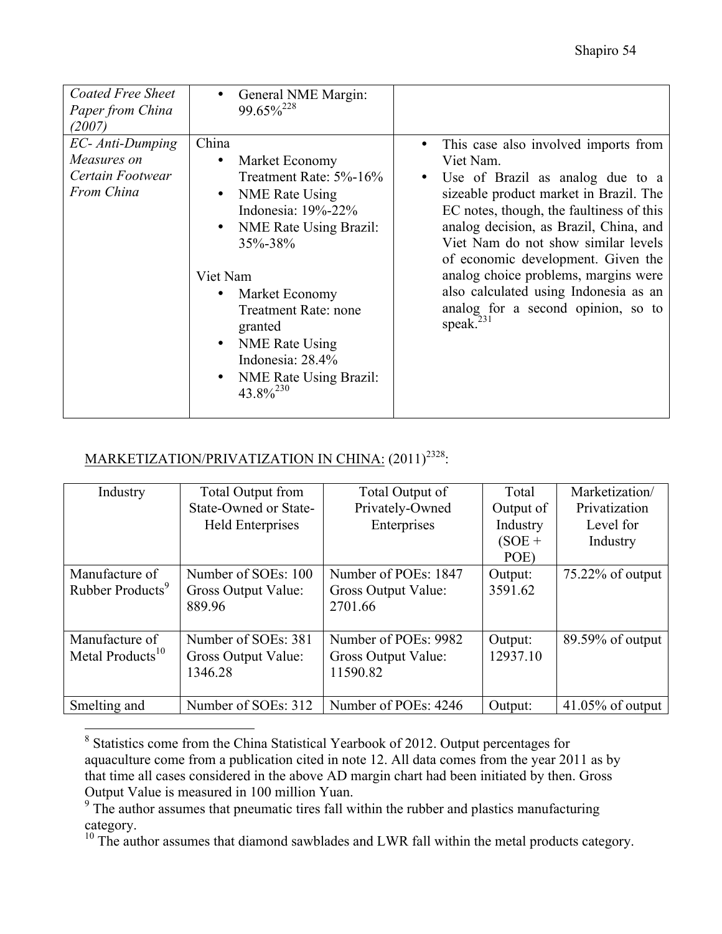| <b>Coated Free Sheet</b><br>Paper from China<br>(2007)            | General NME Margin:<br>$\bullet$<br>99.65% <sup>228</sup>                                                                                                                                                                                                                                                                             |                                                                                                                                                                                                                                                                                                                                                                                                                                                                        |
|-------------------------------------------------------------------|---------------------------------------------------------------------------------------------------------------------------------------------------------------------------------------------------------------------------------------------------------------------------------------------------------------------------------------|------------------------------------------------------------------------------------------------------------------------------------------------------------------------------------------------------------------------------------------------------------------------------------------------------------------------------------------------------------------------------------------------------------------------------------------------------------------------|
| EC- Anti-Dumping<br>Measures on<br>Certain Footwear<br>From China | China<br>Market Economy<br>$\bullet$<br>Treatment Rate: 5%-16%<br>NME Rate Using<br>$\bullet$<br>Indonesia: 19%-22%<br>NME Rate Using Brazil:<br>$\bullet$<br>35%-38%<br>Viet Nam<br>Market Economy<br>Treatment Rate: none<br>granted<br>NME Rate Using<br>$\bullet$<br>Indonesia: 28.4%<br>NME Rate Using Brazil:<br>$43.8\%^{230}$ | This case also involved imports from<br>$\bullet$<br>Viet Nam.<br>Use of Brazil as analog due to a<br>$\bullet$<br>sizeable product market in Brazil. The<br>EC notes, though, the faultiness of this<br>analog decision, as Brazil, China, and<br>Viet Nam do not show similar levels<br>of economic development. Given the<br>analog choice problems, margins were<br>also calculated using Indonesia as an<br>analog for a second opinion, so to<br>speak. $^{231}$ |

# MARKETIZATION/PRIVATIZATION IN CHINA: (2011)<sup>2328</sup>:

| Industry                     | Total Output from       | Total Output of      | Total     | Marketization/      |
|------------------------------|-------------------------|----------------------|-----------|---------------------|
|                              | State-Owned or State-   | Privately-Owned      | Output of | Privatization       |
|                              | <b>Held Enterprises</b> | Enterprises          | Industry  | Level for           |
|                              |                         |                      | $(SOE +$  | Industry            |
|                              |                         |                      | POE)      |                     |
| Manufacture of               | Number of SOEs: 100     | Number of POEs: 1847 | Output:   | $75.22\%$ of output |
| Rubber Products <sup>9</sup> | Gross Output Value:     | Gross Output Value:  | 3591.62   |                     |
|                              | 889.96                  | 2701.66              |           |                     |
|                              |                         |                      |           |                     |
| Manufacture of               | Number of SOEs: 381     | Number of POEs: 9982 | Output:   | $89.59\%$ of output |
| Metal Products <sup>10</sup> | Gross Output Value:     | Gross Output Value:  | 12937.10  |                     |
|                              | 1346.28                 | 11590.82             |           |                     |
|                              |                         |                      |           |                     |
| Smelting and                 | Number of SOEs: 312     | Number of POEs: 4246 | Output:   | $41.05\%$ of output |

 <sup>8</sup> Statistics come from the China Statistical Yearbook of 2012. Output percentages for aquaculture come from a publication cited in note 12. All data comes from the year 2011 as by that time all cases considered in the above AD margin chart had been initiated by then. Gross Output Value is measured in 100 million Yuan.

<sup>&</sup>lt;sup>9</sup> The author assumes that pneumatic tires fall within the rubber and plastics manufacturing category.

<sup>&</sup>lt;sup>10</sup> The author assumes that diamond sawblades and LWR fall within the metal products category.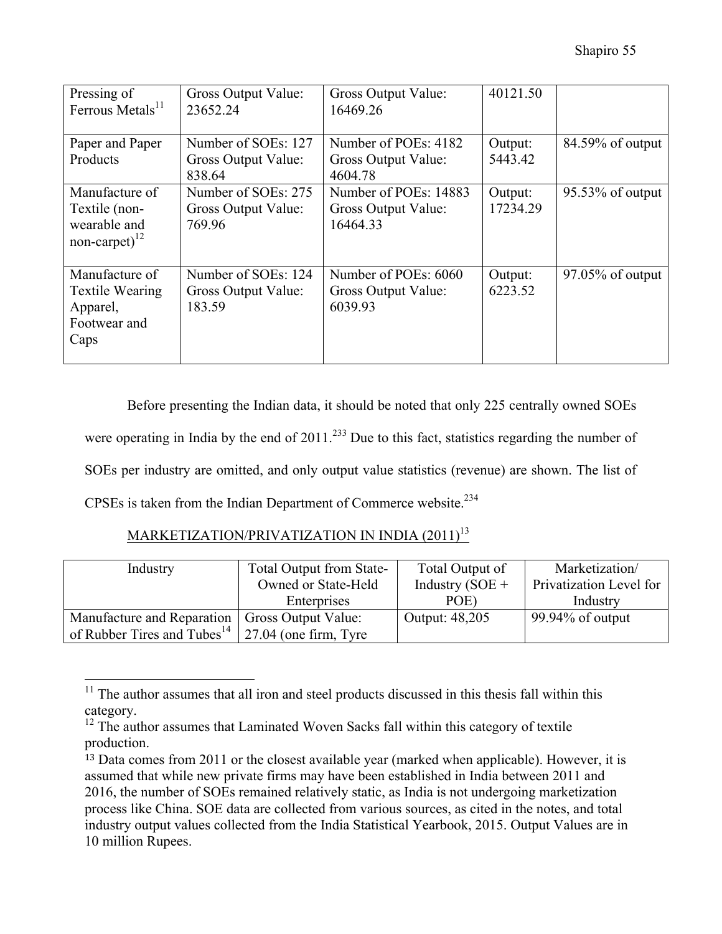| Pressing of<br>Ferrous Metals <sup>11</sup>                                  | Gross Output Value:<br>23652.24                      | Gross Output Value:<br>16469.26                          | 40121.50            |                     |
|------------------------------------------------------------------------------|------------------------------------------------------|----------------------------------------------------------|---------------------|---------------------|
| Paper and Paper<br>Products                                                  | Number of SOEs: 127<br>Gross Output Value:<br>838.64 | Number of POEs: 4182<br>Gross Output Value:<br>4604.78   | Output:<br>5443.42  | $84.59\%$ of output |
| Manufacture of<br>Textile (non-<br>wearable and<br>non-carpet) $^{12}$       | Number of SOEs: 275<br>Gross Output Value:<br>769.96 | Number of POEs: 14883<br>Gross Output Value:<br>16464.33 | Output:<br>17234.29 | $95.53\%$ of output |
| Manufacture of<br><b>Textile Wearing</b><br>Apparel,<br>Footwear and<br>Caps | Number of SOEs: 124<br>Gross Output Value:<br>183.59 | Number of POEs: 6060<br>Gross Output Value:<br>6039.93   | Output:<br>6223.52  | $97.05\%$ of output |

Before presenting the Indian data, it should be noted that only 225 centrally owned SOEs were operating in India by the end of  $2011$ <sup>233</sup> Due to this fact, statistics regarding the number of SOEs per industry are omitted, and only output value statistics (revenue) are shown. The list of CPSEs is taken from the Indian Department of Commerce website.234

# MARKETIZATION/PRIVATIZATION IN INDIA (2011) 13

| Industry                                         | <b>Total Output from State-</b> | Total Output of   | Marketization/          |
|--------------------------------------------------|---------------------------------|-------------------|-------------------------|
|                                                  | Owned or State-Held             | Industry $(SOE +$ | Privatization Level for |
|                                                  | Enterprises                     | POE)              | Industry                |
| Manufacture and Reparation   Gross Output Value: |                                 | Output: 48,205    | $99.94\%$ of output     |
| of Rubber Tires and Tubes <sup>14</sup> .        | $\vert$ 27.04 (one firm, Tyre   |                   |                         |

<sup>&</sup>lt;sup>11</sup> The author assumes that all iron and steel products discussed in this thesis fall within this category.

<sup>&</sup>lt;sup>12</sup> The author assumes that Laminated Woven Sacks fall within this category of textile production.

<sup>13</sup> Data comes from 2011 or the closest available year (marked when applicable). However, it is assumed that while new private firms may have been established in India between 2011 and 2016, the number of SOEs remained relatively static, as India is not undergoing marketization process like China. SOE data are collected from various sources, as cited in the notes, and total industry output values collected from the India Statistical Yearbook, 2015. Output Values are in 10 million Rupees.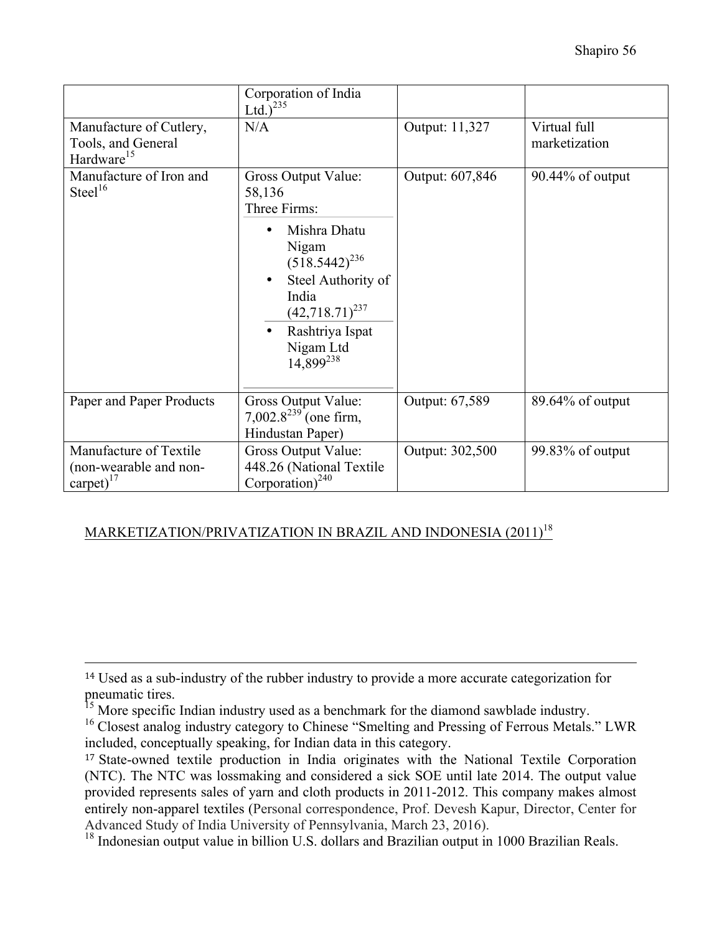| Manufacture of Cutlery,<br>Tools, and General<br>Hardware <sup>15</sup> | Corporation of India<br>Ltd.) $^{235}$<br>N/A                                                                                                                                                                                         | Output: 11,327  | Virtual full<br>marketization |
|-------------------------------------------------------------------------|---------------------------------------------------------------------------------------------------------------------------------------------------------------------------------------------------------------------------------------|-----------------|-------------------------------|
| Manufacture of Iron and<br>Steel <sup>16</sup>                          | Gross Output Value:<br>58,136<br>Three Firms:<br>Mishra Dhatu<br>Nigam<br>$(518.5442)^{236}$<br>Steel Authority of<br>$\bullet$<br>India<br>$(42,718.71)^{237}$<br>Rashtriya Ispat<br>$\bullet$<br>Nigam Ltd<br>14,899 <sup>238</sup> | Output: 607,846 | $90.44\%$ of output           |
| Paper and Paper Products                                                | Gross Output Value:<br>7,002.8 <sup>239</sup> (one firm,<br>Hindustan Paper)                                                                                                                                                          | Output: 67,589  | 89.64% of output              |
| Manufacture of Textile<br>(non-wearable and non-<br>carpet) $17$        | Gross Output Value:<br>448.26 (National Textile<br>Corporation) <sup>240</sup>                                                                                                                                                        | Output: 302,500 | 99.83% of output              |

# MARKETIZATION/PRIVATIZATION IN BRAZIL AND INDONESIA (2011) 18

<u> 1989 - Andrea Santa Alemania, amerikana amerikana amerikana amerikana amerikana amerikana amerikana amerikana</u>

<sup>14</sup> Used as a sub-industry of the rubber industry to provide a more accurate categorization for pneumatic tires.

<sup>&</sup>lt;sup>15</sup> More specific Indian industry used as a benchmark for the diamond sawblade industry.

<sup>&</sup>lt;sup>16</sup> Closest analog industry category to Chinese "Smelting and Pressing of Ferrous Metals." LWR included, conceptually speaking, for Indian data in this category.

<sup>17</sup> State-owned textile production in India originates with the National Textile Corporation (NTC). The NTC was lossmaking and considered a sick SOE until late 2014. The output value provided represents sales of yarn and cloth products in 2011-2012. This company makes almost entirely non-apparel textiles (Personal correspondence, Prof. Devesh Kapur, Director, Center for Advanced Study of India University of Pennsylvania, March 23, 2016).

<sup>&</sup>lt;sup>18</sup> Indonesian output value in billion U.S. dollars and Brazilian output in 1000 Brazilian Reals.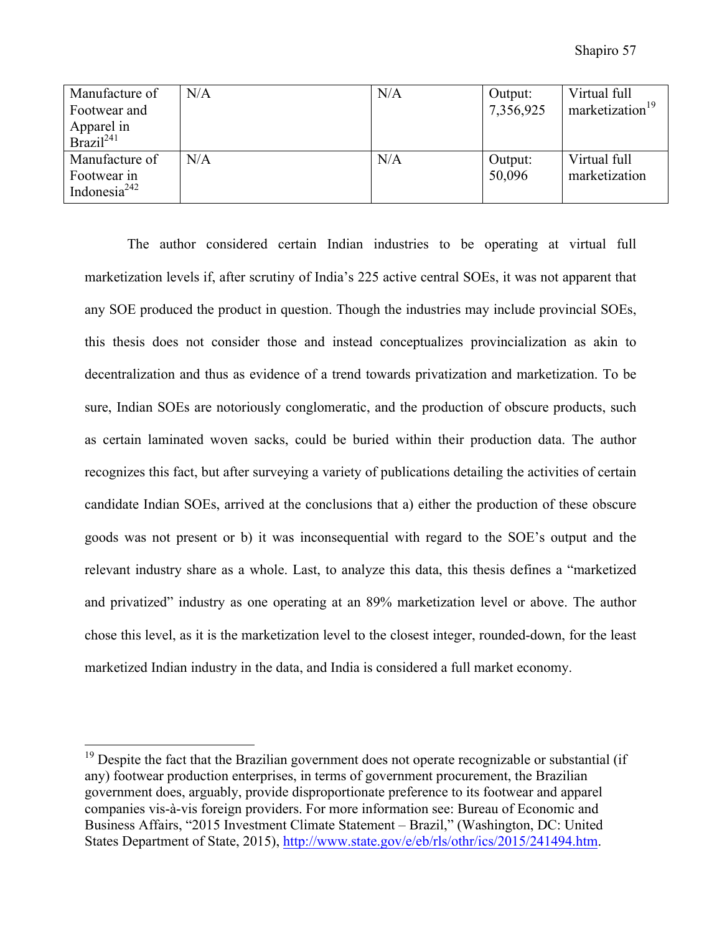| Manufacture of<br>Footwear and<br>Apparel in<br>Brazil <sup>241</sup> | N/A | N/A | Output:<br>7,356,925 | Virtual full<br>marketization <sup>19</sup> |
|-----------------------------------------------------------------------|-----|-----|----------------------|---------------------------------------------|
| Manufacture of<br>Footwear in<br>Indonesia <sup>242</sup>             | N/A | N/A | Output:<br>50,096    | Virtual full<br>marketization               |

The author considered certain Indian industries to be operating at virtual full marketization levels if, after scrutiny of India's 225 active central SOEs, it was not apparent that any SOE produced the product in question. Though the industries may include provincial SOEs, this thesis does not consider those and instead conceptualizes provincialization as akin to decentralization and thus as evidence of a trend towards privatization and marketization. To be sure, Indian SOEs are notoriously conglomeratic, and the production of obscure products, such as certain laminated woven sacks, could be buried within their production data. The author recognizes this fact, but after surveying a variety of publications detailing the activities of certain candidate Indian SOEs, arrived at the conclusions that a) either the production of these obscure goods was not present or b) it was inconsequential with regard to the SOE's output and the relevant industry share as a whole. Last, to analyze this data, this thesis defines a "marketized and privatized" industry as one operating at an 89% marketization level or above. The author chose this level, as it is the marketization level to the closest integer, rounded-down, for the least marketized Indian industry in the data, and India is considered a full market economy.

<sup>&</sup>lt;sup>19</sup> Despite the fact that the Brazilian government does not operate recognizable or substantial (if any) footwear production enterprises, in terms of government procurement, the Brazilian government does, arguably, provide disproportionate preference to its footwear and apparel companies vis-à-vis foreign providers. For more information see: Bureau of Economic and Business Affairs, "2015 Investment Climate Statement – Brazil," (Washington, DC: United States Department of State, 2015), http://www.state.gov/e/eb/rls/othr/ics/2015/241494.htm.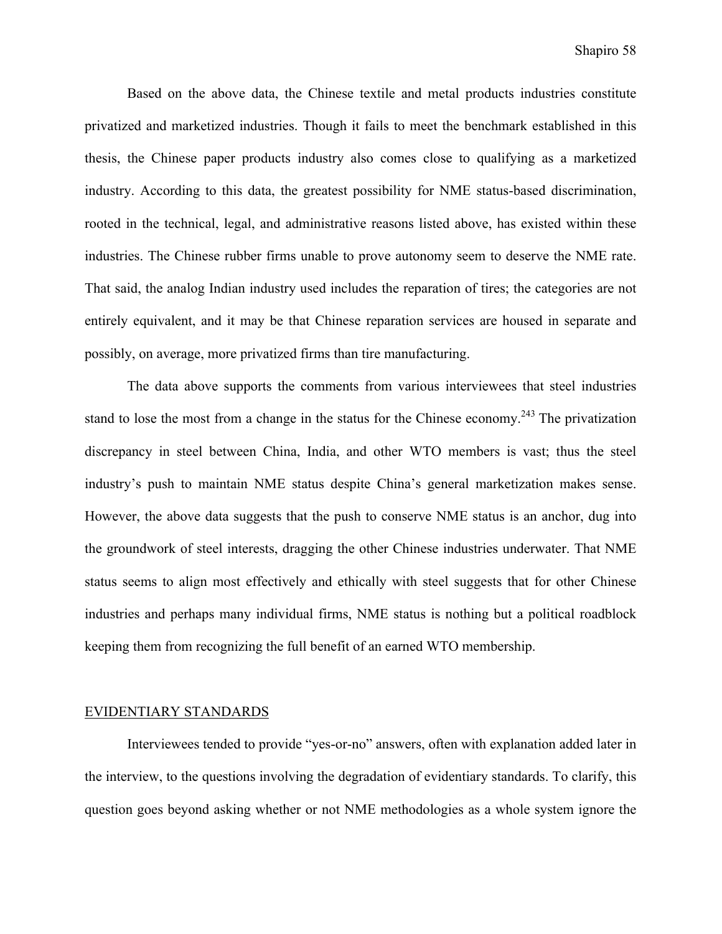Based on the above data, the Chinese textile and metal products industries constitute privatized and marketized industries. Though it fails to meet the benchmark established in this thesis, the Chinese paper products industry also comes close to qualifying as a marketized industry. According to this data, the greatest possibility for NME status-based discrimination, rooted in the technical, legal, and administrative reasons listed above, has existed within these industries. The Chinese rubber firms unable to prove autonomy seem to deserve the NME rate. That said, the analog Indian industry used includes the reparation of tires; the categories are not entirely equivalent, and it may be that Chinese reparation services are housed in separate and possibly, on average, more privatized firms than tire manufacturing.

The data above supports the comments from various interviewees that steel industries stand to lose the most from a change in the status for the Chinese economy.<sup>243</sup> The privatization discrepancy in steel between China, India, and other WTO members is vast; thus the steel industry's push to maintain NME status despite China's general marketization makes sense. However, the above data suggests that the push to conserve NME status is an anchor, dug into the groundwork of steel interests, dragging the other Chinese industries underwater. That NME status seems to align most effectively and ethically with steel suggests that for other Chinese industries and perhaps many individual firms, NME status is nothing but a political roadblock keeping them from recognizing the full benefit of an earned WTO membership.

#### EVIDENTIARY STANDARDS

Interviewees tended to provide "yes-or-no" answers, often with explanation added later in the interview, to the questions involving the degradation of evidentiary standards. To clarify, this question goes beyond asking whether or not NME methodologies as a whole system ignore the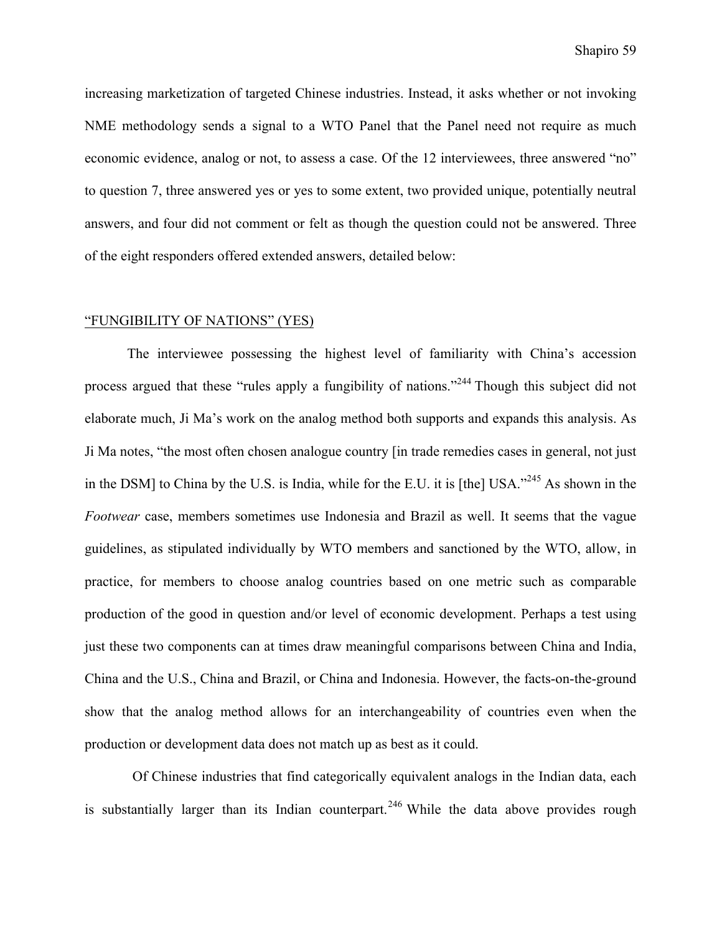increasing marketization of targeted Chinese industries. Instead, it asks whether or not invoking NME methodology sends a signal to a WTO Panel that the Panel need not require as much economic evidence, analog or not, to assess a case. Of the 12 interviewees, three answered "no" to question 7, three answered yes or yes to some extent, two provided unique, potentially neutral answers, and four did not comment or felt as though the question could not be answered. Three of the eight responders offered extended answers, detailed below:

### "FUNGIBILITY OF NATIONS" (YES)

The interviewee possessing the highest level of familiarity with China's accession process argued that these "rules apply a fungibility of nations."<sup>244</sup> Though this subject did not elaborate much, Ji Ma's work on the analog method both supports and expands this analysis. As Ji Ma notes, "the most often chosen analogue country [in trade remedies cases in general, not just in the DSM] to China by the U.S. is India, while for the E.U. it is [the] USA."<sup>245</sup> As shown in the *Footwear* case, members sometimes use Indonesia and Brazil as well. It seems that the vague guidelines, as stipulated individually by WTO members and sanctioned by the WTO, allow, in practice, for members to choose analog countries based on one metric such as comparable production of the good in question and/or level of economic development. Perhaps a test using just these two components can at times draw meaningful comparisons between China and India, China and the U.S., China and Brazil, or China and Indonesia. However, the facts-on-the-ground show that the analog method allows for an interchangeability of countries even when the production or development data does not match up as best as it could.

Of Chinese industries that find categorically equivalent analogs in the Indian data, each is substantially larger than its Indian counterpart.<sup>246</sup> While the data above provides rough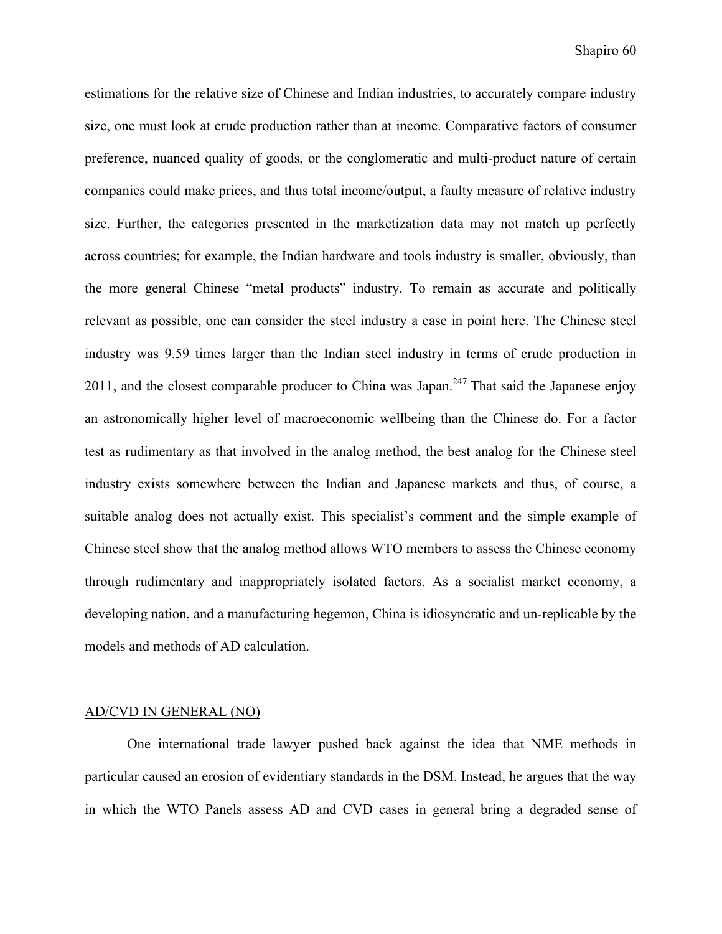estimations for the relative size of Chinese and Indian industries, to accurately compare industry size, one must look at crude production rather than at income. Comparative factors of consumer preference, nuanced quality of goods, or the conglomeratic and multi-product nature of certain companies could make prices, and thus total income/output, a faulty measure of relative industry size. Further, the categories presented in the marketization data may not match up perfectly across countries; for example, the Indian hardware and tools industry is smaller, obviously, than the more general Chinese "metal products" industry. To remain as accurate and politically relevant as possible, one can consider the steel industry a case in point here. The Chinese steel industry was 9.59 times larger than the Indian steel industry in terms of crude production in 2011, and the closest comparable producer to China was Japan.<sup>247</sup> That said the Japanese enjoy an astronomically higher level of macroeconomic wellbeing than the Chinese do. For a factor test as rudimentary as that involved in the analog method, the best analog for the Chinese steel industry exists somewhere between the Indian and Japanese markets and thus, of course, a suitable analog does not actually exist. This specialist's comment and the simple example of Chinese steel show that the analog method allows WTO members to assess the Chinese economy through rudimentary and inappropriately isolated factors. As a socialist market economy, a developing nation, and a manufacturing hegemon, China is idiosyncratic and un-replicable by the models and methods of AD calculation.

### AD/CVD IN GENERAL (NO)

One international trade lawyer pushed back against the idea that NME methods in particular caused an erosion of evidentiary standards in the DSM. Instead, he argues that the way in which the WTO Panels assess AD and CVD cases in general bring a degraded sense of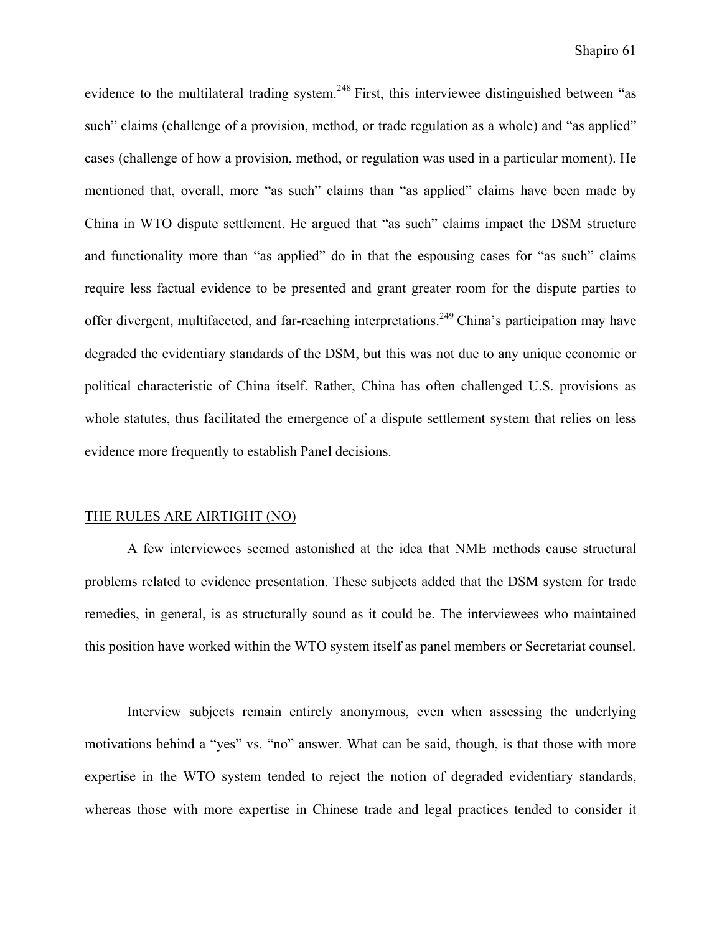evidence to the multilateral trading system.<sup>248</sup> First, this interviewee distinguished between "as such" claims (challenge of a provision, method, or trade regulation as a whole) and "as applied" cases (challenge of how a provision, method, or regulation was used in a particular moment). He mentioned that, overall, more "as such" claims than "as applied" claims have been made by China in WTO dispute settlement. He argued that "as such" claims impact the DSM structure and functionality more than "as applied" do in that the espousing cases for "as such" claims require less factual evidence to be presented and grant greater room for the dispute parties to offer divergent, multifaceted, and far-reaching interpretations.<sup>249</sup> China's participation may have degraded the evidentiary standards of the DSM, but this was not due to any unique economic or political characteristic of China itself. Rather, China has often challenged U.S. provisions as whole statutes, thus facilitated the emergence of a dispute settlement system that relies on less evidence more frequently to establish Panel decisions.

#### THE RULES ARE AIRTIGHT (NO)

A few interviewees seemed astonished at the idea that NME methods cause structural problems related to evidence presentation. These subjects added that the DSM system for trade remedies, in general, is as structurally sound as it could be. The interviewees who maintained this position have worked within the WTO system itself as panel members or Secretariat counsel.

Interview subjects remain entirely anonymous, even when assessing the underlying motivations behind a "yes" vs. "no" answer. What can be said, though, is that those with more expertise in the WTO system tended to reject the notion of degraded evidentiary standards, whereas those with more expertise in Chinese trade and legal practices tended to consider it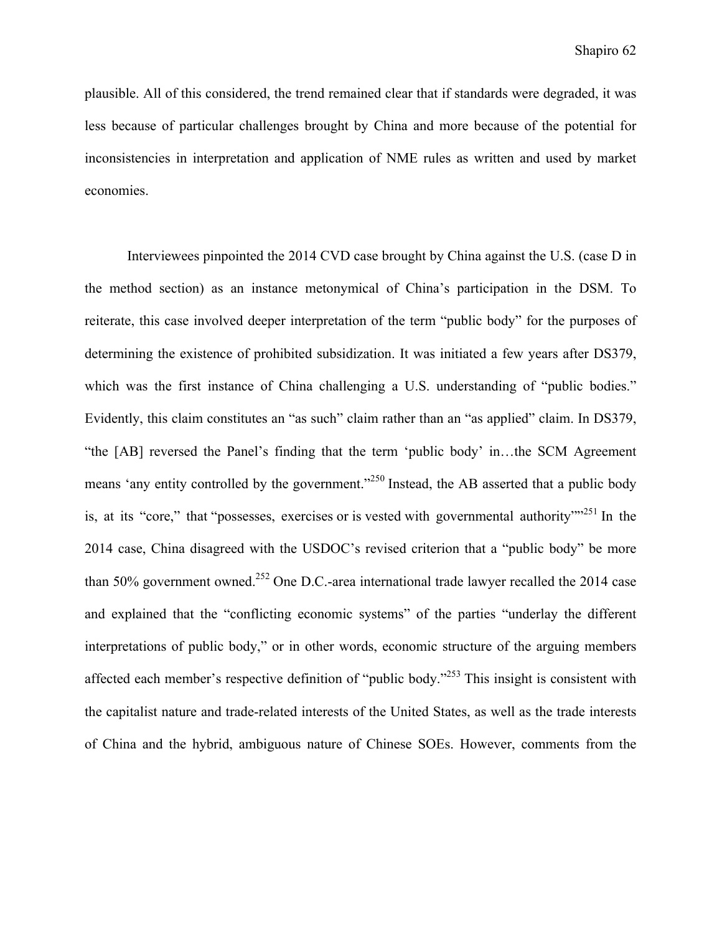plausible. All of this considered, the trend remained clear that if standards were degraded, it was less because of particular challenges brought by China and more because of the potential for inconsistencies in interpretation and application of NME rules as written and used by market economies.

Interviewees pinpointed the 2014 CVD case brought by China against the U.S. (case D in the method section) as an instance metonymical of China's participation in the DSM. To reiterate, this case involved deeper interpretation of the term "public body" for the purposes of determining the existence of prohibited subsidization. It was initiated a few years after DS379, which was the first instance of China challenging a U.S. understanding of "public bodies." Evidently, this claim constitutes an "as such" claim rather than an "as applied" claim. In DS379, "the [AB] reversed the Panel's finding that the term 'public body' in…the SCM Agreement means 'any entity controlled by the government."<sup>250</sup> Instead, the AB asserted that a public body is, at its "core," that "possesses, exercises or is vested with governmental authority"<sup>251</sup> In the 2014 case, China disagreed with the USDOC's revised criterion that a "public body" be more than 50% government owned.<sup>252</sup> One D.C.-area international trade lawyer recalled the 2014 case and explained that the "conflicting economic systems" of the parties "underlay the different interpretations of public body," or in other words, economic structure of the arguing members affected each member's respective definition of "public body."253 This insight is consistent with the capitalist nature and trade-related interests of the United States, as well as the trade interests of China and the hybrid, ambiguous nature of Chinese SOEs. However, comments from the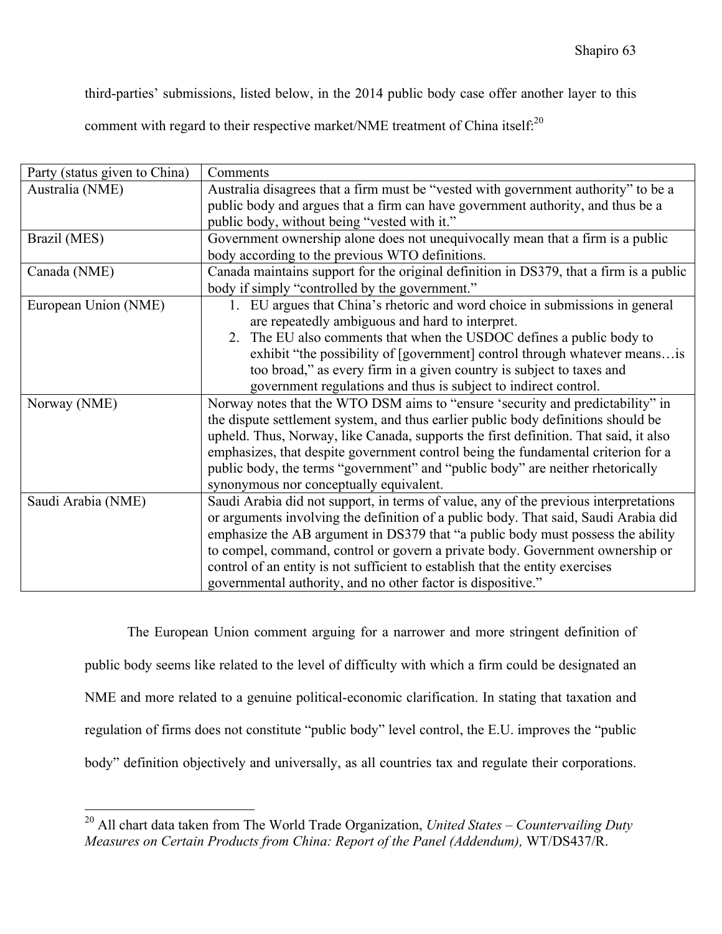third-parties' submissions, listed below, in the 2014 public body case offer another layer to this

comment with regard to their respective market/NME treatment of China itself.<sup>20</sup>

| Party (status given to China) | Comments                                                                               |
|-------------------------------|----------------------------------------------------------------------------------------|
| Australia (NME)               | Australia disagrees that a firm must be "vested with government authority" to be a     |
|                               | public body and argues that a firm can have government authority, and thus be a        |
|                               | public body, without being "vested with it."                                           |
| Brazil (MES)                  | Government ownership alone does not unequivocally mean that a firm is a public         |
|                               | body according to the previous WTO definitions.                                        |
| Canada (NME)                  | Canada maintains support for the original definition in DS379, that a firm is a public |
|                               | body if simply "controlled by the government."                                         |
| European Union (NME)          | EU argues that China's rhetoric and word choice in submissions in general<br>$1_{-}$   |
|                               | are repeatedly ambiguous and hard to interpret.                                        |
|                               | 2. The EU also comments that when the USDOC defines a public body to                   |
|                               | exhibit "the possibility of [government] control through whatever means is             |
|                               | too broad," as every firm in a given country is subject to taxes and                   |
|                               | government regulations and thus is subject to indirect control.                        |
| Norway (NME)                  | Norway notes that the WTO DSM aims to "ensure 'security and predictability" in         |
|                               | the dispute settlement system, and thus earlier public body definitions should be      |
|                               | upheld. Thus, Norway, like Canada, supports the first definition. That said, it also   |
|                               | emphasizes, that despite government control being the fundamental criterion for a      |
|                               | public body, the terms "government" and "public body" are neither rhetorically         |
|                               | synonymous nor conceptually equivalent.                                                |
| Saudi Arabia (NME)            | Saudi Arabia did not support, in terms of value, any of the previous interpretations   |
|                               | or arguments involving the definition of a public body. That said, Saudi Arabia did    |
|                               | emphasize the AB argument in DS379 that "a public body must possess the ability        |
|                               | to compel, command, control or govern a private body. Government ownership or          |
|                               | control of an entity is not sufficient to establish that the entity exercises          |
|                               | governmental authority, and no other factor is dispositive."                           |

The European Union comment arguing for a narrower and more stringent definition of public body seems like related to the level of difficulty with which a firm could be designated an NME and more related to a genuine political-economic clarification. In stating that taxation and regulation of firms does not constitute "public body" level control, the E.U. improves the "public body" definition objectively and universally, as all countries tax and regulate their corporations.

 <sup>20</sup> All chart data taken from The World Trade Organization, *United States – Countervailing Duty Measures on Certain Products from China: Report of the Panel (Addendum),* WT/DS437/R.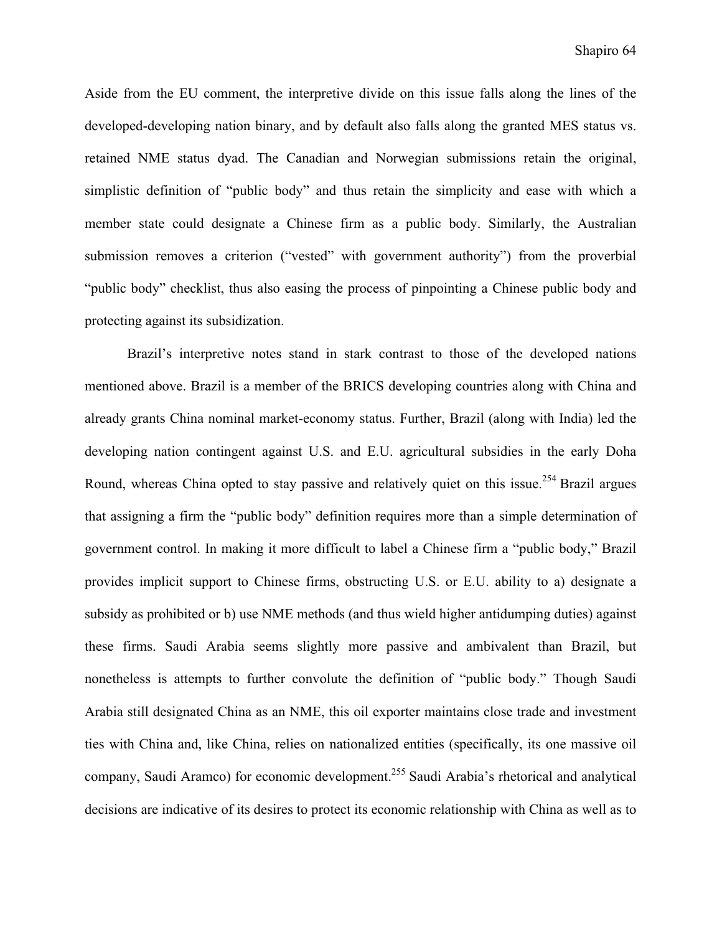Aside from the EU comment, the interpretive divide on this issue falls along the lines of the developed-developing nation binary, and by default also falls along the granted MES status vs. retained NME status dyad. The Canadian and Norwegian submissions retain the original, simplistic definition of "public body" and thus retain the simplicity and ease with which a member state could designate a Chinese firm as a public body. Similarly, the Australian submission removes a criterion ("vested" with government authority") from the proverbial "public body" checklist, thus also easing the process of pinpointing a Chinese public body and protecting against its subsidization.

Brazil's interpretive notes stand in stark contrast to those of the developed nations mentioned above. Brazil is a member of the BRICS developing countries along with China and already grants China nominal market-economy status. Further, Brazil (along with India) led the developing nation contingent against U.S. and E.U. agricultural subsidies in the early Doha Round, whereas China opted to stay passive and relatively quiet on this issue.<sup>254</sup> Brazil argues that assigning a firm the "public body" definition requires more than a simple determination of government control. In making it more difficult to label a Chinese firm a "public body," Brazil provides implicit support to Chinese firms, obstructing U.S. or E.U. ability to a) designate a subsidy as prohibited or b) use NME methods (and thus wield higher antidumping duties) against these firms. Saudi Arabia seems slightly more passive and ambivalent than Brazil, but nonetheless is attempts to further convolute the definition of "public body." Though Saudi Arabia still designated China as an NME, this oil exporter maintains close trade and investment ties with China and, like China, relies on nationalized entities (specifically, its one massive oil company, Saudi Aramco) for economic development.255 Saudi Arabia's rhetorical and analytical decisions are indicative of its desires to protect its economic relationship with China as well as to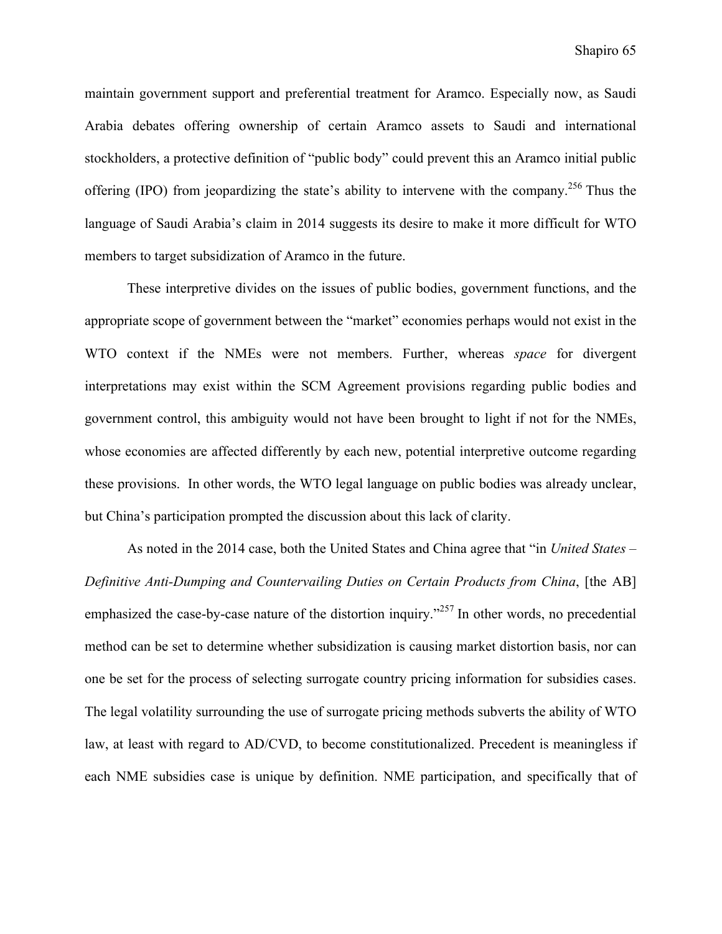maintain government support and preferential treatment for Aramco. Especially now, as Saudi Arabia debates offering ownership of certain Aramco assets to Saudi and international stockholders, a protective definition of "public body" could prevent this an Aramco initial public offering (IPO) from jeopardizing the state's ability to intervene with the company.<sup>256</sup> Thus the language of Saudi Arabia's claim in 2014 suggests its desire to make it more difficult for WTO members to target subsidization of Aramco in the future.

These interpretive divides on the issues of public bodies, government functions, and the appropriate scope of government between the "market" economies perhaps would not exist in the WTO context if the NMEs were not members. Further, whereas *space* for divergent interpretations may exist within the SCM Agreement provisions regarding public bodies and government control, this ambiguity would not have been brought to light if not for the NMEs, whose economies are affected differently by each new, potential interpretive outcome regarding these provisions. In other words, the WTO legal language on public bodies was already unclear, but China's participation prompted the discussion about this lack of clarity.

As noted in the 2014 case, both the United States and China agree that "in *United States – Definitive Anti-Dumping and Countervailing Duties on Certain Products from China*, [the AB] emphasized the case-by-case nature of the distortion inquiry.<sup> $257$ </sup> In other words, no precedential method can be set to determine whether subsidization is causing market distortion basis, nor can one be set for the process of selecting surrogate country pricing information for subsidies cases. The legal volatility surrounding the use of surrogate pricing methods subverts the ability of WTO law, at least with regard to AD/CVD, to become constitutionalized. Precedent is meaningless if each NME subsidies case is unique by definition. NME participation, and specifically that of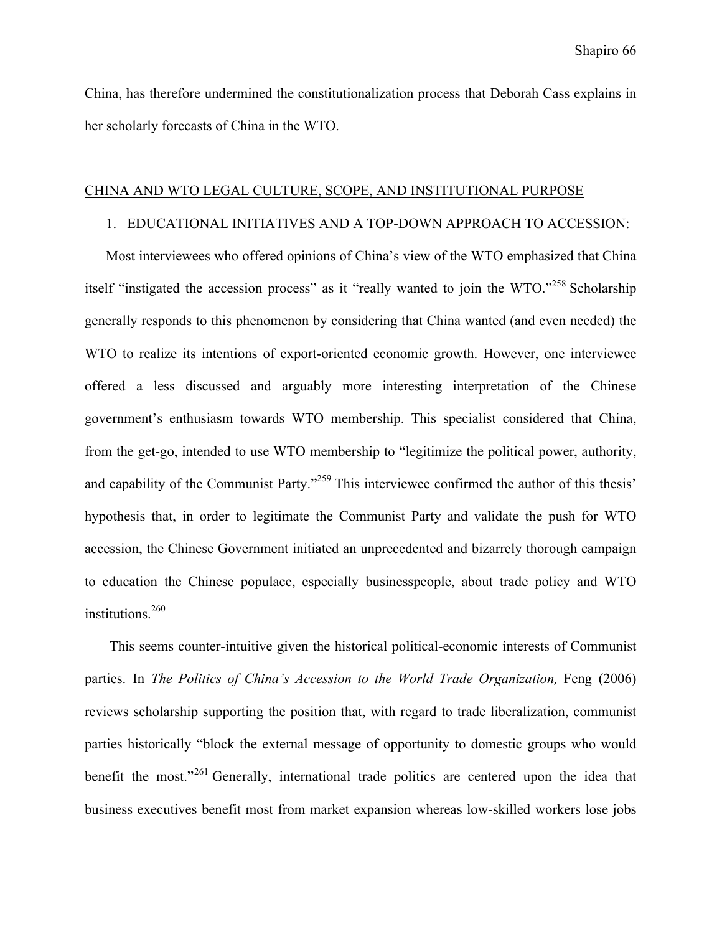China, has therefore undermined the constitutionalization process that Deborah Cass explains in her scholarly forecasts of China in the WTO.

#### CHINA AND WTO LEGAL CULTURE, SCOPE, AND INSTITUTIONAL PURPOSE

## 1. EDUCATIONAL INITIATIVES AND A TOP-DOWN APPROACH TO ACCESSION:

Most interviewees who offered opinions of China's view of the WTO emphasized that China itself "instigated the accession process" as it "really wanted to join the WTO."<sup>258</sup> Scholarship generally responds to this phenomenon by considering that China wanted (and even needed) the WTO to realize its intentions of export-oriented economic growth. However, one interviewee offered a less discussed and arguably more interesting interpretation of the Chinese government's enthusiasm towards WTO membership. This specialist considered that China, from the get-go, intended to use WTO membership to "legitimize the political power, authority, and capability of the Communist Party."<sup>259</sup> This interviewee confirmed the author of this thesis' hypothesis that, in order to legitimate the Communist Party and validate the push for WTO accession, the Chinese Government initiated an unprecedented and bizarrely thorough campaign to education the Chinese populace, especially businesspeople, about trade policy and WTO institutions.<sup>260</sup>

This seems counter-intuitive given the historical political-economic interests of Communist parties. In *The Politics of China's Accession to the World Trade Organization,* Feng (2006) reviews scholarship supporting the position that, with regard to trade liberalization, communist parties historically "block the external message of opportunity to domestic groups who would benefit the most."<sup>261</sup> Generally, international trade politics are centered upon the idea that business executives benefit most from market expansion whereas low-skilled workers lose jobs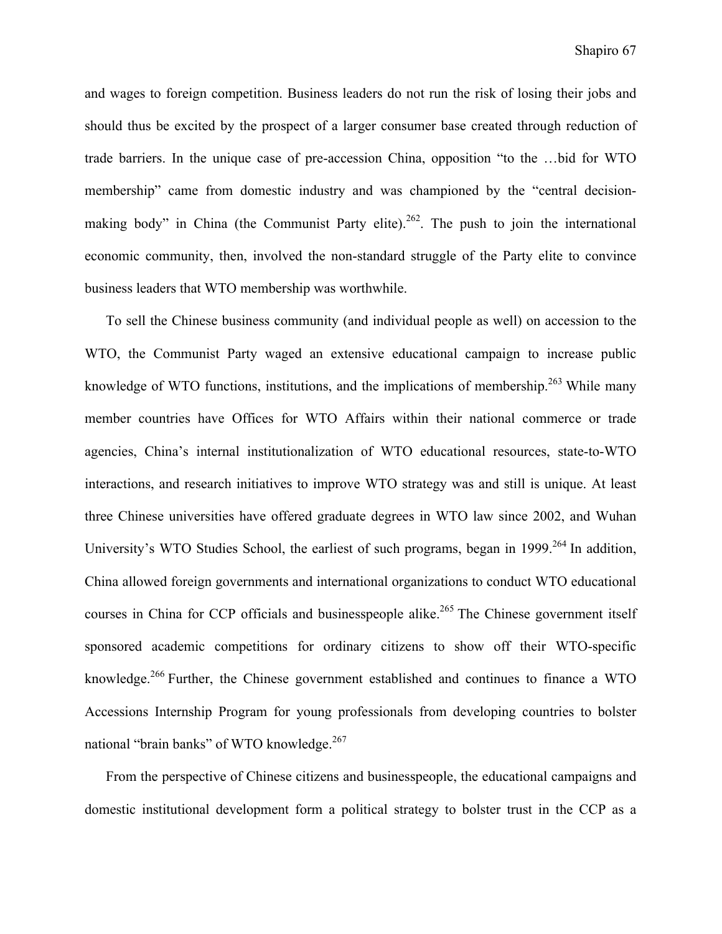and wages to foreign competition. Business leaders do not run the risk of losing their jobs and should thus be excited by the prospect of a larger consumer base created through reduction of trade barriers. In the unique case of pre-accession China, opposition "to the …bid for WTO membership" came from domestic industry and was championed by the "central decisionmaking body" in China (the Communist Party elite).<sup>262</sup>. The push to join the international economic community, then, involved the non-standard struggle of the Party elite to convince business leaders that WTO membership was worthwhile.

To sell the Chinese business community (and individual people as well) on accession to the WTO, the Communist Party waged an extensive educational campaign to increase public knowledge of WTO functions, institutions, and the implications of membership.<sup>263</sup> While many member countries have Offices for WTO Affairs within their national commerce or trade agencies, China's internal institutionalization of WTO educational resources, state-to-WTO interactions, and research initiatives to improve WTO strategy was and still is unique. At least three Chinese universities have offered graduate degrees in WTO law since 2002, and Wuhan University's WTO Studies School, the earliest of such programs, began in 1999.<sup>264</sup> In addition, China allowed foreign governments and international organizations to conduct WTO educational courses in China for CCP officials and businesspeople alike.<sup>265</sup> The Chinese government itself sponsored academic competitions for ordinary citizens to show off their WTO-specific knowledge.<sup>266</sup> Further, the Chinese government established and continues to finance a WTO Accessions Internship Program for young professionals from developing countries to bolster national "brain banks" of WTO knowledge.<sup>267</sup>

From the perspective of Chinese citizens and businesspeople, the educational campaigns and domestic institutional development form a political strategy to bolster trust in the CCP as a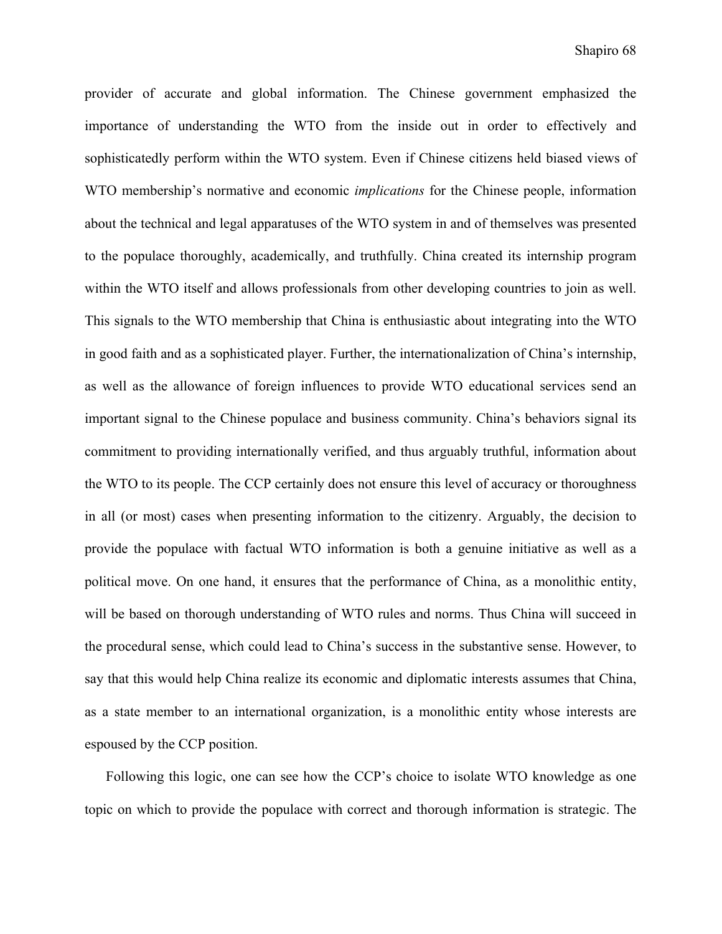provider of accurate and global information. The Chinese government emphasized the importance of understanding the WTO from the inside out in order to effectively and sophisticatedly perform within the WTO system. Even if Chinese citizens held biased views of WTO membership's normative and economic *implications* for the Chinese people, information about the technical and legal apparatuses of the WTO system in and of themselves was presented to the populace thoroughly, academically, and truthfully. China created its internship program within the WTO itself and allows professionals from other developing countries to join as well. This signals to the WTO membership that China is enthusiastic about integrating into the WTO in good faith and as a sophisticated player. Further, the internationalization of China's internship, as well as the allowance of foreign influences to provide WTO educational services send an important signal to the Chinese populace and business community. China's behaviors signal its commitment to providing internationally verified, and thus arguably truthful, information about the WTO to its people. The CCP certainly does not ensure this level of accuracy or thoroughness in all (or most) cases when presenting information to the citizenry. Arguably, the decision to provide the populace with factual WTO information is both a genuine initiative as well as a political move. On one hand, it ensures that the performance of China, as a monolithic entity, will be based on thorough understanding of WTO rules and norms. Thus China will succeed in the procedural sense, which could lead to China's success in the substantive sense. However, to say that this would help China realize its economic and diplomatic interests assumes that China, as a state member to an international organization, is a monolithic entity whose interests are espoused by the CCP position.

Following this logic, one can see how the CCP's choice to isolate WTO knowledge as one topic on which to provide the populace with correct and thorough information is strategic. The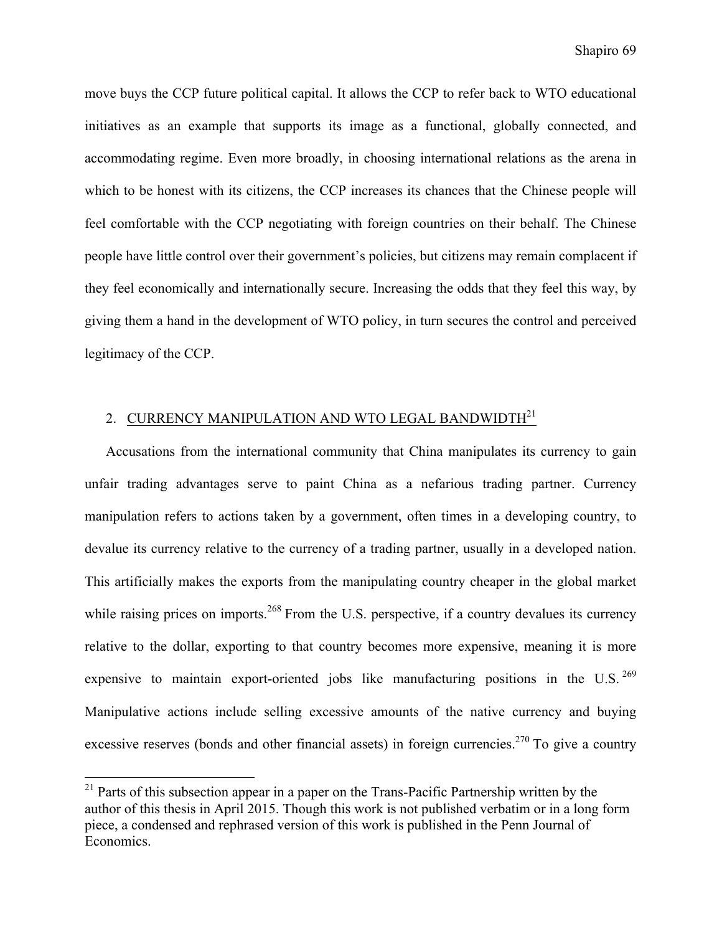move buys the CCP future political capital. It allows the CCP to refer back to WTO educational initiatives as an example that supports its image as a functional, globally connected, and accommodating regime. Even more broadly, in choosing international relations as the arena in which to be honest with its citizens, the CCP increases its chances that the Chinese people will feel comfortable with the CCP negotiating with foreign countries on their behalf. The Chinese people have little control over their government's policies, but citizens may remain complacent if they feel economically and internationally secure. Increasing the odds that they feel this way, by giving them a hand in the development of WTO policy, in turn secures the control and perceived legitimacy of the CCP.

# 2. CURRENCY MANIPULATION AND WTO LEGAL BANDWIDTH<sup>21</sup>

Accusations from the international community that China manipulates its currency to gain unfair trading advantages serve to paint China as a nefarious trading partner. Currency manipulation refers to actions taken by a government, often times in a developing country, to devalue its currency relative to the currency of a trading partner, usually in a developed nation. This artificially makes the exports from the manipulating country cheaper in the global market while raising prices on imports.<sup>268</sup> From the U.S. perspective, if a country devalues its currency relative to the dollar, exporting to that country becomes more expensive, meaning it is more expensive to maintain export-oriented jobs like manufacturing positions in the U.S.  $^{269}$ Manipulative actions include selling excessive amounts of the native currency and buying excessive reserves (bonds and other financial assets) in foreign currencies.<sup>270</sup> To give a country

 $21$  Parts of this subsection appear in a paper on the Trans-Pacific Partnership written by the author of this thesis in April 2015. Though this work is not published verbatim or in a long form piece, a condensed and rephrased version of this work is published in the Penn Journal of **Economics**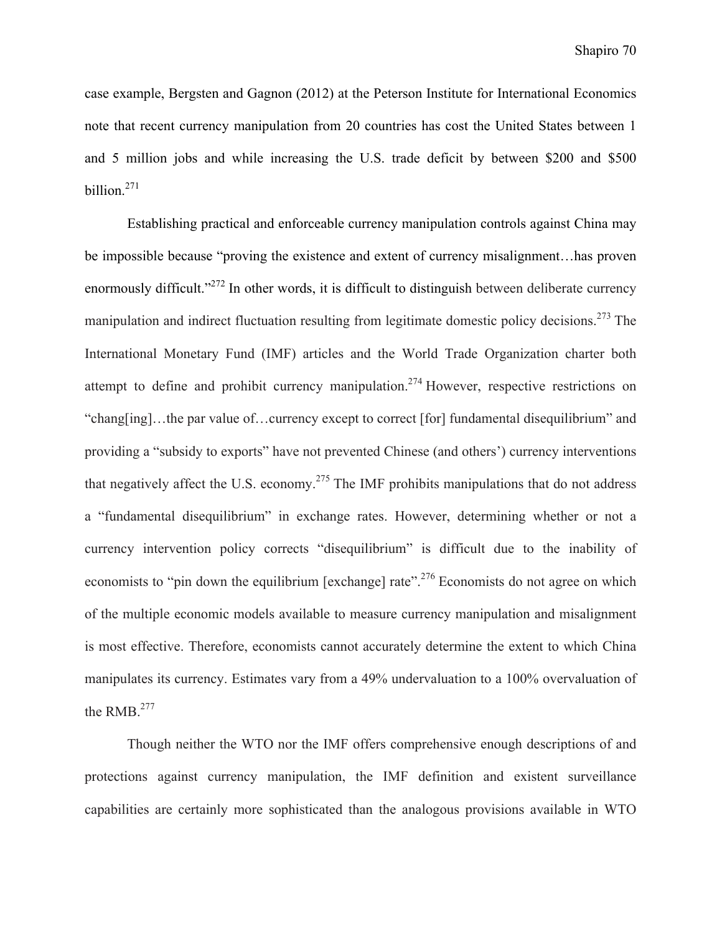case example, Bergsten and Gagnon (2012) at the Peterson Institute for International Economics note that recent currency manipulation from 20 countries has cost the United States between 1 and 5 million jobs and while increasing the U.S. trade deficit by between \$200 and \$500 billion.271

Establishing practical and enforceable currency manipulation controls against China may be impossible because "proving the existence and extent of currency misalignment…has proven enormously difficult."<sup>272</sup> In other words, it is difficult to distinguish between deliberate currency manipulation and indirect fluctuation resulting from legitimate domestic policy decisions.<sup>273</sup> The International Monetary Fund (IMF) articles and the World Trade Organization charter both attempt to define and prohibit currency manipulation.<sup>274</sup> However, respective restrictions on "chang[ing]…the par value of…currency except to correct [for] fundamental disequilibrium" and providing a "subsidy to exports" have not prevented Chinese (and others') currency interventions that negatively affect the U.S. economy.<sup>275</sup> The IMF prohibits manipulations that do not address a "fundamental disequilibrium" in exchange rates. However, determining whether or not a currency intervention policy corrects "disequilibrium" is difficult due to the inability of economists to "pin down the equilibrium [exchange] rate".<sup>276</sup> Economists do not agree on which of the multiple economic models available to measure currency manipulation and misalignment is most effective. Therefore, economists cannot accurately determine the extent to which China manipulates its currency. Estimates vary from a 49% undervaluation to a 100% overvaluation of the RMB. $277$ 

Though neither the WTO nor the IMF offers comprehensive enough descriptions of and protections against currency manipulation, the IMF definition and existent surveillance capabilities are certainly more sophisticated than the analogous provisions available in WTO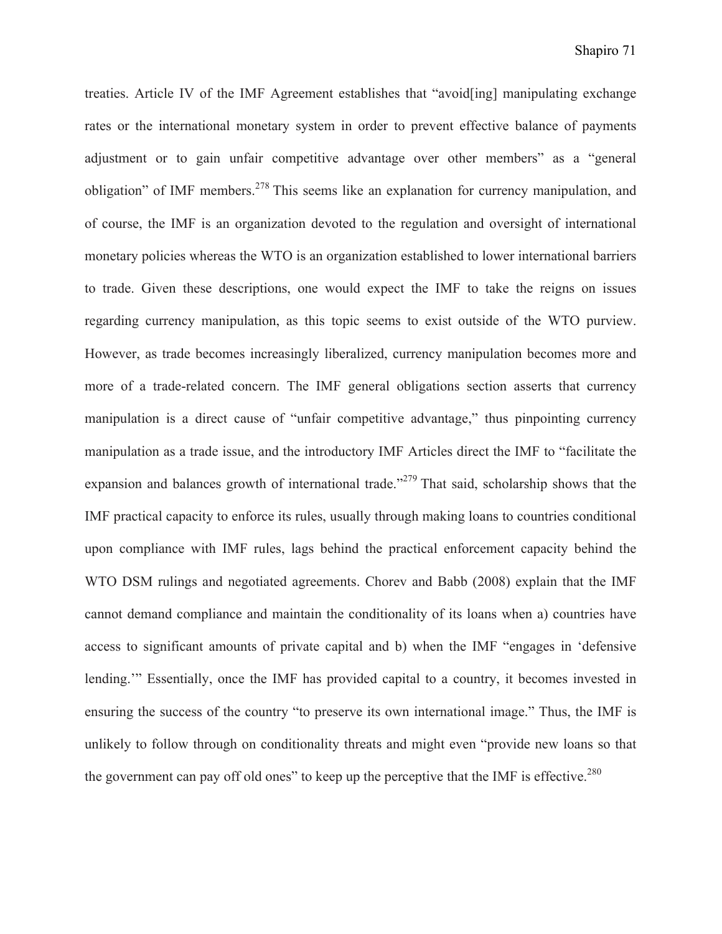treaties. Article IV of the IMF Agreement establishes that "avoid[ing] manipulating exchange rates or the international monetary system in order to prevent effective balance of payments adjustment or to gain unfair competitive advantage over other members" as a "general obligation" of IMF members.<sup>278</sup> This seems like an explanation for currency manipulation, and of course, the IMF is an organization devoted to the regulation and oversight of international monetary policies whereas the WTO is an organization established to lower international barriers to trade. Given these descriptions, one would expect the IMF to take the reigns on issues regarding currency manipulation, as this topic seems to exist outside of the WTO purview. However, as trade becomes increasingly liberalized, currency manipulation becomes more and more of a trade-related concern. The IMF general obligations section asserts that currency manipulation is a direct cause of "unfair competitive advantage," thus pinpointing currency manipulation as a trade issue, and the introductory IMF Articles direct the IMF to "facilitate the expansion and balances growth of international trade.<sup>2279</sup> That said, scholarship shows that the IMF practical capacity to enforce its rules, usually through making loans to countries conditional upon compliance with IMF rules, lags behind the practical enforcement capacity behind the WTO DSM rulings and negotiated agreements. Chorev and Babb (2008) explain that the IMF cannot demand compliance and maintain the conditionality of its loans when a) countries have access to significant amounts of private capital and b) when the IMF "engages in 'defensive lending.'" Essentially, once the IMF has provided capital to a country, it becomes invested in ensuring the success of the country "to preserve its own international image." Thus, the IMF is unlikely to follow through on conditionality threats and might even "provide new loans so that the government can pay off old ones" to keep up the perceptive that the IMF is effective.<sup>280</sup>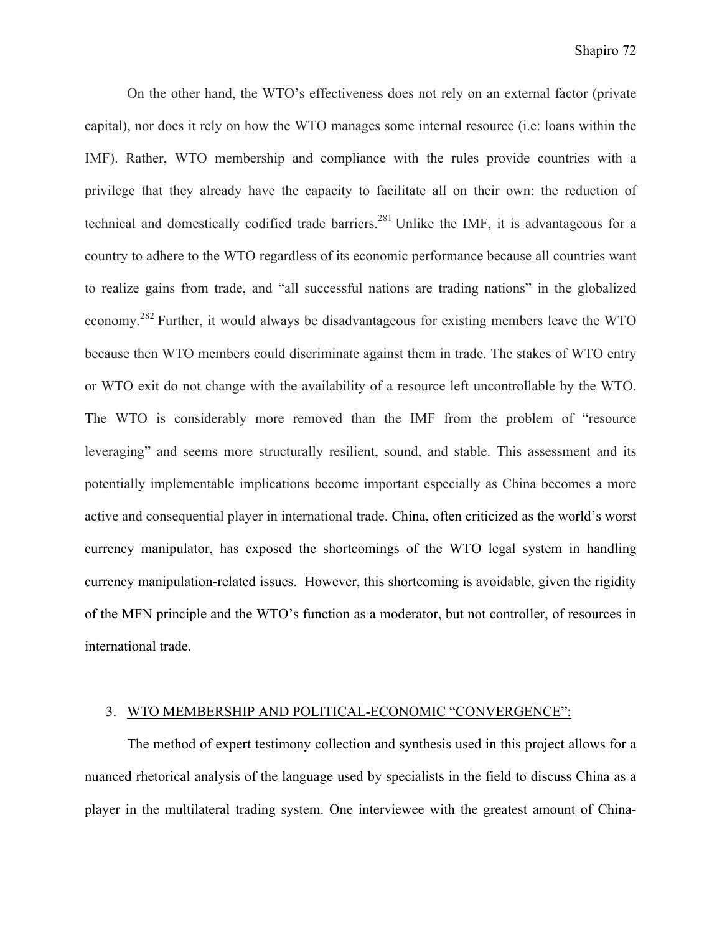On the other hand, the WTO's effectiveness does not rely on an external factor (private capital), nor does it rely on how the WTO manages some internal resource (i.e: loans within the IMF). Rather, WTO membership and compliance with the rules provide countries with a privilege that they already have the capacity to facilitate all on their own: the reduction of technical and domestically codified trade barriers.<sup>281</sup> Unlike the IMF, it is advantageous for a country to adhere to the WTO regardless of its economic performance because all countries want to realize gains from trade, and "all successful nations are trading nations" in the globalized economy.<sup>282</sup> Further, it would always be disadvantageous for existing members leave the WTO because then WTO members could discriminate against them in trade. The stakes of WTO entry or WTO exit do not change with the availability of a resource left uncontrollable by the WTO. The WTO is considerably more removed than the IMF from the problem of "resource leveraging" and seems more structurally resilient, sound, and stable. This assessment and its potentially implementable implications become important especially as China becomes a more active and consequential player in international trade. China, often criticized as the world's worst currency manipulator, has exposed the shortcomings of the WTO legal system in handling currency manipulation-related issues. However, this shortcoming is avoidable, given the rigidity of the MFN principle and the WTO's function as a moderator, but not controller, of resources in international trade.

## 3. WTO MEMBERSHIP AND POLITICAL-ECONOMIC "CONVERGENCE":

The method of expert testimony collection and synthesis used in this project allows for a nuanced rhetorical analysis of the language used by specialists in the field to discuss China as a player in the multilateral trading system. One interviewee with the greatest amount of China-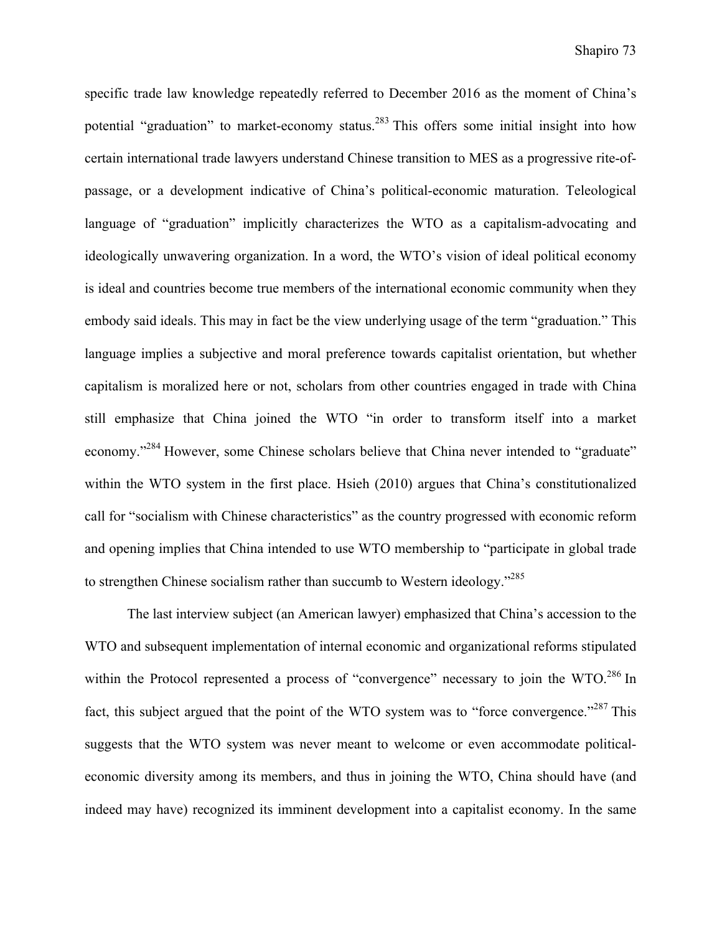specific trade law knowledge repeatedly referred to December 2016 as the moment of China's potential "graduation" to market-economy status.<sup>283</sup> This offers some initial insight into how certain international trade lawyers understand Chinese transition to MES as a progressive rite-ofpassage, or a development indicative of China's political-economic maturation. Teleological language of "graduation" implicitly characterizes the WTO as a capitalism-advocating and ideologically unwavering organization. In a word, the WTO's vision of ideal political economy is ideal and countries become true members of the international economic community when they embody said ideals. This may in fact be the view underlying usage of the term "graduation." This language implies a subjective and moral preference towards capitalist orientation, but whether capitalism is moralized here or not, scholars from other countries engaged in trade with China still emphasize that China joined the WTO "in order to transform itself into a market economy."<sup>284</sup> However, some Chinese scholars believe that China never intended to "graduate" within the WTO system in the first place. Hsieh (2010) argues that China's constitutionalized call for "socialism with Chinese characteristics" as the country progressed with economic reform and opening implies that China intended to use WTO membership to "participate in global trade to strengthen Chinese socialism rather than succumb to Western ideology."285

The last interview subject (an American lawyer) emphasized that China's accession to the WTO and subsequent implementation of internal economic and organizational reforms stipulated within the Protocol represented a process of "convergence" necessary to join the WTO.<sup>286</sup> In fact, this subject argued that the point of the WTO system was to "force convergence."<sup>287</sup> This suggests that the WTO system was never meant to welcome or even accommodate politicaleconomic diversity among its members, and thus in joining the WTO, China should have (and indeed may have) recognized its imminent development into a capitalist economy. In the same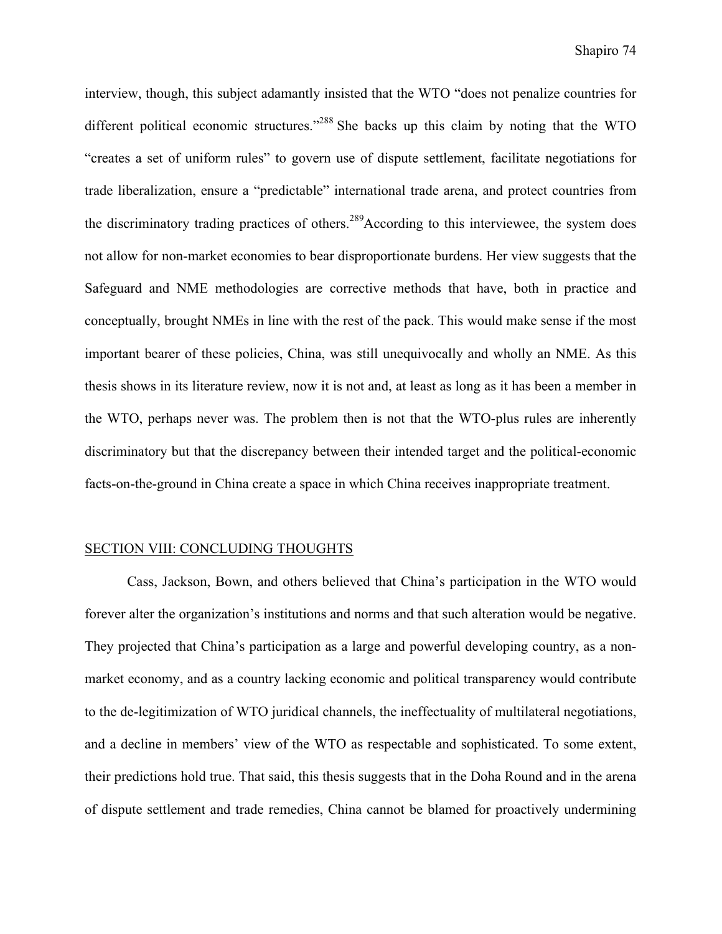interview, though, this subject adamantly insisted that the WTO "does not penalize countries for different political economic structures."<sup>288</sup> She backs up this claim by noting that the WTO "creates a set of uniform rules" to govern use of dispute settlement, facilitate negotiations for trade liberalization, ensure a "predictable" international trade arena, and protect countries from the discriminatory trading practices of others.<sup>289</sup>According to this interviewee, the system does not allow for non-market economies to bear disproportionate burdens. Her view suggests that the Safeguard and NME methodologies are corrective methods that have, both in practice and conceptually, brought NMEs in line with the rest of the pack. This would make sense if the most important bearer of these policies, China, was still unequivocally and wholly an NME. As this thesis shows in its literature review, now it is not and, at least as long as it has been a member in the WTO, perhaps never was. The problem then is not that the WTO-plus rules are inherently discriminatory but that the discrepancy between their intended target and the political-economic facts-on-the-ground in China create a space in which China receives inappropriate treatment.

## SECTION VIII: CONCLUDING THOUGHTS

Cass, Jackson, Bown, and others believed that China's participation in the WTO would forever alter the organization's institutions and norms and that such alteration would be negative. They projected that China's participation as a large and powerful developing country, as a nonmarket economy, and as a country lacking economic and political transparency would contribute to the de-legitimization of WTO juridical channels, the ineffectuality of multilateral negotiations, and a decline in members' view of the WTO as respectable and sophisticated. To some extent, their predictions hold true. That said, this thesis suggests that in the Doha Round and in the arena of dispute settlement and trade remedies, China cannot be blamed for proactively undermining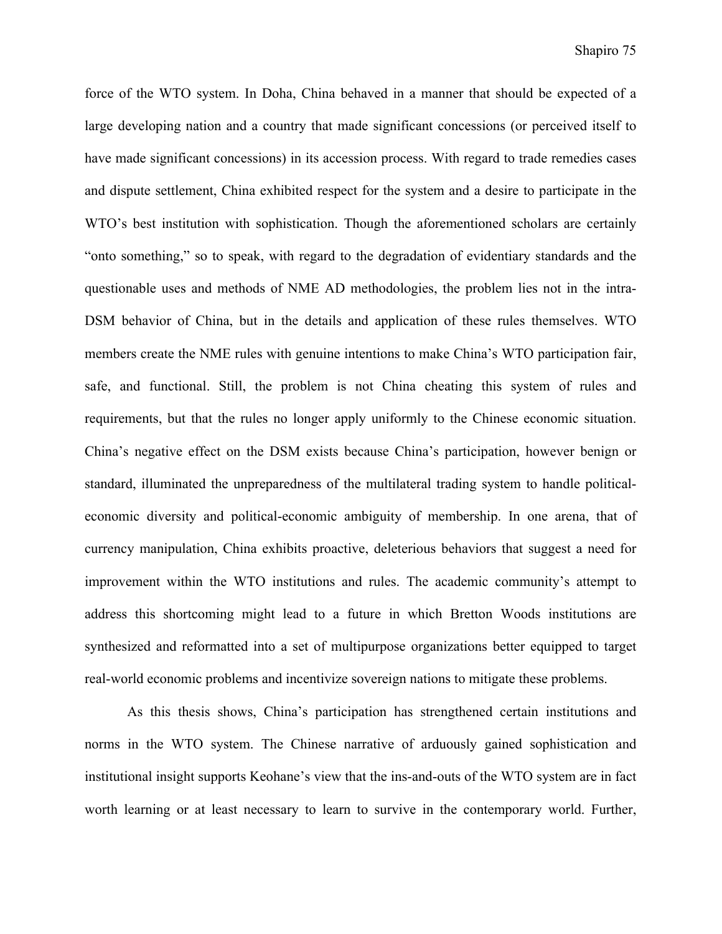force of the WTO system. In Doha, China behaved in a manner that should be expected of a large developing nation and a country that made significant concessions (or perceived itself to have made significant concessions) in its accession process. With regard to trade remedies cases and dispute settlement, China exhibited respect for the system and a desire to participate in the WTO's best institution with sophistication. Though the aforementioned scholars are certainly "onto something," so to speak, with regard to the degradation of evidentiary standards and the questionable uses and methods of NME AD methodologies, the problem lies not in the intra-DSM behavior of China, but in the details and application of these rules themselves. WTO members create the NME rules with genuine intentions to make China's WTO participation fair, safe, and functional. Still, the problem is not China cheating this system of rules and requirements, but that the rules no longer apply uniformly to the Chinese economic situation. China's negative effect on the DSM exists because China's participation, however benign or standard, illuminated the unpreparedness of the multilateral trading system to handle politicaleconomic diversity and political-economic ambiguity of membership. In one arena, that of currency manipulation, China exhibits proactive, deleterious behaviors that suggest a need for improvement within the WTO institutions and rules. The academic community's attempt to address this shortcoming might lead to a future in which Bretton Woods institutions are synthesized and reformatted into a set of multipurpose organizations better equipped to target real-world economic problems and incentivize sovereign nations to mitigate these problems.

As this thesis shows, China's participation has strengthened certain institutions and norms in the WTO system. The Chinese narrative of arduously gained sophistication and institutional insight supports Keohane's view that the ins-and-outs of the WTO system are in fact worth learning or at least necessary to learn to survive in the contemporary world. Further,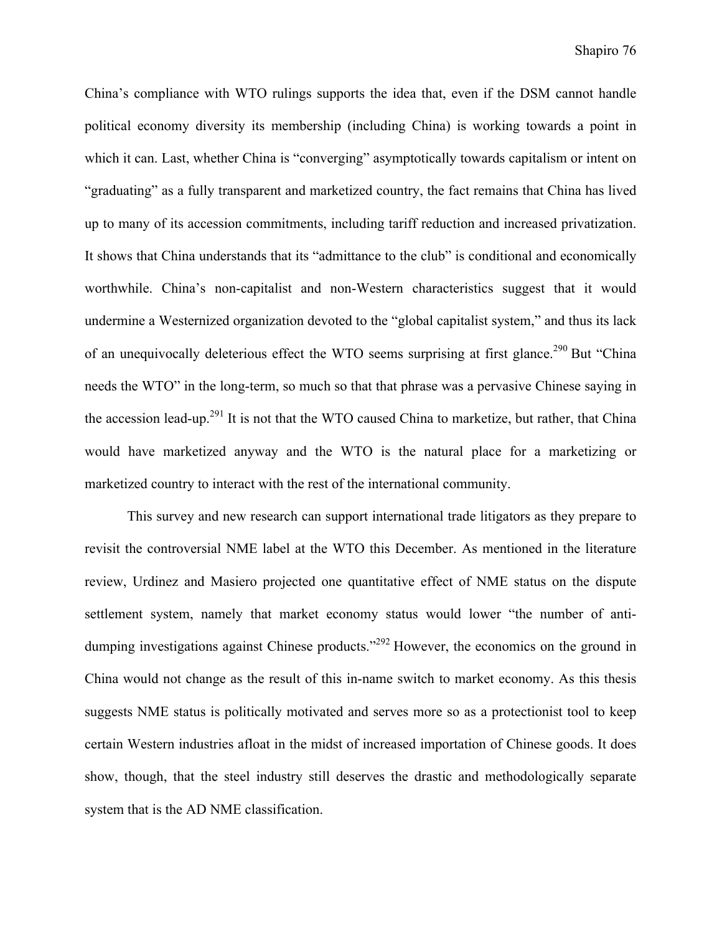China's compliance with WTO rulings supports the idea that, even if the DSM cannot handle political economy diversity its membership (including China) is working towards a point in which it can. Last, whether China is "converging" asymptotically towards capitalism or intent on "graduating" as a fully transparent and marketized country, the fact remains that China has lived up to many of its accession commitments, including tariff reduction and increased privatization. It shows that China understands that its "admittance to the club" is conditional and economically worthwhile. China's non-capitalist and non-Western characteristics suggest that it would undermine a Westernized organization devoted to the "global capitalist system," and thus its lack of an unequivocally deleterious effect the WTO seems surprising at first glance.<sup>290</sup> But "China" needs the WTO" in the long-term, so much so that that phrase was a pervasive Chinese saying in the accession lead-up.<sup>291</sup> It is not that the WTO caused China to marketize, but rather, that China would have marketized anyway and the WTO is the natural place for a marketizing or marketized country to interact with the rest of the international community.

This survey and new research can support international trade litigators as they prepare to revisit the controversial NME label at the WTO this December. As mentioned in the literature review, Urdinez and Masiero projected one quantitative effect of NME status on the dispute settlement system, namely that market economy status would lower "the number of antidumping investigations against Chinese products."<sup>292</sup> However, the economics on the ground in China would not change as the result of this in-name switch to market economy. As this thesis suggests NME status is politically motivated and serves more so as a protectionist tool to keep certain Western industries afloat in the midst of increased importation of Chinese goods. It does show, though, that the steel industry still deserves the drastic and methodologically separate system that is the AD NME classification.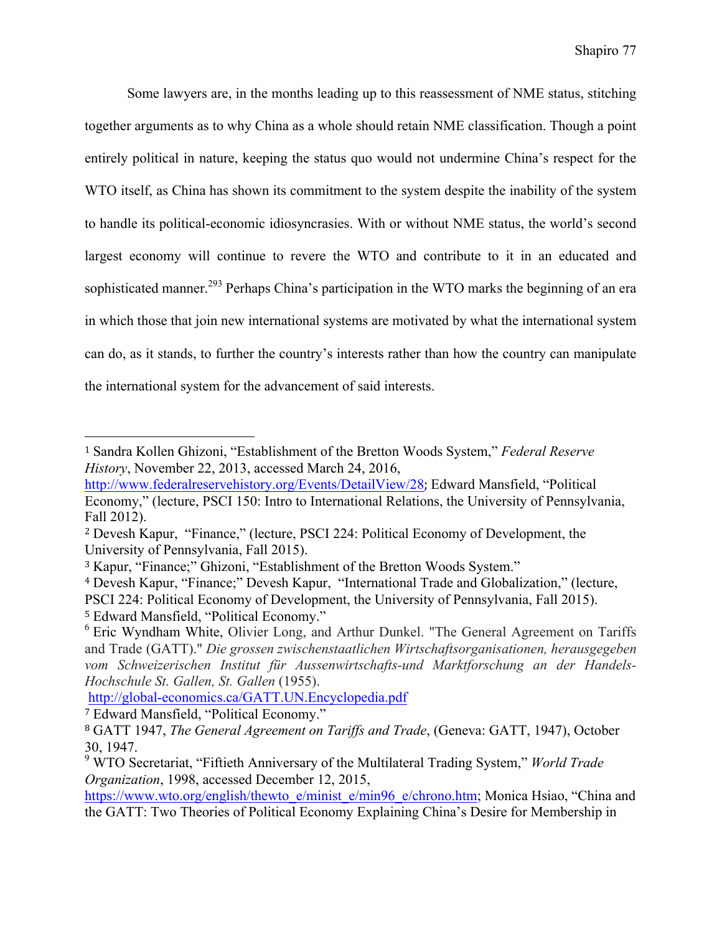Some lawyers are, in the months leading up to this reassessment of NME status, stitching together arguments as to why China as a whole should retain NME classification. Though a point entirely political in nature, keeping the status quo would not undermine China's respect for the WTO itself, as China has shown its commitment to the system despite the inability of the system to handle its political-economic idiosyncrasies. With or without NME status, the world's second largest economy will continue to revere the WTO and contribute to it in an educated and sophisticated manner.<sup>293</sup> Perhaps China's participation in the WTO marks the beginning of an era in which those that join new international systems are motivated by what the international system can do, as it stands, to further the country's interests rather than how the country can manipulate the international system for the advancement of said interests.

 

<sup>1</sup> Sandra Kollen Ghizoni, "Establishment of the Bretton Woods System," *Federal Reserve History*, November 22, 2013, accessed March 24, 2016,

http://www.federalreservehistory.org/Events/DetailView/28; Edward Mansfield, "Political Economy," (lecture, PSCI 150: Intro to International Relations, the University of Pennsylvania, Fall 2012).

<sup>2</sup> Devesh Kapur, "Finance," (lecture, PSCI 224: Political Economy of Development, the University of Pennsylvania, Fall 2015).

<sup>3</sup> Kapur, "Finance;" Ghizoni, "Establishment of the Bretton Woods System."

<sup>4</sup> Devesh Kapur, "Finance;" Devesh Kapur, "International Trade and Globalization," (lecture,

PSCI 224: Political Economy of Development, the University of Pennsylvania, Fall 2015). <sup>5</sup> Edward Mansfield, "Political Economy."

<sup>&</sup>lt;sup>6</sup> Eric Wyndham White, Olivier Long, and Arthur Dunkel. "The General Agreement on Tariffs" and Trade (GATT)." *Die grossen zwischenstaatlichen Wirtschaftsorganisationen, herausgegeben vom Schweizerischen Institut für Aussenwirtschafts-und Marktforschung an der Handels-Hochschule St. Gallen, St. Gallen* (1955).

http://global-economics.ca/GATT.UN.Encyclopedia.pdf

<sup>7</sup> Edward Mansfield, "Political Economy."

<sup>8</sup> GATT 1947, *The General Agreement on Tariffs and Trade*, (Geneva: GATT, 1947), October 30, 1947.

<sup>9</sup> WTO Secretariat, "Fiftieth Anniversary of the Multilateral Trading System," *World Trade Organization*, 1998, accessed December 12, 2015,

https://www.wto.org/english/thewto\_e/minist\_e/min96\_e/chrono.htm; Monica Hsiao, "China and the GATT: Two Theories of Political Economy Explaining China's Desire for Membership in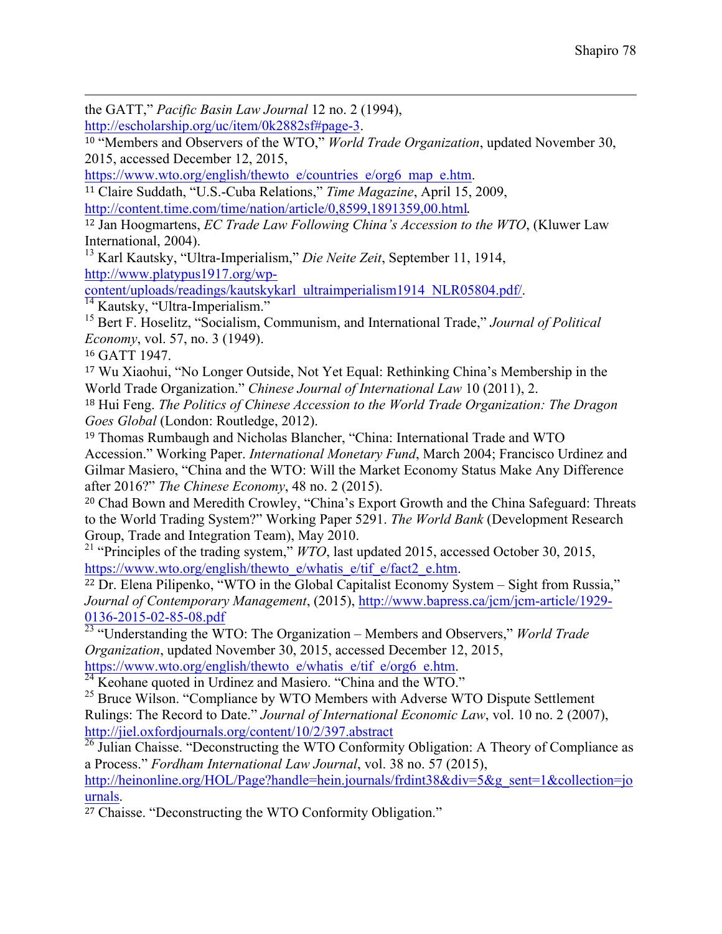<u> Alexandro de la contrada de la contrada de la contrada de la contrada de la contrada de la contrada de la co</u> the GATT," *Pacific Basin Law Journal* 12 no. 2 (1994),

http://escholarship.org/uc/item/0k2882sf#page-3.

<sup>10</sup> "Members and Observers of the WTO," *World Trade Organization*, updated November 30, 2015, accessed December 12, 2015,

https://www.wto.org/english/thewto\_e/countries\_e/org6\_map\_e.htm.

<sup>11</sup> Claire Suddath, "U.S.-Cuba Relations," *Time Magazine*, April 15, 2009, http://content.time.com/time/nation/article/0,8599,1891359,00.html. 

<sup>12</sup> Jan Hoogmartens, *EC Trade Law Following China's Accession to the WTO*, (Kluwer Law International, 2004).

<sup>13</sup> Karl Kautsky, "Ultra-Imperialism," *Die Neite Zeit*, September 11, 1914, http://www.platypus1917.org/wp-

content/uploads/readings/kautskykarl\_ultraimperialism1914\_NLR05804.pdf/.<br><sup>14</sup> Kautsky, "Ultra-Imperialism."

<sup>15</sup> Bert F. Hoselitz, "Socialism, Communism, and International Trade," *Journal of Political Economy*, vol. 57, no. 3 (1949).

<sup>16</sup> GATT 1947.

<sup>17</sup> Wu Xiaohui, "No Longer Outside, Not Yet Equal: Rethinking China's Membership in the World Trade Organization." *Chinese Journal of International Law* 10 (2011), 2.

<sup>18</sup> Hui Feng. *The Politics of Chinese Accession to the World Trade Organization: The Dragon Goes Global* (London: Routledge, 2012).

<sup>19</sup> Thomas Rumbaugh and Nicholas Blancher, "China: International Trade and WTO Accession." Working Paper. *International Monetary Fund*, March 2004; Francisco Urdinez and Gilmar Masiero, "China and the WTO: Will the Market Economy Status Make Any Difference after 2016?" *The Chinese Economy*, 48 no. 2 (2015).

<sup>20</sup> Chad Bown and Meredith Crowley, "China's Export Growth and the China Safeguard: Threats to the World Trading System?" Working Paper 5291. *The World Bank* (Development Research Group, Trade and Integration Team), May 2010.

<sup>21</sup> "Principles of the trading system," WTO, last updated 2015, accessed October 30, 2015, https://www.wto.org/english/thewto\_e/whatis\_e/tif\_e/fact2\_e.htm.

<sup>22</sup> Dr. Elena Pilipenko, "WTO in the Global Capitalist Economy System – Sight from Russia," *Journal of Contemporary Management*, (2015), http://www.bapress.ca/jcm/jcm-article/1929- 0136-2015-02-85-08.pdf

<sup>23</sup> "Understanding the WTO: The Organization – Members and Observers," *World Trade Organization*, updated November 30, 2015, accessed December 12, 2015,

https://www.wto.org/english/thewto\_e/whatis\_e/tif\_e/org6\_e.htm. <sup>24</sup> Keohane quoted in Urdinez and Masiero. "China and the WTO."

<sup>25</sup> Bruce Wilson. "Compliance by WTO Members with Adverse WTO Dispute Settlement Rulings: The Record to Date." *Journal of International Economic Law*, vol. 10 no. 2 (2007), http://jiel.oxfordjournals.org/content/10/2/397.abstract

 $\frac{26}{10}$  Julian Chaisse. "Deconstructing the WTO Conformity Obligation: A Theory of Compliance as a Process." *Fordham International Law Journal*, vol. 38 no. 57 (2015), http://heinonline.org/HOL/Page?handle=hein.journals/frdint38&div=5&g\_sent=1&collection=jo

urnals.

<sup>27</sup> Chaisse. "Deconstructing the WTO Conformity Obligation."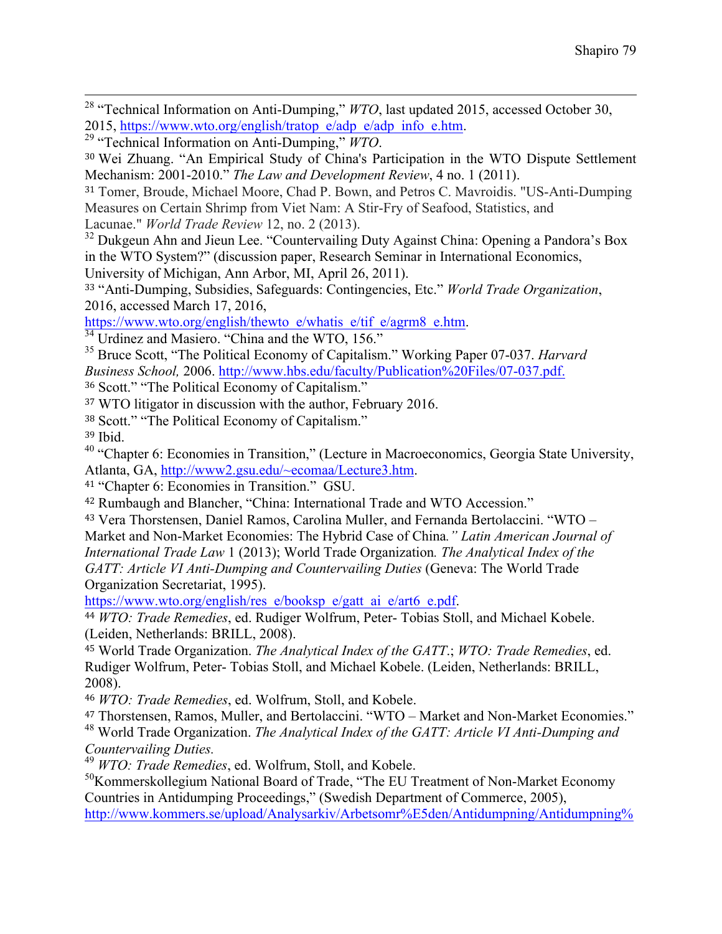<sup>28</sup> "Technical Information on Anti-Dumping," *WTO*, last updated 2015, accessed October 30, 2015, https://www.wto.org/english/tratop\_e/adp\_e/adp\_info\_e.htm. <sup>29</sup> "Technical Information on Anti-Dumping," *WTO*. <sup>30</sup> Wei Zhuang. "An Empirical Study of China's Participation in the WTO Dispute Settlement Mechanism: 2001-2010." *The Law and Development Review*, 4 no. 1 (2011). <sup>31</sup> Tomer, Broude, Michael Moore, Chad P. Bown, and Petros C. Mavroidis. "US-Anti-Dumping Measures on Certain Shrimp from Viet Nam: A Stir-Fry of Seafood, Statistics, and Lacunae." *World Trade Review* 12, no. 2 (2013). <sup>32</sup> Dukgeun Ahn and Jieun Lee. "Countervailing Duty Against China: Opening a Pandora's Box in the WTO System?" (discussion paper, Research Seminar in International Economics, University of Michigan, Ann Arbor, MI, April 26, 2011). <sup>33</sup> "Anti-Dumping, Subsidies, Safeguards: Contingencies, Etc." *World Trade Organization*, 2016, accessed March 17, 2016, https://www.wto.org/english/thewto\_e/whatis\_e/tif\_e/agrm8\_e.htm.  $\frac{34}{34}$  Urdinez and Masiero. "China and the WTO, 156." <sup>35</sup> Bruce Scott, "The Political Economy of Capitalism." Working Paper 07-037. *Harvard Business School,* 2006. http://www.hbs.edu/faculty/Publication%20Files/07-037.pdf. <sup>36</sup> Scott." "The Political Economy of Capitalism." <sup>37</sup> WTO litigator in discussion with the author, February 2016. <sup>38</sup> Scott." "The Political Economy of Capitalism." <sup>39</sup> Ibid. <sup>40</sup> "Chapter 6: Economies in Transition," (Lecture in Macroeconomics, Georgia State University, Atlanta, GA, http://www2.gsu.edu/~ecomaa/Lecture3.htm. <sup>41</sup> "Chapter 6: Economies in Transition." GSU. <sup>42</sup> Rumbaugh and Blancher, "China: International Trade and WTO Accession." <sup>43</sup> Vera Thorstensen, Daniel Ramos, Carolina Muller, and Fernanda Bertolaccini. "WTO – Market and Non-Market Economies: The Hybrid Case of China*." Latin American Journal of International Trade Law* 1 (2013); World Trade Organization*. The Analytical Index of the GATT: Article VI Anti-Dumping and Countervailing Duties* (Geneva: The World Trade Organization Secretariat, 1995). https://www.wto.org/english/res\_e/booksp\_e/gatt\_ai\_e/art6\_e.pdf. <sup>44</sup> *WTO: Trade Remedies*, ed. Rudiger Wolfrum, Peter- Tobias Stoll, and Michael Kobele. (Leiden, Netherlands: BRILL, 2008). <sup>45</sup> World Trade Organization. *The Analytical Index of the GATT*.; *WTO: Trade Remedies*, ed. Rudiger Wolfrum, Peter- Tobias Stoll, and Michael Kobele. (Leiden, Netherlands: BRILL, 2008). <sup>46</sup> *WTO: Trade Remedies*, ed. Wolfrum, Stoll, and Kobele. <sup>47</sup> Thorstensen, Ramos, Muller, and Bertolaccini. "WTO – Market and Non-Market Economies." <sup>48</sup> World Trade Organization. *The Analytical Index of the GATT: Article VI Anti-Dumping and Countervailing Duties.* <sup>49</sup> *WTO: Trade Remedies*, ed. Wolfrum, Stoll, and Kobele. <sup>50</sup>Kommerskollegium National Board of Trade, "The EU Treatment of Non-Market Economy

Countries in Antidumping Proceedings," (Swedish Department of Commerce, 2005), http://www.kommers.se/upload/Analysarkiv/Arbetsomr%E5den/Antidumpning/Antidumpning%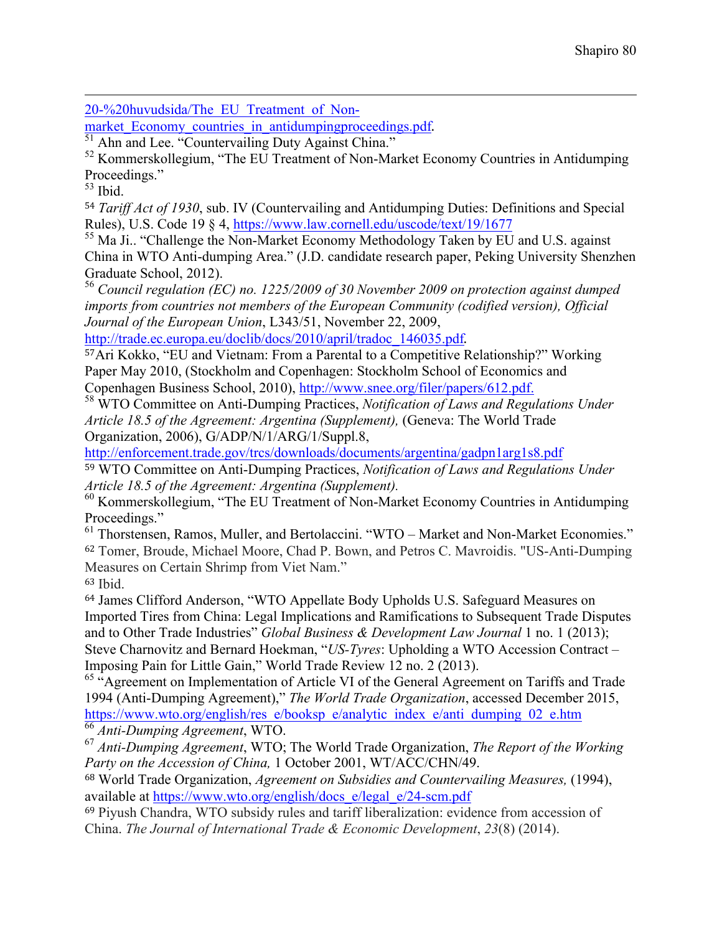<u> Alexandro de la contrada de la contrada de la contrada de la contrada de la contrada de la contrada de la co</u> 20-%20huvudsida/The\_EU\_Treatment\_of\_Non-

market\_Economy\_countries\_in\_antidumpingproceedings.pdf.<br><sup>51</sup> Ahn and Lee. "Countervailing Duty Against China."

<sup>52</sup> Kommerskollegium, "The EU Treatment of Non-Market Economy Countries in Antidumping Proceedings."

<sup>53</sup> Ibid.

<sup>54</sup> *Tariff Act of 1930*, sub. IV (Countervailing and Antidumping Duties: Definitions and Special Rules), U.S. Code 19 § 4, https://www.law.cornell.edu/uscode/text/19/1677

<sup>55</sup> Ma Ji.. "Challenge the Non-Market Economy Methodology Taken by EU and U.S. against China in WTO Anti-dumping Area." (J.D. candidate research paper, Peking University Shenzhen Graduate School, 2012).

<sup>56</sup> *Council regulation (EC) no. 1225/2009 of 30 November 2009 on protection against dumped imports from countries not members of the European Community (codified version), Official Journal of the European Union*, L343/51, November 22, 2009,

http://trade.ec.europa.eu/doclib/docs/2010/april/tradoc\_146035.pdf.

<sup>57</sup>Ari Kokko, "EU and Vietnam: From a Parental to a Competitive Relationship?" Working Paper May 2010, (Stockholm and Copenhagen: Stockholm School of Economics and

Copenhagen Business School, 2010), http://www.snee.org/filer/papers/612.pdf. <sup>58</sup> WTO Committee on Anti-Dumping Practices, *Notification of Laws and Regulations Under Article 18.5 of the Agreement: Argentina (Supplement),* (Geneva: The World Trade Organization, 2006), G/ADP/N/1/ARG/1/Suppl.8,

http://enforcement.trade.gov/trcs/downloads/documents/argentina/gadpn1arg1s8.pdf

<sup>59</sup> WTO Committee on Anti-Dumping Practices, *Notification of Laws and Regulations Under Article 18.5 of the Agreement: Argentina (Supplement).* <sup>60</sup> Kommerskollegium, "The EU Treatment of Non-Market Economy Countries in Antidumping

Proceedings."

<sup>61</sup> Thorstensen, Ramos, Muller, and Bertolaccini. "WTO – Market and Non-Market Economies." <sup>62</sup> Tomer, Broude, Michael Moore, Chad P. Bown, and Petros C. Mavroidis. "US-Anti-Dumping Measures on Certain Shrimp from Viet Nam."

<sup>63</sup> Ibid.

<sup>64</sup> James Clifford Anderson, "WTO Appellate Body Upholds U.S. Safeguard Measures on Imported Tires from China: Legal Implications and Ramifications to Subsequent Trade Disputes and to Other Trade Industries" *Global Business & Development Law Journal* 1 no. 1 (2013); Steve Charnovitz and Bernard Hoekman, "*US-Tyres*: Upholding a WTO Accession Contract – Imposing Pain for Little Gain," World Trade Review 12 no. 2 (2013).

<sup>65 "</sup>Agreement on Implementation of Article VI of the General Agreement on Tariffs and Trade 1994 (Anti-Dumping Agreement)," *The World Trade Organization*, accessed December 2015, https://www.wto.org/english/res\_e/booksp\_e/analytic\_index\_e/anti\_dumping\_02\_e.htm <sup>66</sup> *Anti-Dumping Agreement*, WTO.

<sup>67</sup> *Anti-Dumping Agreement*, WTO; The World Trade Organization, *The Report of the Working Party on the Accession of China,* 1 October 2001, WT/ACC/CHN/49.

<sup>68</sup> World Trade Organization, *Agreement on Subsidies and Countervailing Measures,* (1994), available at https://www.wto.org/english/docs\_e/legal\_e/24-scm.pdf

<sup>69</sup> Piyush Chandra, WTO subsidy rules and tariff liberalization: evidence from accession of China. *The Journal of International Trade & Economic Development*, *23*(8) (2014).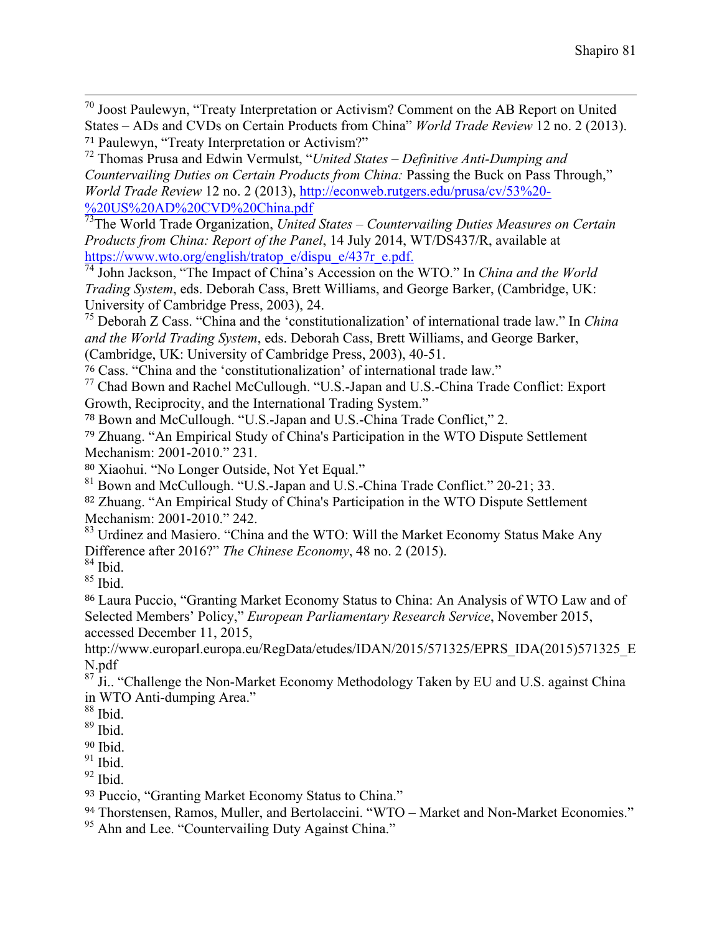<sup>70</sup> Joost Paulewyn, "Treaty Interpretation or Activism? Comment on the AB Report on United States – ADs and CVDs on Certain Products from China" *World Trade Review* 12 no. 2 (2013). <sup>71</sup> Paulewyn, "Treaty Interpretation or Activism?" <sup>72</sup> Thomas Prusa and Edwin Vermulst, "*United States – Definitive Anti-Dumping and* 

*Countervailing Duties on Certain Products from China:* Passing the Buck on Pass Through," *World Trade Review* 12 no. 2 (2013), http://econweb.rutgers.edu/prusa/cv/53%20- %20US%20AD%20CVD%20China.pdf

73The World Trade Organization, *United States – Countervailing Duties Measures on Certain Products from China: Report of the Panel*, 14 July 2014, WT/DS437/R, available at

https://www.wto.org/english/tratop\_e/dispu\_e/437r\_e.pdf. <sup>74</sup> John Jackson, "The Impact of China's Accession on the WTO." In *China and the World Trading System*, eds. Deborah Cass, Brett Williams, and George Barker, (Cambridge, UK: University of Cambridge Press, 2003), 24.

<sup>75</sup> Deborah Z Cass. "China and the 'constitutionalization' of international trade law." In *China and the World Trading System*, eds. Deborah Cass, Brett Williams, and George Barker, (Cambridge, UK: University of Cambridge Press, 2003), 40-51.

<sup>76</sup> Cass. "China and the 'constitutionalization' of international trade law."

<sup>77</sup> Chad Bown and Rachel McCullough. "U.S.-Japan and U.S.-China Trade Conflict: Export Growth, Reciprocity, and the International Trading System."

<sup>78</sup> Bown and McCullough. "U.S.-Japan and U.S.-China Trade Conflict," 2.

<sup>79</sup> Zhuang. "An Empirical Study of China's Participation in the WTO Dispute Settlement Mechanism: 2001-2010." 231.<br><sup>80</sup> Xiaohui. "No Longer Outside. Not Yet Equal."

 $81$  Bown and McCullough. "U.S.-Japan and U.S.-China Trade Conflict." 20-21; 33.

<sup>82</sup> Zhuang. "An Empirical Study of China's Participation in the WTO Dispute Settlement Mechanism: 2001-2010." 242.

<sup>83</sup> Urdinez and Masiero. "China and the WTO: Will the Market Economy Status Make Any Difference after 2016?" *The Chinese Economy*, 48 no. 2 (2015).

<sup>84</sup> Ibid.

 $85$  Ibid.

<sup>86</sup> Laura Puccio, "Granting Market Economy Status to China: An Analysis of WTO Law and of Selected Members' Policy," *European Parliamentary Research Service*, November 2015, accessed December 11, 2015,

http://www.europarl.europa.eu/RegData/etudes/IDAN/2015/571325/EPRS\_IDA(2015)571325\_E N.pdf

 $87 \text{ Ji.}$  "Challenge the Non-Market Economy Methodology Taken by EU and U.S. against China in WTO Anti-dumping Area."

 $^{88}$  Ibid.

 $^{89}$  Ibid.

<sup>90</sup> Ibid.

 $91$  Ibid.

 $92$  Ibid.

<sup>93</sup> Puccio, "Granting Market Economy Status to China."

<sup>94</sup> Thorstensen, Ramos, Muller, and Bertolaccini. "WTO – Market and Non-Market Economies."

<sup>95</sup> Ahn and Lee. "Countervailing Duty Against China."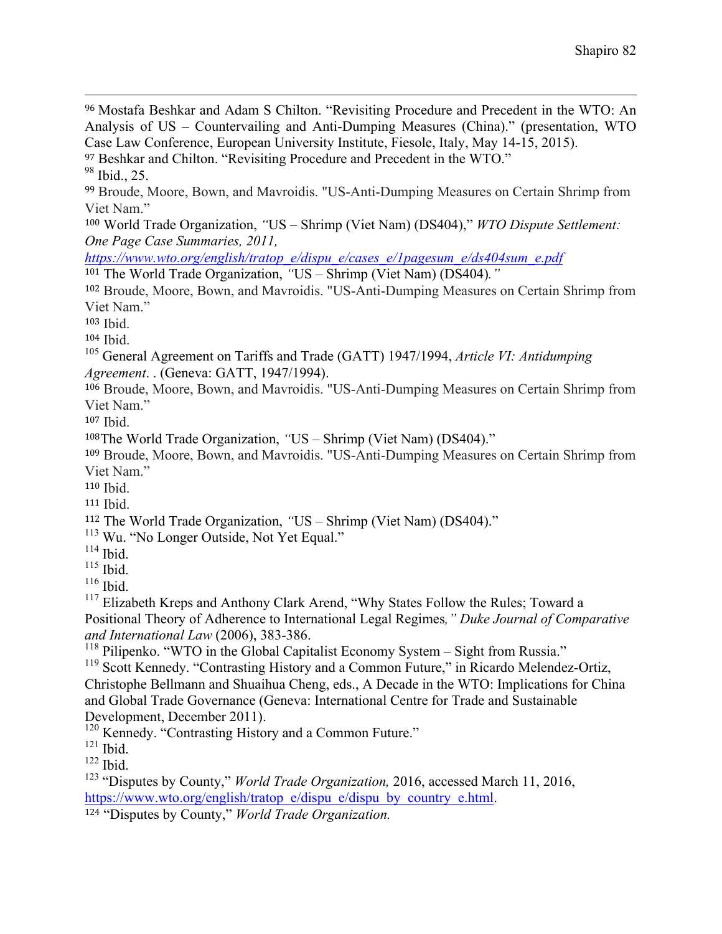<sup>96</sup> Mostafa Beshkar and Adam S Chilton. "Revisiting Procedure and Precedent in the WTO: An Analysis of US – Countervailing and Anti-Dumping Measures (China)." (presentation, WTO Case Law Conference, European University Institute, Fiesole, Italy, May 14-15, 2015).

<u> Alexandro de la contrada de la contrada de la contrada de la contrada de la contrada de la contrada de la co</u>

<sup>97</sup> Beshkar and Chilton. "Revisiting Procedure and Precedent in the WTO."

<sup>99</sup> Broude, Moore, Bown, and Mavroidis. "US-Anti-Dumping Measures on Certain Shrimp from Viet Nam."

<sup>100</sup> World Trade Organization, *"*US – Shrimp (Viet Nam) (DS404)," *WTO Dispute Settlement: One Page Case Summaries, 2011,* 

*https://www.wto.org/english/tratop\_e/dispu\_e/cases\_e/1pagesum\_e/ds404sum\_e.pdf*

<sup>101</sup> The World Trade Organization, *"*US – Shrimp (Viet Nam) (DS404)*."*

<sup>102</sup> Broude, Moore, Bown, and Mavroidis. "US-Anti-Dumping Measures on Certain Shrimp from Viet Nam."

<sup>103</sup> Ibid.

<sup>104</sup> Ibid.

<sup>105</sup> General Agreement on Tariffs and Trade (GATT) 1947/1994, *Article VI: Antidumping Agreement*. . (Geneva: GATT, 1947/1994).

<sup>106</sup> Broude, Moore, Bown, and Mavroidis. "US-Anti-Dumping Measures on Certain Shrimp from Viet Nam."

<sup>107</sup> Ibid.

<sup>108</sup>The World Trade Organization, *"*US – Shrimp (Viet Nam) (DS404)."

<sup>109</sup> Broude, Moore, Bown, and Mavroidis. "US-Anti-Dumping Measures on Certain Shrimp from Viet Nam."

<sup>110</sup> Ibid.

 $111$  Ibid.

<sup>112</sup> The World Trade Organization, *"*US – Shrimp (Viet Nam) (DS404)."

<sup>113</sup> Wu. "No Longer Outside, Not Yet Equal."

 $114$  Ibid.

 $^{115}$  Ibid.

<sup>116</sup> Ibid.

<sup>117</sup> Elizabeth Kreps and Anthony Clark Arend, "Why States Follow the Rules; Toward a Positional Theory of Adherence to International Legal Regimes*," Duke Journal of Comparative and International Law* (2006), 383-386.

 $118$  Pilipenko. "WTO in the Global Capitalist Economy System – Sight from Russia."

<sup>119</sup> Scott Kennedy. "Contrasting History and a Common Future," in Ricardo Melendez-Ortiz, Christophe Bellmann and Shuaihua Cheng, eds., A Decade in the WTO: Implications for China and Global Trade Governance (Geneva: International Centre for Trade and Sustainable Development, December 2011).

<sup>120</sup> Kennedy. "Contrasting History and a Common Future."

 $121$  Ibid.

 $122$  Ibid.

<sup>123</sup> "Disputes by County," *World Trade Organization,* 2016, accessed March 11, 2016, https://www.wto.org/english/tratop\_e/dispu\_e/dispu\_by\_country\_e.html.

<sup>124</sup> "Disputes by County," *World Trade Organization.*

<sup>98</sup> Ibid., 25.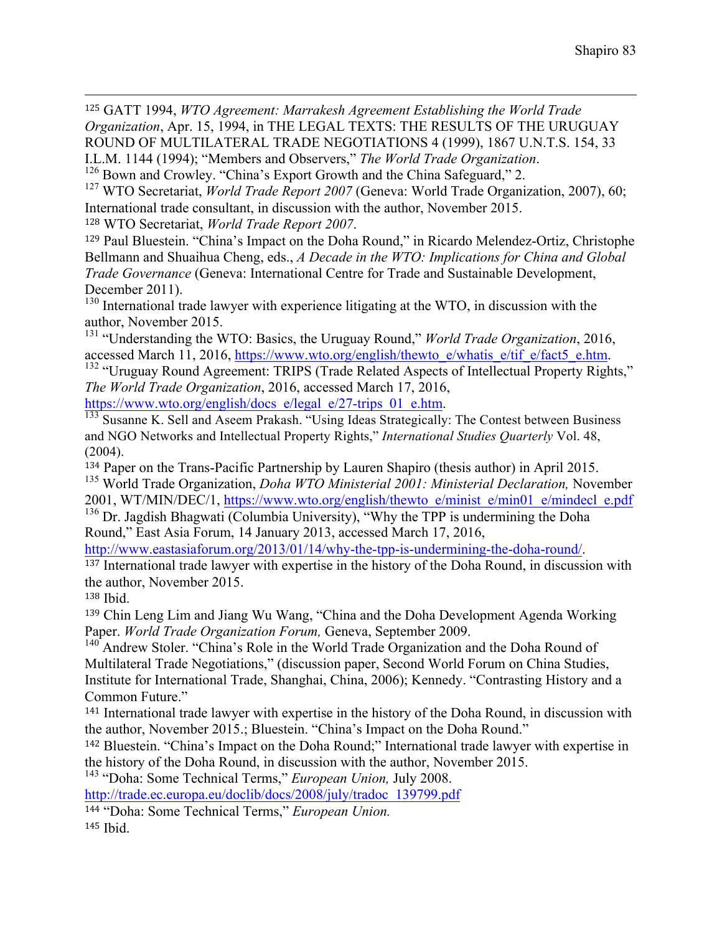<u> Alexandro de la contrada de la contrada de la contrada de la contrada de la contrada de la contrada de la co</u> <sup>125</sup> GATT 1994, *WTO Agreement: Marrakesh Agreement Establishing the World Trade Organization*, Apr. 15, 1994, in THE LEGAL TEXTS: THE RESULTS OF THE URUGUAY ROUND OF MULTILATERAL TRADE NEGOTIATIONS 4 (1999), 1867 U.N.T.S. 154, 33 I.L.M. 1144 (1994); "Members and Observers," *The World Trade Organization*. <sup>126</sup> Bown and Crowley. "China's Export Growth and the China Safeguard," 2.

<sup>127</sup> WTO Secretariat, *World Trade Report 2007* (Geneva: World Trade Organization, 2007), 60; International trade consultant, in discussion with the author, November 2015.

<sup>128</sup> WTO Secretariat, *World Trade Report 2007*.

<sup>129</sup> Paul Bluestein. "China's Impact on the Doha Round," in Ricardo Melendez-Ortiz, Christophe Bellmann and Shuaihua Cheng, eds., *A Decade in the WTO: Implications for China and Global Trade Governance* (Geneva: International Centre for Trade and Sustainable Development, December 2011).

<sup>130</sup> International trade lawyer with experience litigating at the WTO, in discussion with the author, November 2015.

<sup>131</sup> "Understanding the WTO: Basics, the Uruguay Round," *World Trade Organization*, 2016, accessed March 11, 2016, https://www.wto.org/english/thewto\_e/whatis\_e/tif\_e/fact5\_e.htm.

<sup>132</sup> "Uruguay Round Agreement: TRIPS (Trade Related Aspects of Intellectual Property Rights," *The World Trade Organization*, 2016, accessed March 17, 2016,

https://www.wto.org/english/docs\_e/legal\_e/27-trips\_01\_e.htm. 133 Susanne K. Sell and Aseem Prakash. "Using Ideas Strategically: The Contest between Business and NGO Networks and Intellectual Property Rights," *International Studies Quarterly* Vol. 48, (2004).

<sup>134</sup> Paper on the Trans-Pacific Partnership by Lauren Shapiro (thesis author) in April 2015. <sup>135</sup> World Trade Organization, *Doha WTO Ministerial 2001: Ministerial Declaration,* November

2001, WT/MIN/DEC/1, https://www.wto.org/english/thewto\_e/minist\_e/min01\_e/mindecl\_e.pdf

<sup>136</sup> Dr. Jagdish Bhagwati (Columbia University), "Why the TPP is undermining the Doha Round," East Asia Forum, 14 January 2013, accessed March 17, 2016,

http://www.eastasiaforum.org/2013/01/14/why-the-tpp-is-undermining-the-doha-round/.

<sup>137</sup> International trade lawyer with expertise in the history of the Doha Round, in discussion with the author, November 2015.

<sup>138</sup> Ibid.

<sup>139</sup> Chin Leng Lim and Jiang Wu Wang, "China and the Doha Development Agenda Working Paper. *World Trade Organization Forum,* Geneva, September 2009.

<sup>140</sup> Andrew Stoler. "China's Role in the World Trade Organization and the Doha Round of Multilateral Trade Negotiations," (discussion paper, Second World Forum on China Studies, Institute for International Trade, Shanghai, China, 2006); Kennedy. "Contrasting History and a Common Future."

<sup>141</sup> International trade lawyer with expertise in the history of the Doha Round, in discussion with the author, November 2015.; Bluestein. "China's Impact on the Doha Round."

<sup>142</sup> Bluestein. "China's Impact on the Doha Round;" International trade lawyer with expertise in the history of the Doha Round, in discussion with the author, November 2015.

<sup>143</sup> "Doha: Some Technical Terms," *European Union,* July 2008.

http://trade.ec.europa.eu/doclib/docs/2008/july/tradoc\_139799.pdf

<sup>144</sup> "Doha: Some Technical Terms," *European Union.* 

<sup>145</sup> Ibid.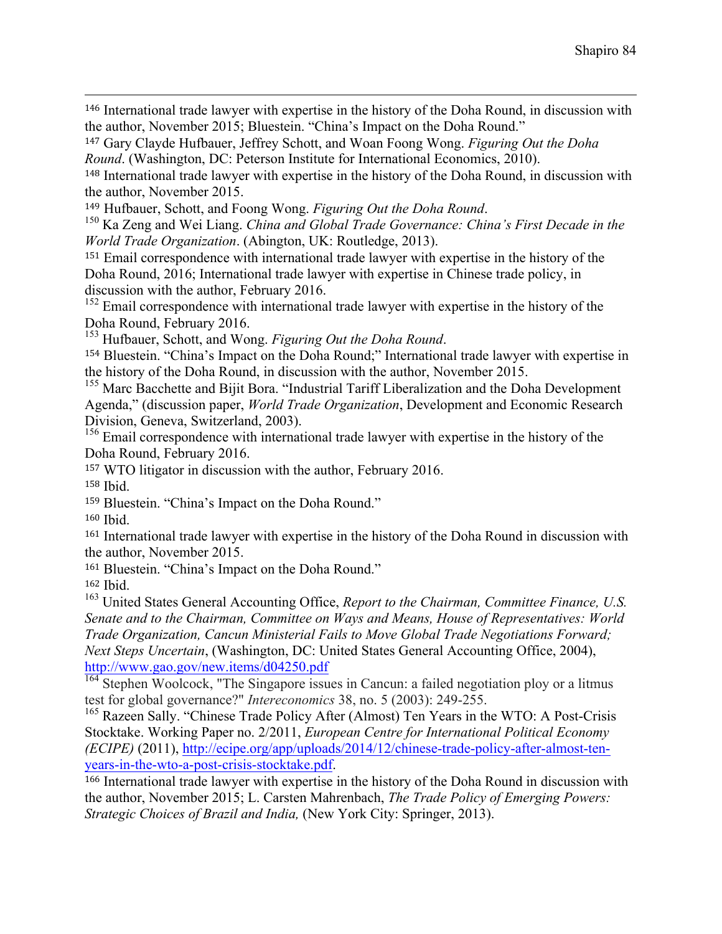<sup>146</sup> International trade lawyer with expertise in the history of the Doha Round, in discussion with the author, November 2015; Bluestein. "China's Impact on the Doha Round."

<u> Alexandro de la contrada de la contrada de la contrada de la contrada de la contrada de la contrada de la co</u>

<sup>147</sup> Gary Clayde Hufbauer, Jeffrey Schott, and Woan Foong Wong. *Figuring Out the Doha Round*. (Washington, DC: Peterson Institute for International Economics, 2010).

<sup>148</sup> International trade lawyer with expertise in the history of the Doha Round, in discussion with the author, November 2015.<br><sup>149</sup> Hufbauer, Schott, and Foong Wong. *Figuring Out the Doha Round*.

<sup>150</sup> Ka Zeng and Wei Liang. *China and Global Trade Governance: China's First Decade in the World Trade Organization*. (Abington, UK: Routledge, 2013).

<sup>151</sup> Email correspondence with international trade lawyer with expertise in the history of the Doha Round, 2016; International trade lawyer with expertise in Chinese trade policy, in discussion with the author, February 2016.

<sup>152</sup> Email correspondence with international trade lawyer with expertise in the history of the Doha Round, February 2016.

<sup>153</sup> Hufbauer, Schott, and Wong. *Figuring Out the Doha Round*.

<sup>154</sup> Bluestein. "China's Impact on the Doha Round;" International trade lawyer with expertise in the history of the Doha Round, in discussion with the author, November 2015.

<sup>155</sup> Marc Bacchette and Bijit Bora. "Industrial Tariff Liberalization and the Doha Development Agenda," (discussion paper, *World Trade Organization*, Development and Economic Research Division, Geneva, Switzerland, 2003).

<sup>156</sup> Email correspondence with international trade lawyer with expertise in the history of the Doha Round, February 2016.

<sup>157</sup> WTO litigator in discussion with the author, February 2016.

<sup>158</sup> Ibid.

<sup>159</sup> Bluestein. "China's Impact on the Doha Round."

<sup>160</sup> Ibid.

<sup>161</sup> International trade lawyer with expertise in the history of the Doha Round in discussion with the author, November 2015.

<sup>161</sup> Bluestein. "China's Impact on the Doha Round."

<sup>162</sup> Ibid.

<sup>163</sup> United States General Accounting Office, *Report to the Chairman, Committee Finance, U.S. Senate and to the Chairman, Committee on Ways and Means, House of Representatives: World Trade Organization, Cancun Ministerial Fails to Move Global Trade Negotiations Forward; Next Steps Uncertain*, (Washington, DC: United States General Accounting Office, 2004), http://www.gao.gov/new.items/d04250.pdf

 $\frac{164}{164}$  Stephen Woolcock, "The Singapore issues in Cancun: a failed negotiation ploy or a litmus test for global governance?" *Intereconomics* 38, no. 5 (2003): 249-255.

<sup>165</sup> Razeen Sally. "Chinese Trade Policy After (Almost) Ten Years in the WTO: A Post-Crisis Stocktake. Working Paper no. 2/2011, *European Centre for International Political Economy (ECIPE)* (2011), http://ecipe.org/app/uploads/2014/12/chinese-trade-policy-after-almost-tenyears-in-the-wto-a-post-crisis-stocktake.pdf.

<sup>166</sup> International trade lawyer with expertise in the history of the Doha Round in discussion with the author, November 2015; L. Carsten Mahrenbach, *The Trade Policy of Emerging Powers: Strategic Choices of Brazil and India,* (New York City: Springer, 2013).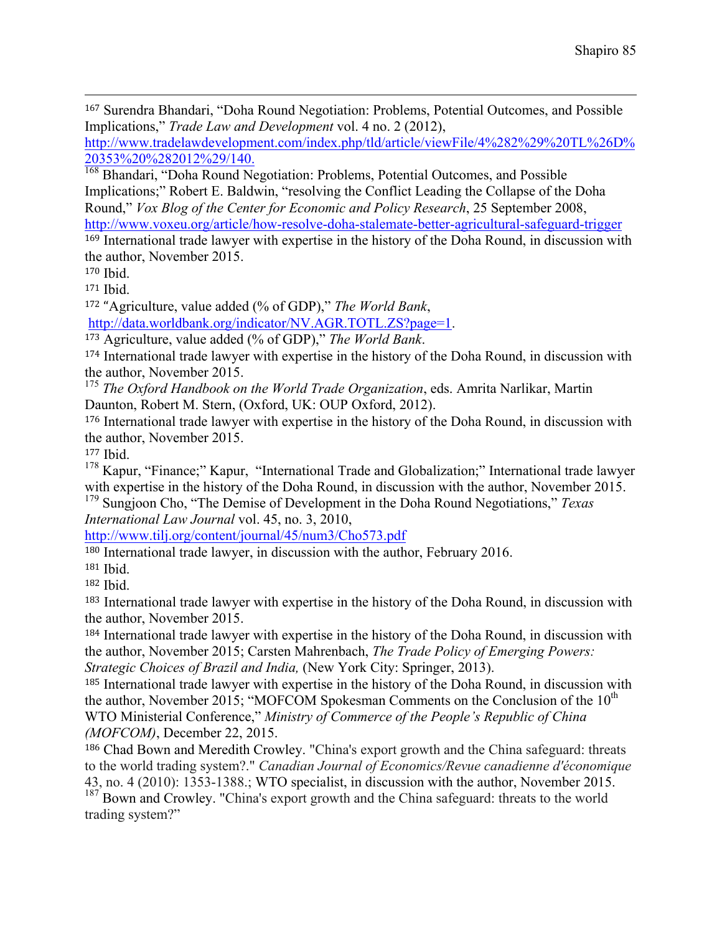<sup>167</sup> Surendra Bhandari, "Doha Round Negotiation: Problems, Potential Outcomes, and Possible Implications," *Trade Law and Development* vol. 4 no. 2 (2012),

<u> Alexandro de la contrada de la contrada de la contrada de la contrada de la contrada de la contrada de la co</u>

http://www.tradelawdevelopment.com/index.php/tld/article/viewFile/4%282%29%20TL%26D%

20353%20%282012%29/140. <sup>168</sup> Bhandari, "Doha Round Negotiation: Problems, Potential Outcomes, and Possible Implications;" Robert E. Baldwin, "resolving the Conflict Leading the Collapse of the Doha Round," *Vox Blog of the Center for Economic and Policy Research*, 25 September 2008, http://www.voxeu.org/article/how-resolve-doha-stalemate-better-agricultural-safeguard-trigger

<sup>169</sup> International trade lawyer with expertise in the history of the Doha Round, in discussion with the author, November 2015.

<sup>170</sup> Ibid.

<sup>171</sup> Ibid.

<sup>172</sup> "Agriculture, value added (% of GDP)," *The World Bank*,

http://data.worldbank.org/indicator/NV.AGR.TOTL.ZS?page=1.

<sup>173</sup> Agriculture, value added (% of GDP)," *The World Bank*.

<sup>174</sup> International trade lawyer with expertise in the history of the Doha Round, in discussion with the author, November 2015.

<sup>175</sup> *The Oxford Handbook on the World Trade Organization*, eds. Amrita Narlikar, Martin Daunton, Robert M. Stern, (Oxford, UK: OUP Oxford, 2012).

<sup>176</sup> International trade lawyer with expertise in the history of the Doha Round, in discussion with the author, November 2015.

<sup>177</sup> Ibid.

 $178$  Kapur, "Finance;" Kapur, "International Trade and Globalization;" International trade lawyer with expertise in the history of the Doha Round, in discussion with the author, November 2015. <sup>179</sup> Sungjoon Cho, "The Demise of Development in the Doha Round Negotiations," *Texas* 

*International Law Journal* vol. 45, no. 3, 2010,

http://www.tilj.org/content/journal/45/num3/Cho573.pdf

<sup>180</sup> International trade lawyer, in discussion with the author, February 2016.

<sup>181</sup> Ibid.

<sup>182</sup> Ibid.

<sup>183</sup> International trade lawyer with expertise in the history of the Doha Round, in discussion with the author, November 2015.

<sup>184</sup> International trade lawyer with expertise in the history of the Doha Round, in discussion with the author, November 2015; Carsten Mahrenbach, *The Trade Policy of Emerging Powers: Strategic Choices of Brazil and India,* (New York City: Springer, 2013).

<sup>185</sup> International trade lawyer with expertise in the history of the Doha Round, in discussion with the author, November 2015; "MOFCOM Spokesman Comments on the Conclusion of the  $10<sup>th</sup>$ WTO Ministerial Conference," *Ministry of Commerce of the People's Republic of China (MOFCOM)*, December 22, 2015.

<sup>186</sup> Chad Bown and Meredith Crowley. "China's export growth and the China safeguard: threats to the world trading system?." *Canadian Journal of Economics/Revue canadienne d'économique* 43, no. 4 (2010): 1353-1388.; WTO specialist, in discussion with the author, November 2015.

 $187$  Bown and Crowley. "China's export growth and the China safeguard: threats to the world trading system?"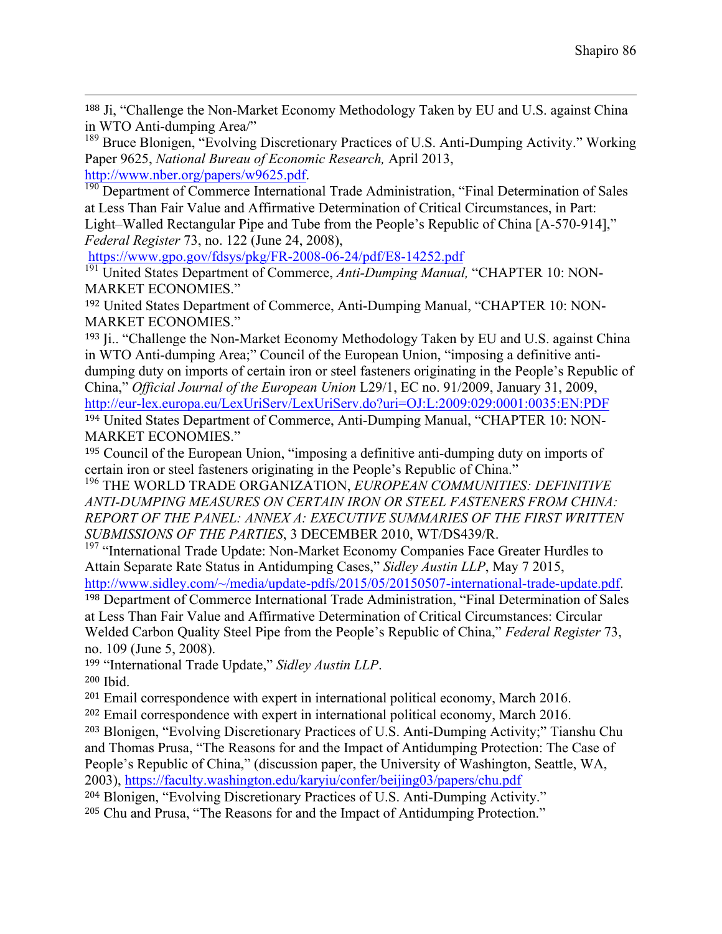<sup>188</sup> Ji, "Challenge the Non-Market Economy Methodology Taken by EU and U.S. against China in WTO Anti-dumping Area/"

<u> Alexandro de la contrada de la contrada de la contrada de la contrada de la contrada de la contrada de la co</u>

<sup>189</sup> Bruce Blonigen, "Evolving Discretionary Practices of U.S. Anti-Dumping Activity." Working Paper 9625, *National Bureau of Economic Research,* April 2013,

http://www.nber.org/papers/w9625.pdf.<br><sup>190</sup> Department of Commerce International Trade Administration, "Final Determination of Sales at Less Than Fair Value and Affirmative Determination of Critical Circumstances, in Part: Light–Walled Rectangular Pipe and Tube from the People's Republic of China [A-570-914]," *Federal Register* 73, no. 122 (June 24, 2008),

https://www.gpo.gov/fdsys/pkg/FR-2008-06-24/pdf/E8-14252.pdf

191 United States Department of Commerce, *Anti-Dumping Manual*, "CHAPTER 10: NON-MARKET ECONOMIES."

<sup>192</sup> United States Department of Commerce, Anti-Dumping Manual, "CHAPTER 10: NON-MARKET ECONOMIES."

<sup>193</sup> Ji.. "Challenge the Non-Market Economy Methodology Taken by EU and U.S. against China in WTO Anti-dumping Area;" Council of the European Union, "imposing a definitive antidumping duty on imports of certain iron or steel fasteners originating in the People's Republic of China," *Official Journal of the European Union* L29/1, EC no. 91/2009, January 31, 2009, http://eur-lex.europa.eu/LexUriServ/LexUriServ.do?uri=OJ:L:2009:029:0001:0035:EN:PDF <sup>194</sup> United States Department of Commerce, Anti-Dumping Manual, "CHAPTER 10: NON-MARKET ECONOMIES."

<sup>195</sup> Council of the European Union, "imposing a definitive anti-dumping duty on imports of certain iron or steel fasteners originating in the People's Republic of China."

<sup>196</sup> THE WORLD TRADE ORGANIZATION, *EUROPEAN COMMUNITIES: DEFINITIVE ANTI-DUMPING MEASURES ON CERTAIN IRON OR STEEL FASTENERS FROM CHINA: REPORT OF THE PANEL: ANNEX A: EXECUTIVE SUMMARIES OF THE FIRST WRITTEN SUBMISSIONS OF THE PARTIES*, 3 DECEMBER 2010, WT/DS439/R.

<sup>197</sup> "International Trade Update: Non-Market Economy Companies Face Greater Hurdles to Attain Separate Rate Status in Antidumping Cases," *Sidley Austin LLP*, May 7 2015,

http://www.sidley.com/~/media/update-pdfs/2015/05/20150507-international-trade-update.pdf.

<sup>198</sup> Department of Commerce International Trade Administration, "Final Determination of Sales at Less Than Fair Value and Affirmative Determination of Critical Circumstances: Circular Welded Carbon Quality Steel Pipe from the People's Republic of China," *Federal Register* 73, no. 109 (June 5, 2008).

<sup>199</sup> "International Trade Update," *Sidley Austin LLP*.

<sup>200</sup> Ibid.

<sup>201</sup> Email correspondence with expert in international political economy, March 2016.

<sup>202</sup> Email correspondence with expert in international political economy, March 2016.

<sup>203</sup> Blonigen, "Evolving Discretionary Practices of U.S. Anti-Dumping Activity;" Tianshu Chu and Thomas Prusa, "The Reasons for and the Impact of Antidumping Protection: The Case of People's Republic of China," (discussion paper, the University of Washington, Seattle, WA, 2003), https://faculty.washington.edu/karyiu/confer/beijing03/papers/chu.pdf

<sup>204</sup> Blonigen, "Evolving Discretionary Practices of U.S. Anti-Dumping Activity."

<sup>205</sup> Chu and Prusa, "The Reasons for and the Impact of Antidumping Protection."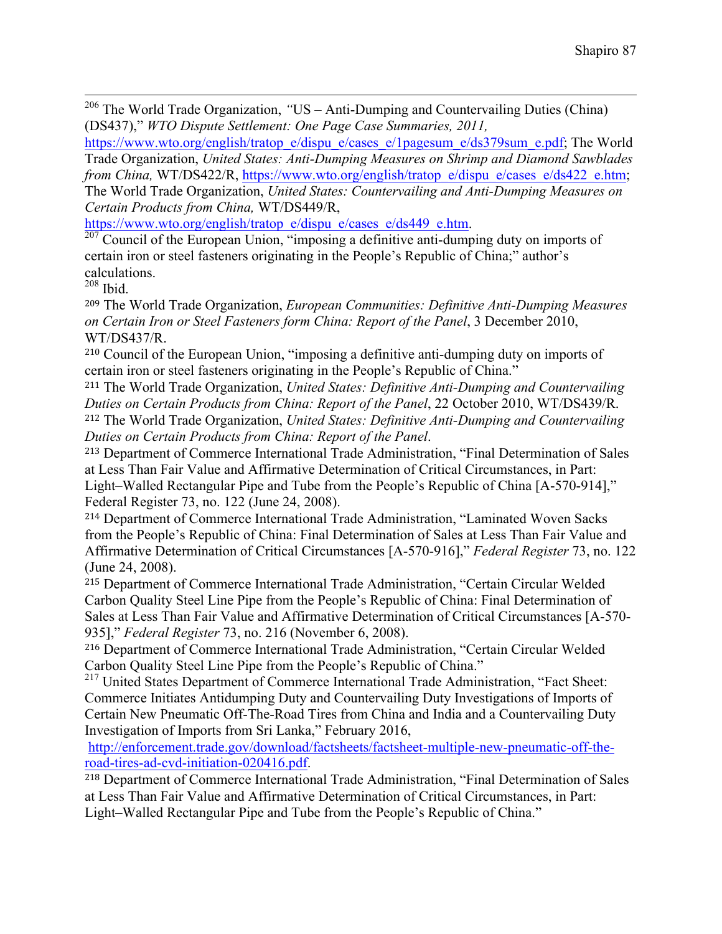<sup>206</sup> The World Trade Organization, *"*US – Anti-Dumping and Countervailing Duties (China) (DS437)," *WTO Dispute Settlement: One Page Case Summaries, 2011,* 

https://www.wto.org/english/tratop\_e/dispu\_e/cases\_e/1pagesum\_e/ds379sum\_e.pdf; The World Trade Organization, *United States: Anti-Dumping Measures on Shrimp and Diamond Sawblades from China,* WT/DS422/R, https://www.wto.org/english/tratop\_e/dispu\_e/cases\_e/ds422\_e.htm; The World Trade Organization, *United States: Countervailing and Anti-Dumping Measures on Certain Products from China, WT/DS449/R,*<br>https://www.wto.org/english/tratop e/dispu e/cases e/ds449 e.htm.

 $\frac{207}{207}$  Council of the European Union, "imposing a definitive anti-dumping duty on imports of certain iron or steel fasteners originating in the People's Republic of China;" author's calculations. 208 Ibid.

<sup>209</sup> The World Trade Organization, *European Communities: Definitive Anti-Dumping Measures on Certain Iron or Steel Fasteners form China: Report of the Panel*, 3 December 2010, WT/DS437/R.

<sup>210</sup> Council of the European Union, "imposing a definitive anti-dumping duty on imports of certain iron or steel fasteners originating in the People's Republic of China."

<sup>211</sup> The World Trade Organization, *United States: Definitive Anti-Dumping and Countervailing Duties on Certain Products from China: Report of the Panel*, 22 October 2010, WT/DS439/R. <sup>212</sup> The World Trade Organization, *United States: Definitive Anti-Dumping and Countervailing Duties on Certain Products from China: Report of the Panel*.

<sup>213</sup> Department of Commerce International Trade Administration, "Final Determination of Sales at Less Than Fair Value and Affirmative Determination of Critical Circumstances, in Part: Light–Walled Rectangular Pipe and Tube from the People's Republic of China [A-570-914]," Federal Register 73, no. 122 (June 24, 2008).

<sup>214</sup> Department of Commerce International Trade Administration, "Laminated Woven Sacks from the People's Republic of China: Final Determination of Sales at Less Than Fair Value and Affirmative Determination of Critical Circumstances [A-570-916]," *Federal Register* 73, no. 122 (June 24, 2008).

<sup>215</sup> Department of Commerce International Trade Administration, "Certain Circular Welded Carbon Quality Steel Line Pipe from the People's Republic of China: Final Determination of Sales at Less Than Fair Value and Affirmative Determination of Critical Circumstances [A-570- 935]," *Federal Register* 73, no. 216 (November 6, 2008).

<sup>216</sup> Department of Commerce International Trade Administration, "Certain Circular Welded Carbon Quality Steel Line Pipe from the People's Republic of China."

<sup>217</sup> United States Department of Commerce International Trade Administration, "Fact Sheet: Commerce Initiates Antidumping Duty and Countervailing Duty Investigations of Imports of Certain New Pneumatic Off-The-Road Tires from China and India and a Countervailing Duty Investigation of Imports from Sri Lanka," February 2016,

http://enforcement.trade.gov/download/factsheets/factsheet-multiple-new-pneumatic-off-theroad-tires-ad-cvd-initiation-020416.pdf.

<sup>218</sup> Department of Commerce International Trade Administration, "Final Determination of Sales at Less Than Fair Value and Affirmative Determination of Critical Circumstances, in Part: Light–Walled Rectangular Pipe and Tube from the People's Republic of China."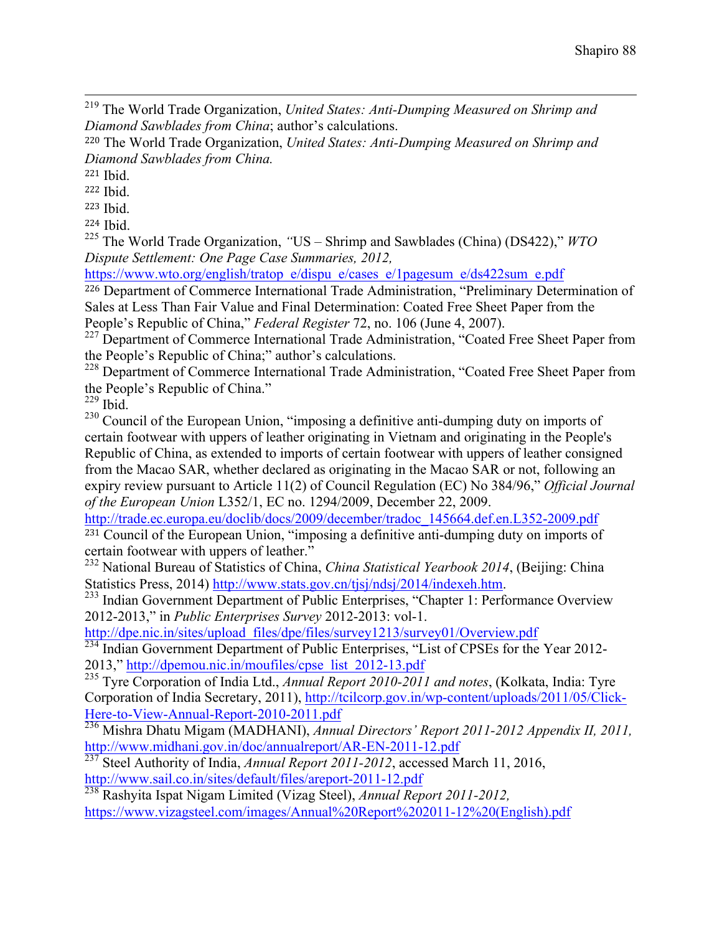<sup>219</sup> The World Trade Organization, *United States: Anti-Dumping Measured on Shrimp and Diamond Sawblades from China*; author's calculations.

<sup>220</sup> The World Trade Organization, *United States: Anti-Dumping Measured on Shrimp and Diamond Sawblades from China.*

<sup>221</sup> Ibid.

<sup>222</sup> Ibid.

<sup>223</sup> Ibid.

<sup>224</sup> Ibid.

<sup>225</sup> The World Trade Organization, *"*US – Shrimp and Sawblades (China) (DS422)," *WTO Dispute Settlement: One Page Case Summaries, 2012,* 

https://www.wto.org/english/tratop\_e/dispu\_e/cases\_e/1pagesum\_e/ds422sum\_e.pdf

<sup>226</sup> Department of Commerce International Trade Administration, "Preliminary Determination of Sales at Less Than Fair Value and Final Determination: Coated Free Sheet Paper from the People's Republic of China," *Federal Register* 72, no. 106 (June 4, 2007).

 $227$  Department of Commerce International Trade Administration, "Coated Free Sheet Paper from the People's Republic of China;" author's calculations.

<sup>228</sup> Department of Commerce International Trade Administration, "Coated Free Sheet Paper from the People's Republic of China."

 $^{229}$  Ibid.

<sup>230</sup> Council of the European Union, "imposing a definitive anti-dumping duty on imports of certain footwear with uppers of leather originating in Vietnam and originating in the People's Republic of China, as extended to imports of certain footwear with uppers of leather consigned from the Macao SAR, whether declared as originating in the Macao SAR or not, following an expiry review pursuant to Article 11(2) of Council Regulation (EC) No 384/96," *Official Journal of the European Union* L352/1, EC no. 1294/2009, December 22, 2009.

http://trade.ec.europa.eu/doclib/docs/2009/december/tradoc\_145664.def.en.L352-2009.pdf  $231$  Council of the European Union, "imposing a definitive anti-dumping duty on imports of certain footwear with uppers of leather."

<sup>232</sup> National Bureau of Statistics of China, *China Statistical Yearbook 2014*, (Beijing: China

Statistics Press, 2014) http://www.stats.gov.cn/tjsj/ndsj/2014/indexeh.htm.<br><sup>233</sup> Indian Government Department of Public Enterprises, "Chapter 1: Performance Overview 2012-2013," in *Public Enterprises Survey* 2012-2013: vol-1.

http://dpe.nic.in/sites/upload\_files/dpe/files/survey1213/survey01/Overview.pdf

 $\frac{234}{234}$ Indian Government Department of Public Enterprises, "List of CPSEs for the Year 2012-2013," http://dpemou.nic.in/moufiles/cpse\_list\_2012-13.pdf

<sup>235</sup> Tyre Corporation of India Ltd., *Annual Report 2010-2011 and notes*, (Kolkata, India: Tyre Corporation of India Secretary, 2011), http://tcilcorp.gov.in/wp-content/uploads/2011/05/Click-Here-to-View-Annual-Report-2010-2011.pdf<br><sup>236</sup> Mishra Dhatu Migam (MADHANI), *Annual Directors' Report 2011-2012 Appendix II, 2011,* 

http://www.midhani.gov.in/doc/annualreport/AR-EN-2011-12.pdf

<sup>237</sup> Steel Authority of India, *Annual Report 2011-2012*, accessed March 11, 2016, http://www.sail.co.in/sites/default/files/areport-2011-12.pdf

<sup>238</sup> Rashyita Ispat Nigam Limited (Vizag Steel), *Annual Report 2011-2012*, https://www.vizagsteel.com/images/Annual%20Report%202011-12%20(English).pdf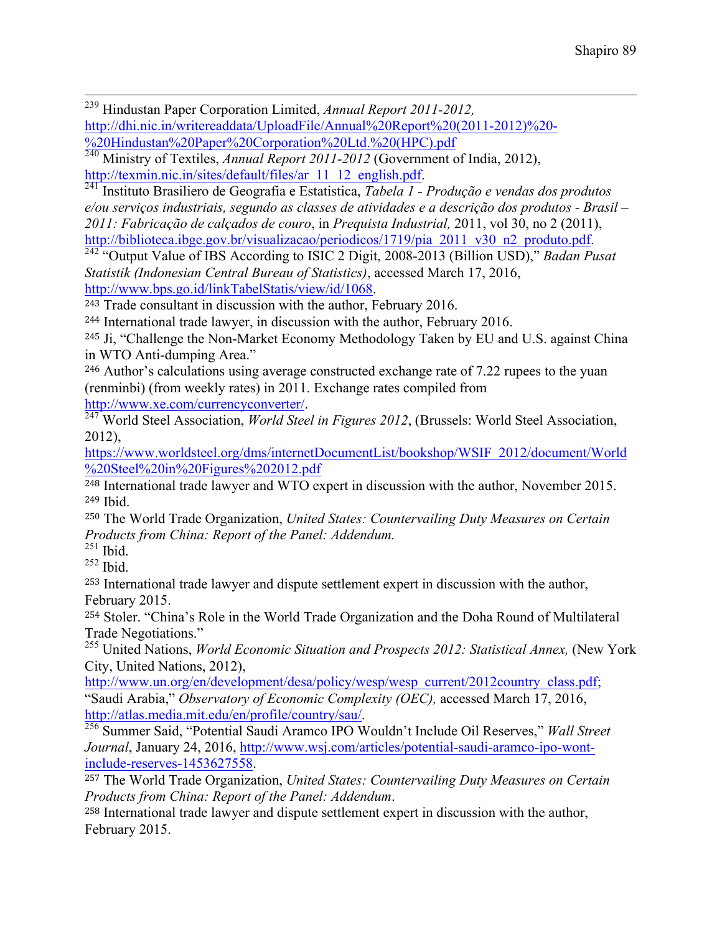<sup>239</sup> Hindustan Paper Corporation Limited, *Annual Report 2011-2012,* http://dhi.nic.in/writereaddata/UploadFile/Annual%20Report%20(2011-2012)%20- %20Hindustan%20Paper%20Corporation%20Ltd.%20(HPC).pdf

240 Ministry of Textiles, *Annual Report 2011-2012* (Government of India, 2012),<br>http://texmin.nic.in/sites/default/files/ar 11 12 english.pdf.

<sup>241</sup> Instituto Brasiliero de Geografia e Estatistica, *Tabela 1 - Produção e vendas dos produtos e/ou serviços industriais, segundo as classes de atividades e a descrição dos produtos - Brasil – 2011: Fabricação de calçados de couro*, in *Prequista Industrial,* 2011, vol 30, no 2 (2011),

http://biblioteca.ibge.gov.br/visualizacao/periodicos/1719/pia\_2011\_v30\_n2\_produto.pdf. 242 "Output Value of IBS According to ISIC 2 Digit, 2008-2013 (Billion USD)," *Badan Pusat Statistik (Indonesian Central Bureau of Statistics)*, accessed March 17, 2016, http://www.bps.go.id/linkTabelStatis/view/id/1068.

<sup>243</sup> Trade consultant in discussion with the author, February 2016.

<sup>244</sup> International trade lawyer, in discussion with the author, February 2016.

<sup>245</sup> Ji, "Challenge the Non-Market Economy Methodology Taken by EU and U.S. against China in WTO Anti-dumping Area."

<sup>246</sup> Author's calculations using average constructed exchange rate of 7.22 rupees to the yuan (renminbi) (from weekly rates) in 2011. Exchange rates compiled from

http://www.xe.com/currencyconverter/. 247 World Steel Association, *World Steel in Figures 2012*, (Brussels: World Steel Association, 2012),

https://www.worldsteel.org/dms/internetDocumentList/bookshop/WSIF\_2012/document/World %20Steel%20in%20Figures%202012.pdf

<sup>248</sup> International trade lawyer and WTO expert in discussion with the author, November 2015. <sup>249</sup> Ibid.

<sup>250</sup> The World Trade Organization, *United States: Countervailing Duty Measures on Certain Products from China: Report of the Panel: Addendum.* 

<sup>251</sup> Ibid.

 $252$  Ibid.

<sup>253</sup> International trade lawyer and dispute settlement expert in discussion with the author, February 2015.

<sup>254</sup> Stoler. "China's Role in the World Trade Organization and the Doha Round of Multilateral Trade Negotiations."

<sup>255</sup> United Nations, *World Economic Situation and Prospects 2012: Statistical Annex,* (New York City, United Nations, 2012),

http://www.un.org/en/development/desa/policy/wesp/wesp\_current/2012country\_class.pdf; "Saudi Arabia," *Observatory of Economic Complexity (OEC),* accessed March 17, 2016, http://atlas.media.mit.edu/en/profile/country/sau/. <sup>256</sup> Summer Said, "Potential Saudi Aramco IPO Wouldn't Include Oil Reserves," *Wall Street* 

*Journal*, January 24, 2016, http://www.wsj.com/articles/potential-saudi-aramco-ipo-wontinclude-reserves-1453627558.

<sup>257</sup> The World Trade Organization, *United States: Countervailing Duty Measures on Certain Products from China: Report of the Panel: Addendum*.

<sup>258</sup> International trade lawyer and dispute settlement expert in discussion with the author, February 2015.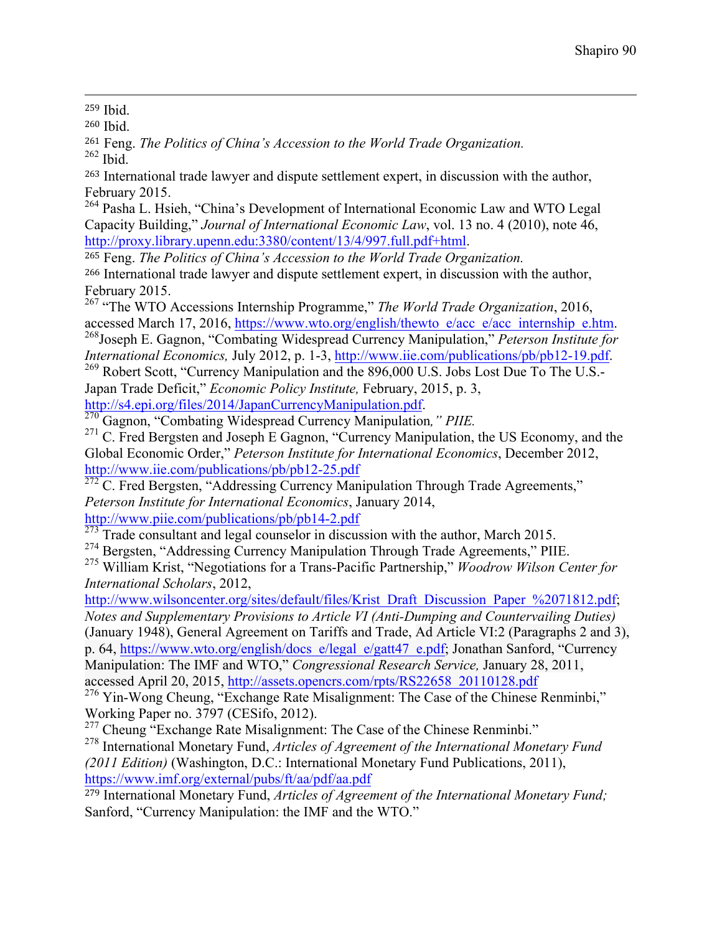<u> Alexandro de la contrada de la contrada de la contrada de la contrada de la contrada de la contrada de la co</u> <sup>259</sup> Ibid.

<sup>260</sup> Ibid.

<sup>261</sup> Feng. *The Politics of China's Accession to the World Trade Organization.* <sup>262</sup> Ibid.

<sup>263</sup> International trade lawyer and dispute settlement expert, in discussion with the author, February 2015.

<sup>264</sup> Pasha L. Hsieh, "China's Development of International Economic Law and WTO Legal Capacity Building," *Journal of International Economic Law*, vol. 13 no. 4 (2010), note 46, http://proxy.library.upenn.edu:3380/content/13/4/997.full.pdf+html.

<sup>265</sup> Feng. *The Politics of China's Accession to the World Trade Organization.* 

<sup>266</sup> International trade lawyer and dispute settlement expert, in discussion with the author, February 2015.

<sup>267</sup> "The WTO Accessions Internship Programme," *The World Trade Organization*, 2016, accessed March 17, 2016, https://www.wto.org/english/thewto e/acc\_e/acc\_internship\_e.htm.

<sup>268</sup>Joseph E. Gagnon, "Combating Widespread Currency Manipulation," *Peterson Institute for International Economics, July 2012, p. 1-3, http://www.iie.com/publications/pb/pb12-19.pdf.* <sup>269</sup> Robert Scott, "Currency Manipulation and the 896,000 U.S. Jobs Lost Due To The U.S.-

Japan Trade Deficit," *Economic Policy Institute,* February, 2015, p. 3,

http://s4.epi.org/files/2014/JapanCurrencyManipulation.pdf. 270 Gagnon, "Combating Widespread Currency Manipulation*," PIIE.*

 $271$  C. Fred Bergsten and Joseph E Gagnon, "Currency Manipulation, the US Economy, and the Global Economic Order," *Peterson Institute for International Economics*, December 2012, http://www.iie.com/publications/pb/pb12-25.pdf

 $272$  C. Fred Bergsten, "Addressing Currency Manipulation Through Trade Agreements," *Peterson Institute for International Economics*, January 2014, http://www.piie.com/publications/pb/pb14-2.pdf

 $^{273}$  Trade consultant and legal counselor in discussion with the author, March 2015.

<sup>274</sup> Bergsten, "Addressing Currency Manipulation Through Trade Agreements," PIIE.

<sup>275</sup> William Krist, "Negotiations for a Trans-Pacific Partnership," *Woodrow Wilson Center for International Scholars*, 2012,

http://www.wilsoncenter.org/sites/default/files/Krist\_Draft\_Discussion\_Paper\_%2071812.pdf; *Notes and Supplementary Provisions to Article VI (Anti-Dumping and Countervailing Duties)*  (January 1948), General Agreement on Tariffs and Trade, Ad Article VI:2 (Paragraphs 2 and 3), p. 64, https://www.wto.org/english/docs\_e/legal\_e/gatt47\_e.pdf; Jonathan Sanford, "Currency Manipulation: The IMF and WTO," *Congressional Research Service,* January 28, 2011, accessed April 20, 2015, http://assets.opencrs.com/rpts/RS22658\_20110128.pdf

<sup>276</sup> Yin-Wong Cheung, "Exchange Rate Misalignment: The Case of the Chinese Renminbi,"

Working Paper no. 3797 (CESifo, 2012).<br><sup>277</sup> Cheung "Exchange Rate Misalignment: The Case of the Chinese Renminbi."

<sup>278</sup> International Monetary Fund, *Articles of Agreement of the International Monetary Fund (2011 Edition)* (Washington, D.C.: International Monetary Fund Publications, 2011), https://www.imf.org/external/pubs/ft/aa/pdf/aa.pdf

<sup>279</sup> International Monetary Fund, *Articles of Agreement of the International Monetary Fund;*  Sanford, "Currency Manipulation: the IMF and the WTO."